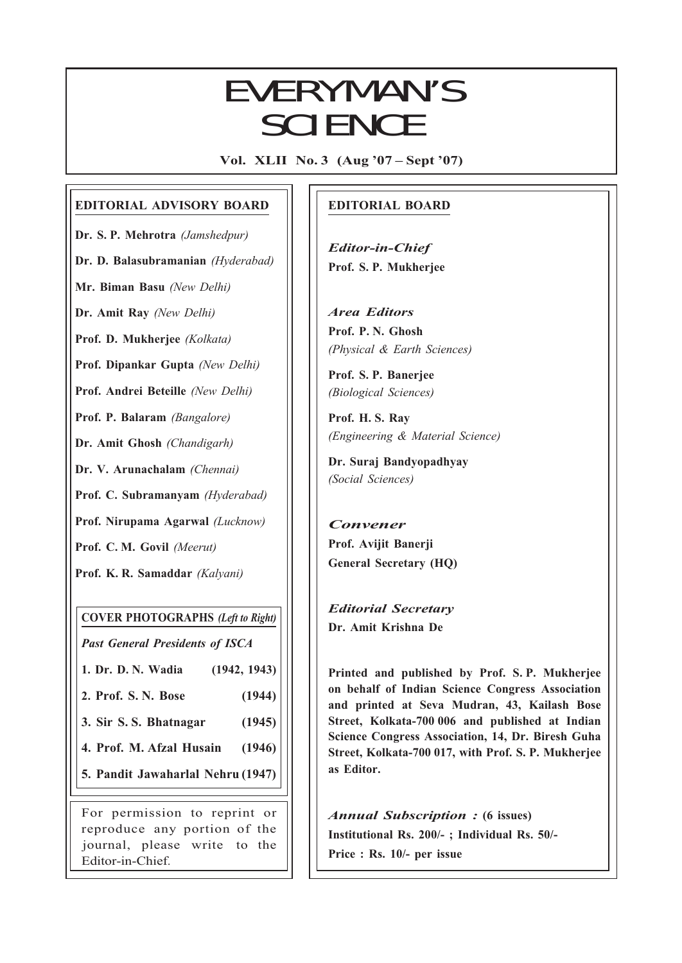## EVERYMAN'S SCIENCE

Vol. XLII No. 3 (Aug '07 – Sept '07)

### EDITORIAL ADVISORY BOARD

Dr. S. P. Mehrotra (Jamshedpur)

Dr. D. Balasubramanian (Hyderabad)

Mr. Biman Basu (New Delhi)

Dr. Amit Ray (New Delhi)

Prof. D. Mukherjee (Kolkata)

Prof. Dipankar Gupta (New Delhi)

Prof. Andrei Beteille (New Delhi)

Prof. P. Balaram (Bangalore)

Dr. Amit Ghosh (Chandigarh)

Dr. V. Arunachalam (Chennai)

Prof. C. Subramanyam (Hyderabad)

Prof. Nirupama Agarwal (Lucknow)

Prof. C. M. Govil (Meerut)

Prof. K. R. Samaddar (Kalyani)

COVER PHOTOGRAPHS (Left to Right)

Past General Presidents of ISCA

1. Dr. D. N. Wadia (1942, 1943)

2. Prof. S. N. Bose (1944)

3. Sir S. S. Bhatnagar (1945)

4. Prof. M. Afzal Husain (1946)

5. Pandit Jawaharlal Nehru (1947)

For permission to reprint or reproduce any portion of the journal, please write to the Editor-in-Chief.

### EDITORIAL BOARD

Editor-in-Chief Prof. S. P. Mukherjee

Area Editors Prof. P. N. Ghosh (Physical & Earth Sciences)

Prof. S. P. Banerjee (Biological Sciences)

Prof. H. S. Ray (Engineering & Material Science)

Dr. Suraj Bandyopadhyay (Social Sciences)

Convener Prof. Avijit Banerji General Secretary (HQ)

Editorial Secretary Dr. Amit Krishna De

113<br>113 - Johannes<br>113 - Johannes

Printed and published by Prof. S. P. Mukherjee on behalf of Indian Science Congress Association and printed at Seva Mudran, 43, Kailash Bose Street, Kolkata-700 006 and published at Indian Science Congress Association, 14, Dr. Biresh Guha Street, Kolkata-700 017, with Prof. S. P. Mukherjee as Editor.

Annual Subscription : (6 issues) Institutional Rs. 200/- ; Individual Rs. 50/- Price : Rs. 10/- per issue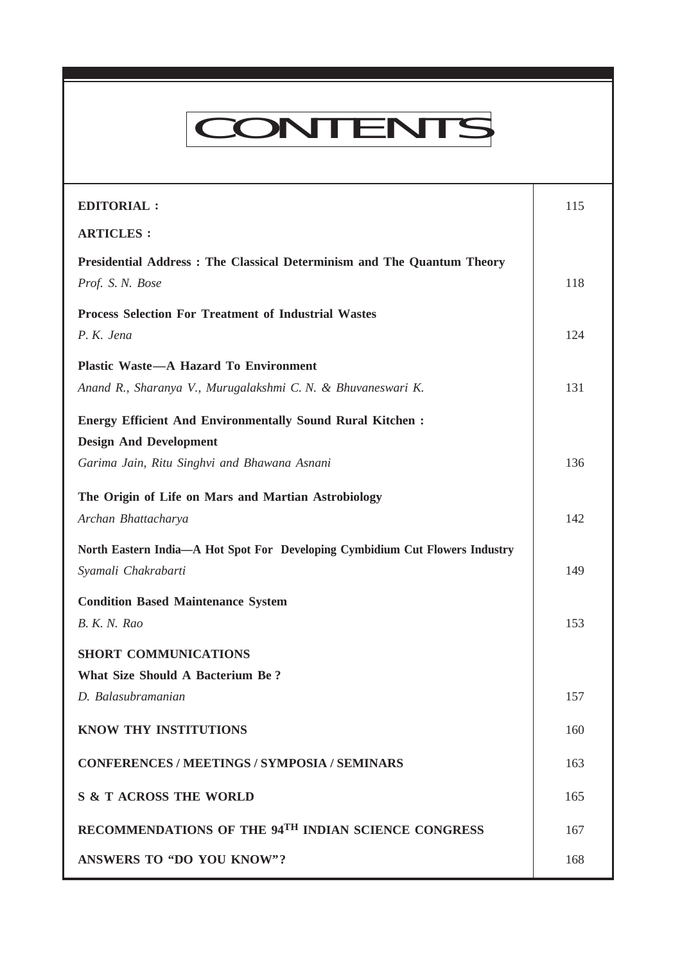# CONTENTS

Everyman's Science VOL. XLII NO. 3, Aug '07 — Sept '07

| <b>EDITORIAL:</b>                                                                                   | 115 |
|-----------------------------------------------------------------------------------------------------|-----|
| <b>ARTICLES:</b>                                                                                    |     |
| Presidential Address: The Classical Determinism and The Quantum Theory<br>Prof. S. N. Bose          | 118 |
| <b>Process Selection For Treatment of Industrial Wastes</b><br>P.K. Jena                            | 124 |
| <b>Plastic Waste-A Hazard To Environment</b>                                                        |     |
| Anand R., Sharanya V., Murugalakshmi C. N. & Bhuvaneswari K.                                        | 131 |
| <b>Energy Efficient And Environmentally Sound Rural Kitchen:</b><br><b>Design And Development</b>   |     |
| Garima Jain, Ritu Singhvi and Bhawana Asnani                                                        | 136 |
| The Origin of Life on Mars and Martian Astrobiology<br>Archan Bhattacharya                          | 142 |
| North Eastern India—A Hot Spot For Developing Cymbidium Cut Flowers Industry<br>Syamali Chakrabarti | 149 |
| <b>Condition Based Maintenance System</b><br>B. K. N. Rao                                           | 153 |
| <b>SHORT COMMUNICATIONS</b>                                                                         |     |
| <b>What Size Should A Bacterium Be?</b>                                                             |     |
| D. Balasubramanian                                                                                  | 157 |
| <b>KNOW THY INSTITUTIONS</b>                                                                        | 160 |
| <b>CONFERENCES / MEETINGS / SYMPOSIA / SEMINARS</b>                                                 | 163 |
| <b>S &amp; T ACROSS THE WORLD</b>                                                                   | 165 |
| RECOMMENDATIONS OF THE 94TH INDIAN SCIENCE CONGRESS                                                 | 167 |
| <b>ANSWERS TO "DO YOU KNOW"?</b>                                                                    | 168 |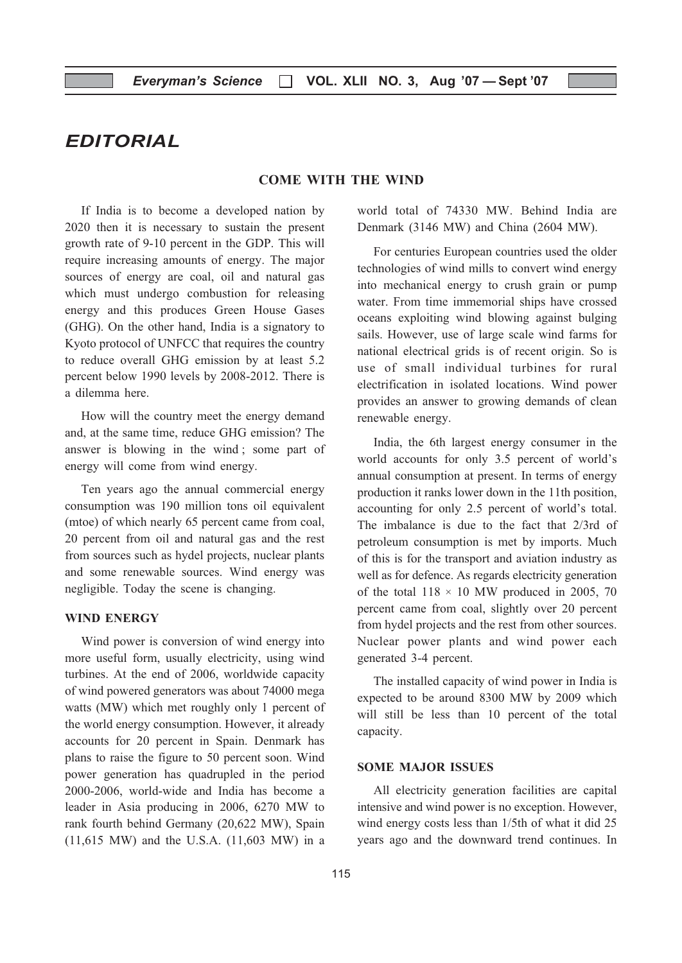## EDITORIAL

#### COME WITH THE WIND

If India is to become a developed nation by 2020 then it is necessary to sustain the present growth rate of 9-10 percent in the GDP. This will require increasing amounts of energy. The major sources of energy are coal, oil and natural gas which must undergo combustion for releasing energy and this produces Green House Gases (GHG). On the other hand, India is a signatory to Kyoto protocol of UNFCC that requires the country to reduce overall GHG emission by at least 5.2 percent below 1990 levels by 2008-2012. There is a dilemma here.

How will the country meet the energy demand and, at the same time, reduce GHG emission? The answer is blowing in the wind ; some part of energy will come from wind energy.

Ten years ago the annual commercial energy consumption was 190 million tons oil equivalent (mtoe) of which nearly 65 percent came from coal, 20 percent from oil and natural gas and the rest from sources such as hydel projects, nuclear plants and some renewable sources. Wind energy was negligible. Today the scene is changing.

#### WIND ENERGY

Wind power is conversion of wind energy into more useful form, usually electricity, using wind turbines. At the end of 2006, worldwide capacity of wind powered generators was about 74000 mega watts (MW) which met roughly only 1 percent of the world energy consumption. However, it already accounts for 20 percent in Spain. Denmark has plans to raise the figure to 50 percent soon. Wind power generation has quadrupled in the period 2000-2006, world-wide and India has become a leader in Asia producing in 2006, 6270 MW to rank fourth behind Germany (20,622 MW), Spain (11,615 MW) and the U.S.A. (11,603 MW) in a

world total of 74330 MW. Behind India are Denmark (3146 MW) and China (2604 MW).

For centuries European countries used the older technologies of wind mills to convert wind energy into mechanical energy to crush grain or pump water. From time immemorial ships have crossed oceans exploiting wind blowing against bulging sails. However, use of large scale wind farms for national electrical grids is of recent origin. So is use of small individual turbines for rural electrification in isolated locations. Wind power provides an answer to growing demands of clean renewable energy.

India, the 6th largest energy consumer in the world accounts for only 3.5 percent of world's annual consumption at present. In terms of energy production it ranks lower down in the 11th position, accounting for only 2.5 percent of world's total. The imbalance is due to the fact that 2/3rd of petroleum consumption is met by imports. Much of this is for the transport and aviation industry as well as for defence. As regards electricity generation of the total  $118 \times 10$  MW produced in 2005, 70 percent came from coal, slightly over 20 percent from hydel projects and the rest from other sources. Nuclear power plants and wind power each generated 3-4 percent.

The installed capacity of wind power in India is expected to be around 8300 MW by 2009 which will still be less than 10 percent of the total capacity.

#### SOME MAJOR ISSUES

All electricity generation facilities are capital intensive and wind power is no exception. However, wind energy costs less than 1/5th of what it did 25 years ago and the downward trend continues. In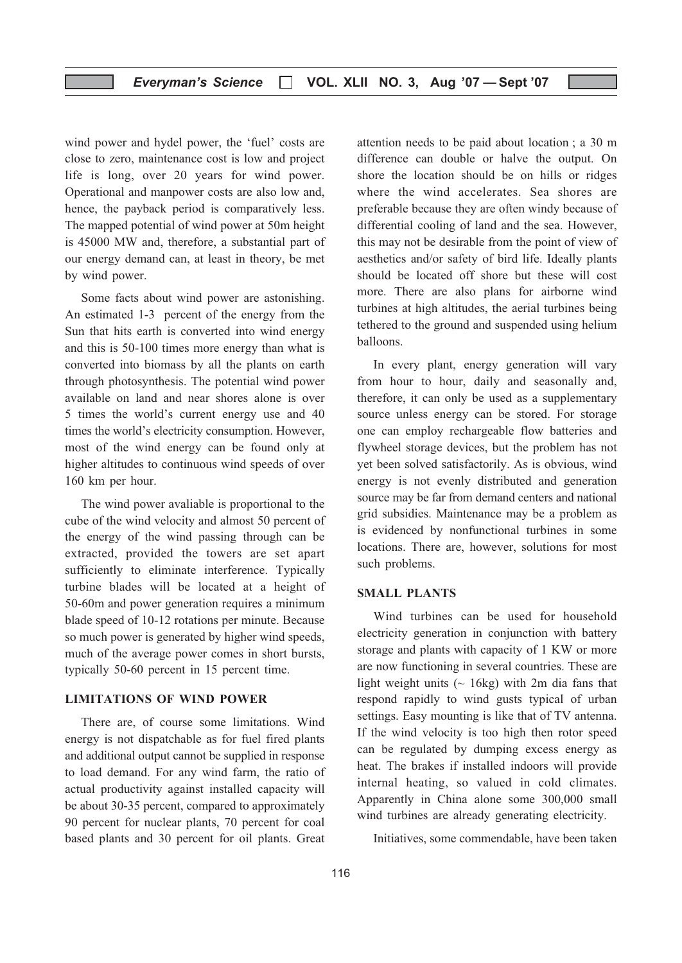#### Everyman's Science  $\Box$  VOL. XLII NO. 3, Aug '07 - Sept '07

wind power and hydel power, the 'fuel' costs are close to zero, maintenance cost is low and project life is long, over 20 years for wind power. Operational and manpower costs are also low and, hence, the payback period is comparatively less. The mapped potential of wind power at 50m height is 45000 MW and, therefore, a substantial part of our energy demand can, at least in theory, be met by wind power.

Some facts about wind power are astonishing. An estimated 1-3 percent of the energy from the Sun that hits earth is converted into wind energy and this is 50-100 times more energy than what is converted into biomass by all the plants on earth through photosynthesis. The potential wind power available on land and near shores alone is over 5 times the world's current energy use and 40 times the world's electricity consumption. However, most of the wind energy can be found only at higher altitudes to continuous wind speeds of over 160 km per hour.

The wind power avaliable is proportional to the cube of the wind velocity and almost 50 percent of the energy of the wind passing through can be extracted, provided the towers are set apart sufficiently to eliminate interference. Typically turbine blades will be located at a height of 50-60m and power generation requires a minimum blade speed of 10-12 rotations per minute. Because so much power is generated by higher wind speeds, much of the average power comes in short bursts, typically 50-60 percent in 15 percent time.

#### LIMITATIONS OF WIND POWER

There are, of course some limitations. Wind energy is not dispatchable as for fuel fired plants and additional output cannot be supplied in response to load demand. For any wind farm, the ratio of actual productivity against installed capacity will be about 30-35 percent, compared to approximately 90 percent for nuclear plants, 70 percent for coal based plants and 30 percent for oil plants. Great attention needs to be paid about location ; a 30 m difference can double or halve the output. On shore the location should be on hills or ridges where the wind accelerates. Sea shores are preferable because they are often windy because of differential cooling of land and the sea. However, this may not be desirable from the point of view of aesthetics and/or safety of bird life. Ideally plants should be located off shore but these will cost more. There are also plans for airborne wind turbines at high altitudes, the aerial turbines being tethered to the ground and suspended using helium balloons.

In every plant, energy generation will vary from hour to hour, daily and seasonally and, therefore, it can only be used as a supplementary source unless energy can be stored. For storage one can employ rechargeable flow batteries and flywheel storage devices, but the problem has not yet been solved satisfactorily. As is obvious, wind energy is not evenly distributed and generation source may be far from demand centers and national grid subsidies. Maintenance may be a problem as is evidenced by nonfunctional turbines in some locations. There are, however, solutions for most such problems.

#### SMALL PLANTS

Wind turbines can be used for household electricity generation in conjunction with battery storage and plants with capacity of 1 KW or more are now functioning in several countries. These are light weight units  $($  - 16kg) with 2m dia fans that respond rapidly to wind gusts typical of urban settings. Easy mounting is like that of TV antenna. If the wind velocity is too high then rotor speed can be regulated by dumping excess energy as heat. The brakes if installed indoors will provide internal heating, so valued in cold climates. Apparently in China alone some 300,000 small wind turbines are already generating electricity.

Initiatives, some commendable, have been taken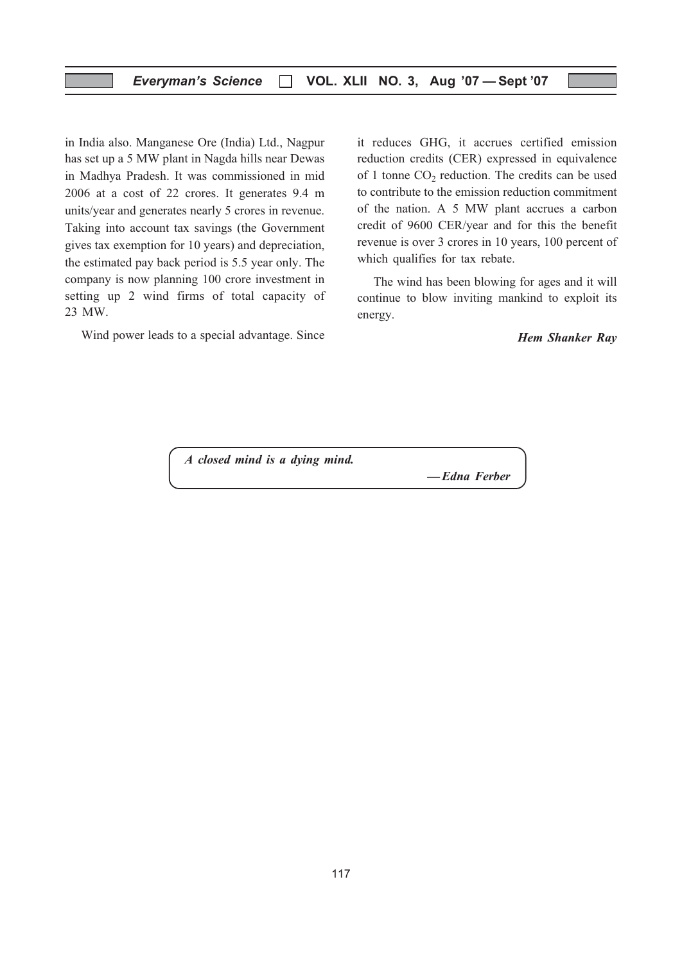in India also. Manganese Ore (India) Ltd., Nagpur has set up a 5 MW plant in Nagda hills near Dewas in Madhya Pradesh. It was commissioned in mid 2006 at a cost of 22 crores. It generates 9.4 m units/year and generates nearly 5 crores in revenue. Taking into account tax savings (the Government gives tax exemption for 10 years) and depreciation, the estimated pay back period is 5.5 year only. The company is now planning 100 crore investment in setting up 2 wind firms of total capacity of 23 MW.

Wind power leads to a special advantage. Since

it reduces GHG, it accrues certified emission reduction credits (CER) expressed in equivalence of 1 tonne  $CO<sub>2</sub>$  reduction. The credits can be used to contribute to the emission reduction commitment of the nation. A 5 MW plant accrues a carbon credit of 9600 CER/year and for this the benefit revenue is over 3 crores in 10 years, 100 percent of which qualifies for tax rebate.

The wind has been blowing for ages and it will continue to blow inviting mankind to exploit its energy.

Hem Shanker Ray

A closed mind is a dying mind.

— Edna Ferber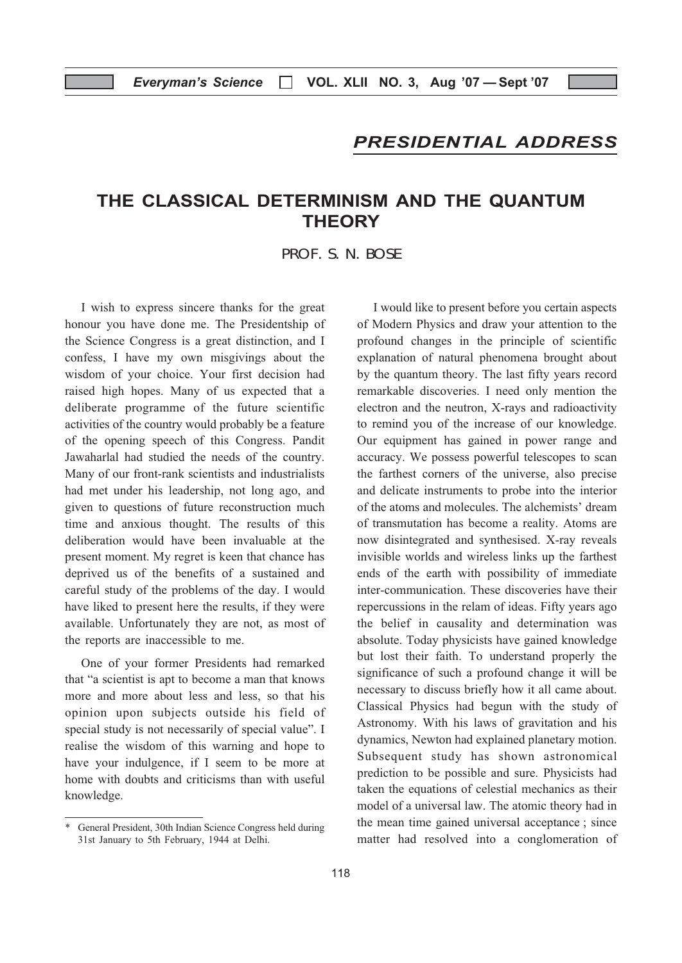## PRESIDENTIAL ADDRESS

## THE CLASSICAL DETERMINISM AND THE QUANTUM **THEORY**

PROF. S. N. BOSE

I wish to express sincere thanks for the great honour you have done me. The Presidentship of the Science Congress is a great distinction, and I confess, I have my own misgivings about the wisdom of your choice. Your first decision had raised high hopes. Many of us expected that a deliberate programme of the future scientific activities of the country would probably be a feature of the opening speech of this Congress. Pandit Jawaharlal had studied the needs of the country. Many of our front-rank scientists and industrialists had met under his leadership, not long ago, and given to questions of future reconstruction much time and anxious thought. The results of this deliberation would have been invaluable at the present moment. My regret is keen that chance has deprived us of the benefits of a sustained and careful study of the problems of the day. I would have liked to present here the results, if they were available. Unfortunately they are not, as most of the reports are inaccessible to me.

One of your former Presidents had remarked that "a scientist is apt to become a man that knows more and more about less and less, so that his opinion upon subjects outside his field of special study is not necessarily of special value". I realise the wisdom of this warning and hope to have your indulgence, if I seem to be more at home with doubts and criticisms than with useful knowledge.

I would like to present before you certain aspects of Modern Physics and draw your attention to the profound changes in the principle of scientific explanation of natural phenomena brought about by the quantum theory. The last fifty years record remarkable discoveries. I need only mention the electron and the neutron, X-rays and radioactivity to remind you of the increase of our knowledge. Our equipment has gained in power range and accuracy. We possess powerful telescopes to scan the farthest corners of the universe, also precise and delicate instruments to probe into the interior of the atoms and molecules. The alchemists' dream of transmutation has become a reality. Atoms are now disintegrated and synthesised. X-ray reveals invisible worlds and wireless links up the farthest ends of the earth with possibility of immediate inter-communication. These discoveries have their repercussions in the relam of ideas. Fifty years ago the belief in causality and determination was absolute. Today physicists have gained knowledge but lost their faith. To understand properly the significance of such a profound change it will be necessary to discuss briefly how it all came about. Classical Physics had begun with the study of Astronomy. With his laws of gravitation and his dynamics, Newton had explained planetary motion. Subsequent study has shown astronomical prediction to be possible and sure. Physicists had taken the equations of celestial mechanics as their model of a universal law. The atomic theory had in the mean time gained universal acceptance ; since matter had resolved into a conglomeration of

<sup>\*</sup> General President, 30th Indian Science Congress held during 31st January to 5th February, 1944 at Delhi.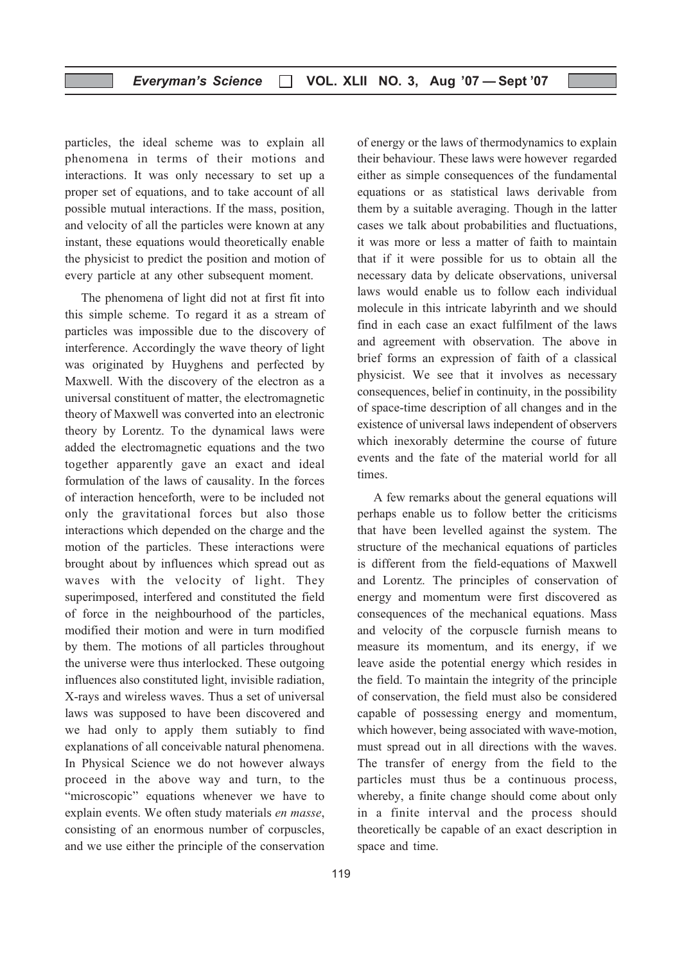particles, the ideal scheme was to explain all phenomena in terms of their motions and interactions. It was only necessary to set up a proper set of equations, and to take account of all possible mutual interactions. If the mass, position, and velocity of all the particles were known at any instant, these equations would theoretically enable the physicist to predict the position and motion of every particle at any other subsequent moment.

The phenomena of light did not at first fit into this simple scheme. To regard it as a stream of particles was impossible due to the discovery of interference. Accordingly the wave theory of light was originated by Huyghens and perfected by Maxwell. With the discovery of the electron as a universal constituent of matter, the electromagnetic theory of Maxwell was converted into an electronic theory by Lorentz. To the dynamical laws were added the electromagnetic equations and the two together apparently gave an exact and ideal formulation of the laws of causality. In the forces of interaction henceforth, were to be included not only the gravitational forces but also those interactions which depended on the charge and the motion of the particles. These interactions were brought about by influences which spread out as waves with the velocity of light. They superimposed, interfered and constituted the field of force in the neighbourhood of the particles, modified their motion and were in turn modified by them. The motions of all particles throughout the universe were thus interlocked. These outgoing influences also constituted light, invisible radiation, X-rays and wireless waves. Thus a set of universal laws was supposed to have been discovered and we had only to apply them sutiably to find explanations of all conceivable natural phenomena. In Physical Science we do not however always proceed in the above way and turn, to the "microscopic" equations whenever we have to explain events. We often study materials en masse, consisting of an enormous number of corpuscles, and we use either the principle of the conservation

of energy or the laws of thermodynamics to explain their behaviour. These laws were however regarded either as simple consequences of the fundamental equations or as statistical laws derivable from them by a suitable averaging. Though in the latter cases we talk about probabilities and fluctuations, it was more or less a matter of faith to maintain that if it were possible for us to obtain all the necessary data by delicate observations, universal laws would enable us to follow each individual molecule in this intricate labyrinth and we should find in each case an exact fulfilment of the laws and agreement with observation. The above in brief forms an expression of faith of a classical physicist. We see that it involves as necessary consequences, belief in continuity, in the possibility of space-time description of all changes and in the existence of universal laws independent of observers which inexorably determine the course of future events and the fate of the material world for all times.

A few remarks about the general equations will perhaps enable us to follow better the criticisms that have been levelled against the system. The structure of the mechanical equations of particles is different from the field-equations of Maxwell and Lorentz. The principles of conservation of energy and momentum were first discovered as consequences of the mechanical equations. Mass and velocity of the corpuscle furnish means to measure its momentum, and its energy, if we leave aside the potential energy which resides in the field. To maintain the integrity of the principle of conservation, the field must also be considered capable of possessing energy and momentum, which however, being associated with wave-motion, must spread out in all directions with the waves. The transfer of energy from the field to the particles must thus be a continuous process, whereby, a finite change should come about only in a finite interval and the process should theoretically be capable of an exact description in space and time.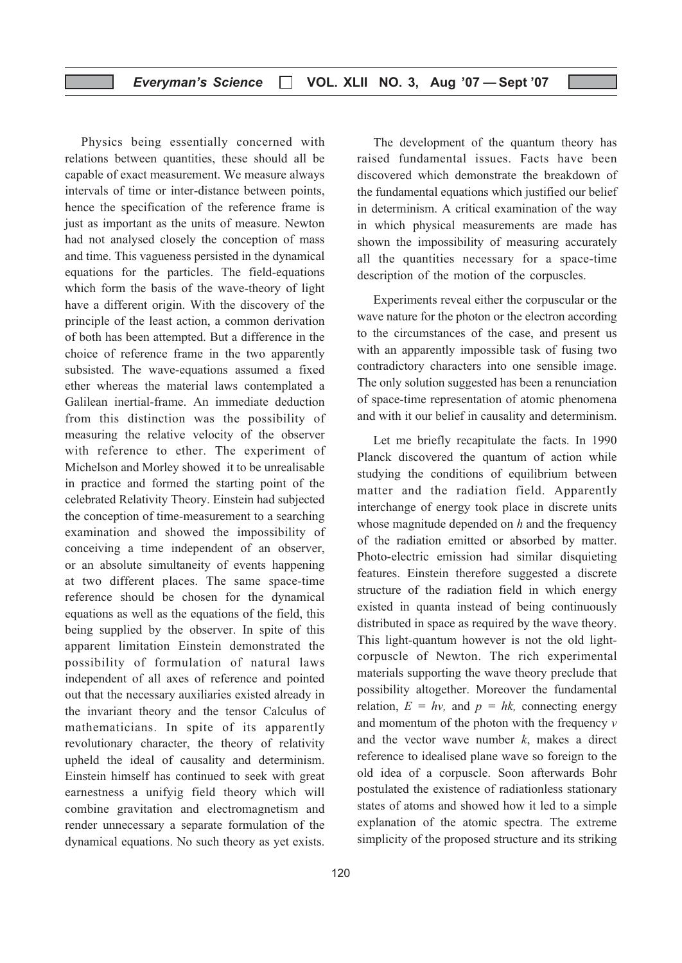Physics being essentially concerned with relations between quantities, these should all be capable of exact measurement. We measure always intervals of time or inter-distance between points, hence the specification of the reference frame is just as important as the units of measure. Newton had not analysed closely the conception of mass and time. This vagueness persisted in the dynamical equations for the particles. The field-equations which form the basis of the wave-theory of light have a different origin. With the discovery of the principle of the least action, a common derivation of both has been attempted. But a difference in the choice of reference frame in the two apparently subsisted. The wave-equations assumed a fixed ether whereas the material laws contemplated a Galilean inertial-frame. An immediate deduction from this distinction was the possibility of measuring the relative velocity of the observer with reference to ether. The experiment of Michelson and Morley showed it to be unrealisable in practice and formed the starting point of the celebrated Relativity Theory. Einstein had subjected the conception of time-measurement to a searching examination and showed the impossibility of conceiving a time independent of an observer, or an absolute simultaneity of events happening at two different places. The same space-time reference should be chosen for the dynamical equations as well as the equations of the field, this being supplied by the observer. In spite of this apparent limitation Einstein demonstrated the possibility of formulation of natural laws independent of all axes of reference and pointed out that the necessary auxiliaries existed already in the invariant theory and the tensor Calculus of mathematicians. In spite of its apparently revolutionary character, the theory of relativity upheld the ideal of causality and determinism. Einstein himself has continued to seek with great earnestness a unifyig field theory which will combine gravitation and electromagnetism and render unnecessary a separate formulation of the dynamical equations. No such theory as yet exists.

The development of the quantum theory has raised fundamental issues. Facts have been discovered which demonstrate the breakdown of the fundamental equations which justified our belief in determinism. A critical examination of the way in which physical measurements are made has shown the impossibility of measuring accurately all the quantities necessary for a space-time description of the motion of the corpuscles.

Experiments reveal either the corpuscular or the wave nature for the photon or the electron according to the circumstances of the case, and present us with an apparently impossible task of fusing two contradictory characters into one sensible image. The only solution suggested has been a renunciation of space-time representation of atomic phenomena and with it our belief in causality and determinism.

Let me briefly recapitulate the facts. In 1990 Planck discovered the quantum of action while studying the conditions of equilibrium between matter and the radiation field. Apparently interchange of energy took place in discrete units whose magnitude depended on  $h$  and the frequency of the radiation emitted or absorbed by matter. Photo-electric emission had similar disquieting features. Einstein therefore suggested a discrete structure of the radiation field in which energy existed in quanta instead of being continuously distributed in space as required by the wave theory. This light-quantum however is not the old lightcorpuscle of Newton. The rich experimental materials supporting the wave theory preclude that possibility altogether. Moreover the fundamental relation,  $E = hv$ , and  $p = hk$ , connecting energy and momentum of the photon with the frequency  $\nu$ and the vector wave number  $k$ , makes a direct reference to idealised plane wave so foreign to the old idea of a corpuscle. Soon afterwards Bohr postulated the existence of radiationless stationary states of atoms and showed how it led to a simple explanation of the atomic spectra. The extreme simplicity of the proposed structure and its striking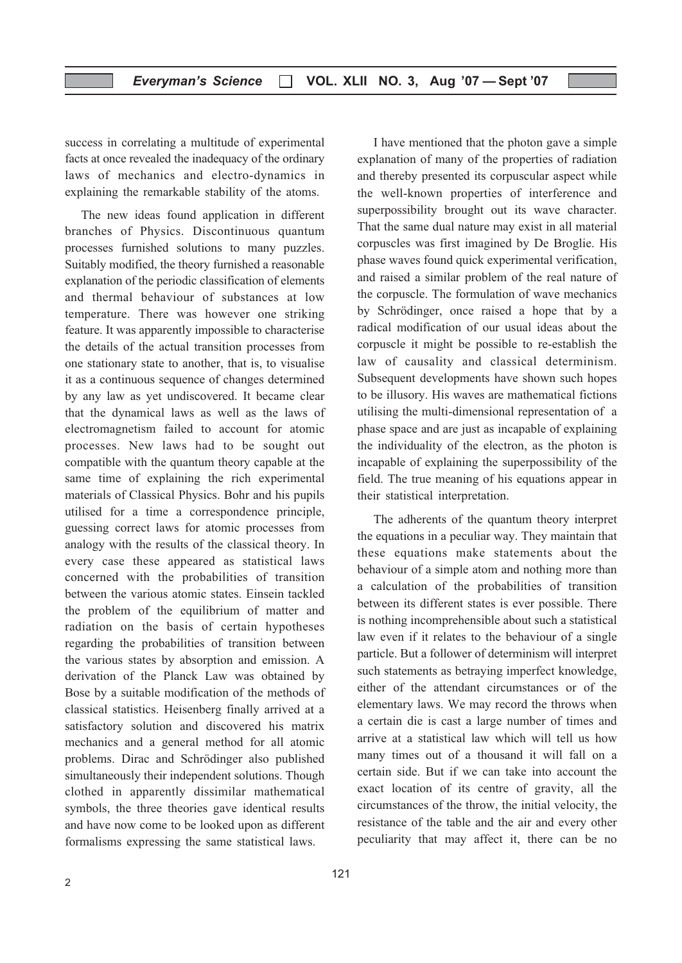success in correlating a multitude of experimental facts at once revealed the inadequacy of the ordinary laws of mechanics and electro-dynamics in explaining the remarkable stability of the atoms.

The new ideas found application in different branches of Physics. Discontinuous quantum processes furnished solutions to many puzzles. Suitably modified, the theory furnished a reasonable explanation of the periodic classification of elements and thermal behaviour of substances at low temperature. There was however one striking feature. It was apparently impossible to characterise the details of the actual transition processes from one stationary state to another, that is, to visualise it as a continuous sequence of changes determined by any law as yet undiscovered. It became clear that the dynamical laws as well as the laws of electromagnetism failed to account for atomic processes. New laws had to be sought out compatible with the quantum theory capable at the same time of explaining the rich experimental materials of Classical Physics. Bohr and his pupils utilised for a time a correspondence principle, guessing correct laws for atomic processes from analogy with the results of the classical theory. In every case these appeared as statistical laws concerned with the probabilities of transition between the various atomic states. Einsein tackled the problem of the equilibrium of matter and radiation on the basis of certain hypotheses regarding the probabilities of transition between the various states by absorption and emission. A derivation of the Planck Law was obtained by Bose by a suitable modification of the methods of classical statistics. Heisenberg finally arrived at a satisfactory solution and discovered his matrix mechanics and a general method for all atomic problems. Dirac and Schrödinger also published simultaneously their independent solutions. Though clothed in apparently dissimilar mathematical symbols, the three theories gave identical results and have now come to be looked upon as different formalisms expressing the same statistical laws.

121

I have mentioned that the photon gave a simple explanation of many of the properties of radiation and thereby presented its corpuscular aspect while the well-known properties of interference and superpossibility brought out its wave character. That the same dual nature may exist in all material corpuscles was first imagined by De Broglie. His phase waves found quick experimental verification, and raised a similar problem of the real nature of the corpuscle. The formulation of wave mechanics by Schrödinger, once raised a hope that by a radical modification of our usual ideas about the corpuscle it might be possible to re-establish the law of causality and classical determinism. Subsequent developments have shown such hopes to be illusory. His waves are mathematical fictions utilising the multi-dimensional representation of a phase space and are just as incapable of explaining the individuality of the electron, as the photon is incapable of explaining the superpossibility of the field. The true meaning of his equations appear in their statistical interpretation.

The adherents of the quantum theory interpret the equations in a peculiar way. They maintain that these equations make statements about the behaviour of a simple atom and nothing more than a calculation of the probabilities of transition between its different states is ever possible. There is nothing incomprehensible about such a statistical law even if it relates to the behaviour of a single particle. But a follower of determinism will interpret such statements as betraying imperfect knowledge, either of the attendant circumstances or of the elementary laws. We may record the throws when a certain die is cast a large number of times and arrive at a statistical law which will tell us how many times out of a thousand it will fall on a certain side. But if we can take into account the exact location of its centre of gravity, all the circumstances of the throw, the initial velocity, the resistance of the table and the air and every other peculiarity that may affect it, there can be no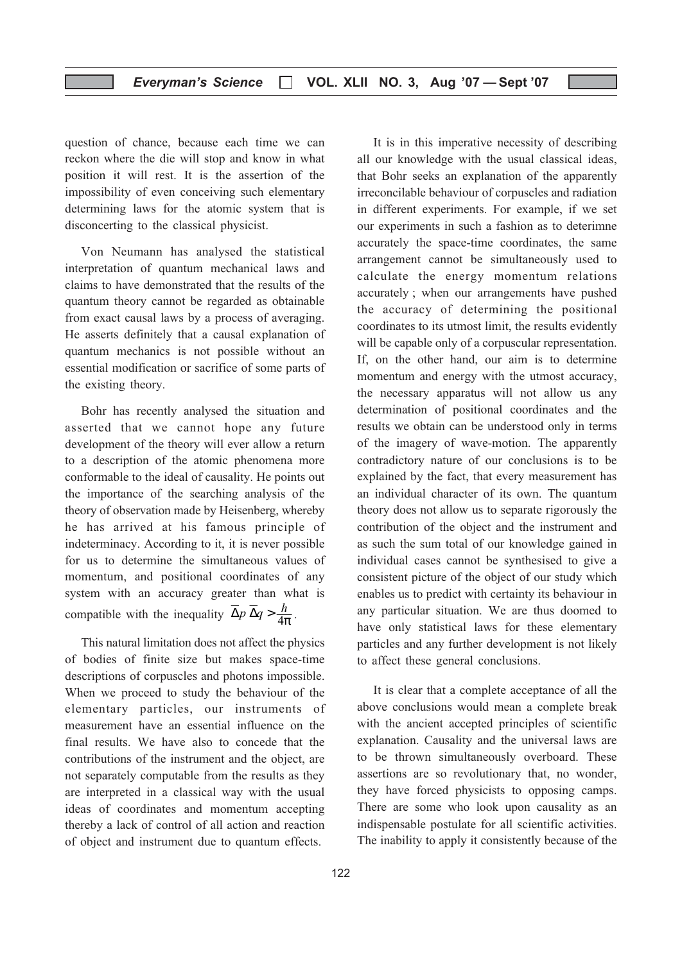question of chance, because each time we can reckon where the die will stop and know in what position it will rest. It is the assertion of the impossibility of even conceiving such elementary determining laws for the atomic system that is disconcerting to the classical physicist.

Von Neumann has analysed the statistical interpretation of quantum mechanical laws and claims to have demonstrated that the results of the quantum theory cannot be regarded as obtainable from exact causal laws by a process of averaging. He asserts definitely that a causal explanation of quantum mechanics is not possible without an essential modification or sacrifice of some parts of the existing theory.

Bohr has recently analysed the situation and asserted that we cannot hope any future development of the theory will ever allow a return to a description of the atomic phenomena more conformable to the ideal of causality. He points out the importance of the searching analysis of the theory of observation made by Heisenberg, whereby he has arrived at his famous principle of indeterminacy. According to it, it is never possible for us to determine the simultaneous values of momentum, and positional coordinates of any system with an accuracy greater than what is compatible with the inequality  $\overline{\Delta} p \overline{\Delta} q > \frac{h}{4\pi}$ .

This natural limitation does not affect the physics of bodies of finite size but makes space-time descriptions of corpuscles and photons impossible. When we proceed to study the behaviour of the elementary particles, our instruments of measurement have an essential influence on the final results. We have also to concede that the contributions of the instrument and the object, are not separately computable from the results as they are interpreted in a classical way with the usual ideas of coordinates and momentum accepting thereby a lack of control of all action and reaction of object and instrument due to quantum effects.

It is in this imperative necessity of describing all our knowledge with the usual classical ideas, that Bohr seeks an explanation of the apparently irreconcilable behaviour of corpuscles and radiation in different experiments. For example, if we set our experiments in such a fashion as to deterimne accurately the space-time coordinates, the same arrangement cannot be simultaneously used to calculate the energy momentum relations accurately ; when our arrangements have pushed the accuracy of determining the positional coordinates to its utmost limit, the results evidently will be capable only of a corpuscular representation. If, on the other hand, our aim is to determine momentum and energy with the utmost accuracy, the necessary apparatus will not allow us any determination of positional coordinates and the results we obtain can be understood only in terms of the imagery of wave-motion. The apparently contradictory nature of our conclusions is to be explained by the fact, that every measurement has an individual character of its own. The quantum theory does not allow us to separate rigorously the contribution of the object and the instrument and as such the sum total of our knowledge gained in individual cases cannot be synthesised to give a consistent picture of the object of our study which enables us to predict with certainty its behaviour in any particular situation. We are thus doomed to have only statistical laws for these elementary particles and any further development is not likely to affect these general conclusions.

It is clear that a complete acceptance of all the above conclusions would mean a complete break with the ancient accepted principles of scientific explanation. Causality and the universal laws are to be thrown simultaneously overboard. These assertions are so revolutionary that, no wonder, they have forced physicists to opposing camps. There are some who look upon causality as an indispensable postulate for all scientific activities. The inability to apply it consistently because of the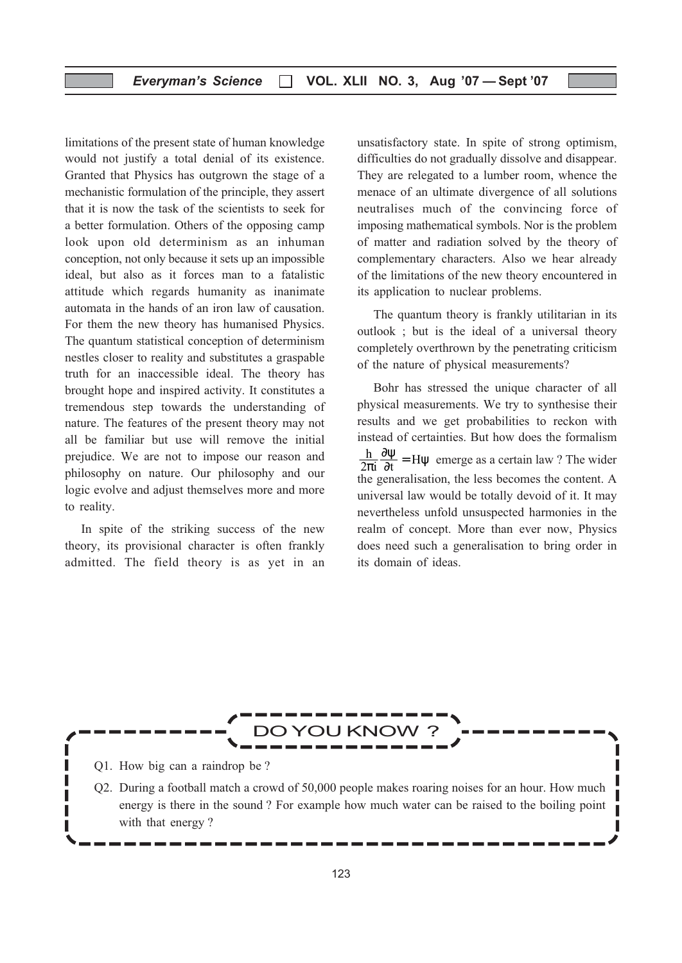limitations of the present state of human knowledge would not justify a total denial of its existence. Granted that Physics has outgrown the stage of a mechanistic formulation of the principle, they assert that it is now the task of the scientists to seek for a better formulation. Others of the opposing camp look upon old determinism as an inhuman conception, not only because it sets up an impossible ideal, but also as it forces man to a fatalistic attitude which regards humanity as inanimate automata in the hands of an iron law of causation. For them the new theory has humanised Physics. The quantum statistical conception of determinism nestles closer to reality and substitutes a graspable truth for an inaccessible ideal. The theory has brought hope and inspired activity. It constitutes a tremendous step towards the understanding of nature. The features of the present theory may not all be familiar but use will remove the initial prejudice. We are not to impose our reason and philosophy on nature. Our philosophy and our logic evolve and adjust themselves more and more to reality.

In spite of the striking success of the new theory, its provisional character is often frankly admitted. The field theory is as yet in an unsatisfactory state. In spite of strong optimism, difficulties do not gradually dissolve and disappear. They are relegated to a lumber room, whence the menace of an ultimate divergence of all solutions neutralises much of the convincing force of imposing mathematical symbols. Nor is the problem of matter and radiation solved by the theory of complementary characters. Also we hear already of the limitations of the new theory encountered in its application to nuclear problems.

The quantum theory is frankly utilitarian in its outlook ; but is the ideal of a universal theory completely overthrown by the penetrating criticism of the nature of physical measurements?

Bohr has stressed the unique character of all physical measurements. We try to synthesise their results and we get probabilities to reckon with instead of certainties. But how does the formalism  $\frac{h}{2\pi i} \frac{\partial \psi}{\partial t} = H \psi$  emerge as a certain law ? The wider the generalisation, the less becomes the content. A universal law would be totally devoid of it. It may nevertheless unfold unsuspected harmonies in the realm of concept. More than ever now, Physics does need such a generalisation to bring order in its domain of ideas.

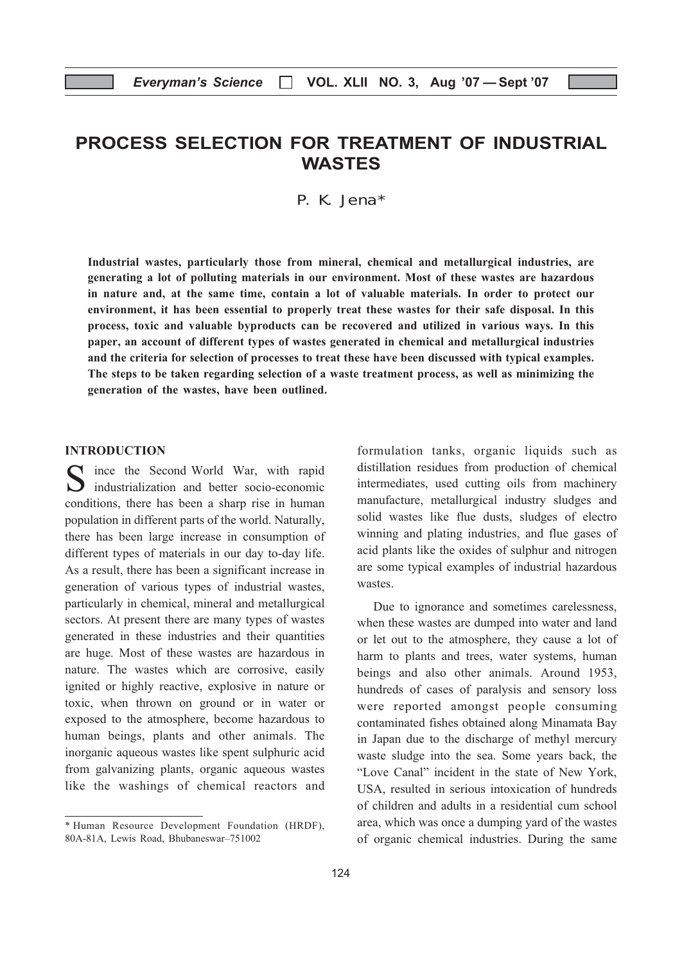## PROCESS SELECTION FOR TREATMENT OF INDUSTRIAL WASTES

P. K. Jena\*

Industrial wastes, particularly those from mineral, chemical and metallurgical industries, are generating a lot of polluting materials in our environment. Most of these wastes are hazardous in nature and, at the same time, contain a lot of valuable materials. In order to protect our environment, it has been essential to properly treat these wastes for their safe disposal. In this process, toxic and valuable byproducts can be recovered and utilized in various ways. In this paper, an account of different types of wastes generated in chemical and metallurgical industries and the criteria for selection of processes to treat these have been discussed with typical examples. The steps to be taken regarding selection of a waste treatment process, as well as minimizing the generation of the wastes, have been outlined.

#### INTRODUCTION

S ince the Second World War, with rapid industrialization and better socio-economic conditions, there has been a sharp rise in human population in different parts of the world. Naturally, there has been large increase in consumption of different types of materials in our day to-day life. As a result, there has been a significant increase in generation of various types of industrial wastes, particularly in chemical, mineral and metallurgical sectors. At present there are many types of wastes generated in these industries and their quantities are huge. Most of these wastes are hazardous in nature. The wastes which are corrosive, easily ignited or highly reactive, explosive in nature or toxic, when thrown on ground or in water or exposed to the atmosphere, become hazardous to human beings, plants and other animals. The inorganic aqueous wastes like spent sulphuric acid from galvanizing plants, organic aqueous wastes like the washings of chemical reactors and

formulation tanks, organic liquids such as distillation residues from production of chemical intermediates, used cutting oils from machinery manufacture, metallurgical industry sludges and solid wastes like flue dusts, sludges of electro winning and plating industries, and flue gases of acid plants like the oxides of sulphur and nitrogen are some typical examples of industrial hazardous wastes.

Due to ignorance and sometimes carelessness, when these wastes are dumped into water and land or let out to the atmosphere, they cause a lot of harm to plants and trees, water systems, human beings and also other animals. Around 1953, hundreds of cases of paralysis and sensory loss were reported amongst people consuming contaminated fishes obtained along Minamata Bay in Japan due to the discharge of methyl mercury waste sludge into the sea. Some years back, the "Love Canal" incident in the state of New York, USA, resulted in serious intoxication of hundreds of children and adults in a residential cum school area, which was once a dumping yard of the wastes of organic chemical industries. During the same

<sup>\*</sup> Human Resource Development Foundation (HRDF), 80A-81A, Lewis Road, Bhubaneswar–751002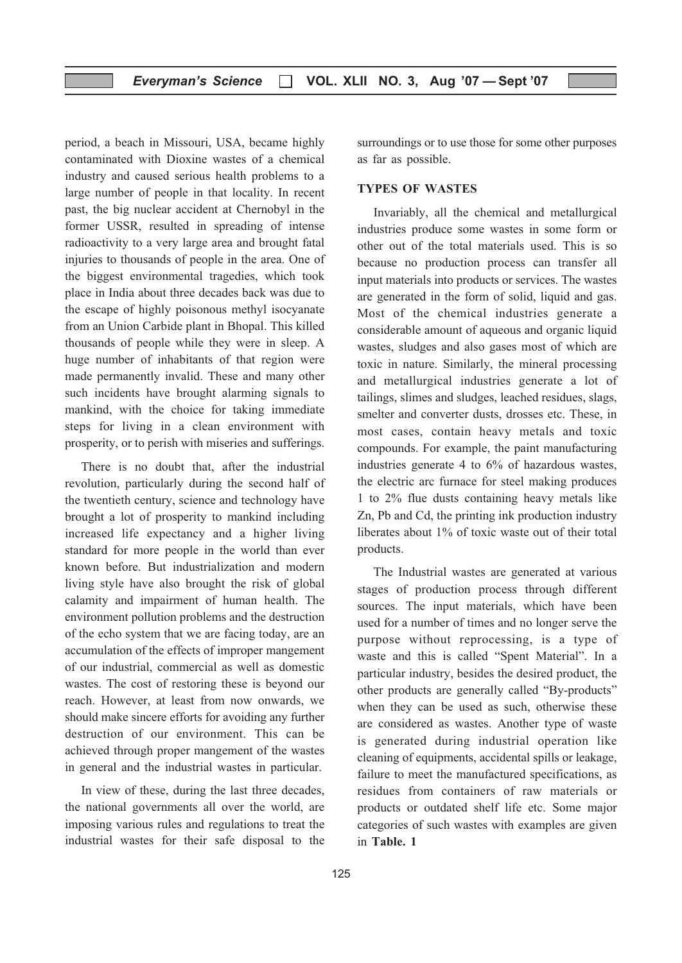period, a beach in Missouri, USA, became highly contaminated with Dioxine wastes of a chemical industry and caused serious health problems to a large number of people in that locality. In recent past, the big nuclear accident at Chernobyl in the former USSR, resulted in spreading of intense radioactivity to a very large area and brought fatal injuries to thousands of people in the area. One of the biggest environmental tragedies, which took place in India about three decades back was due to the escape of highly poisonous methyl isocyanate from an Union Carbide plant in Bhopal. This killed thousands of people while they were in sleep. A huge number of inhabitants of that region were made permanently invalid. These and many other such incidents have brought alarming signals to mankind, with the choice for taking immediate steps for living in a clean environment with prosperity, or to perish with miseries and sufferings.

There is no doubt that, after the industrial revolution, particularly during the second half of the twentieth century, science and technology have brought a lot of prosperity to mankind including increased life expectancy and a higher living standard for more people in the world than ever known before. But industrialization and modern living style have also brought the risk of global calamity and impairment of human health. The environment pollution problems and the destruction of the echo system that we are facing today, are an accumulation of the effects of improper mangement of our industrial, commercial as well as domestic wastes. The cost of restoring these is beyond our reach. However, at least from now onwards, we should make sincere efforts for avoiding any further destruction of our environment. This can be achieved through proper mangement of the wastes in general and the industrial wastes in particular.

In view of these, during the last three decades, the national governments all over the world, are imposing various rules and regulations to treat the industrial wastes for their safe disposal to the

surroundings or to use those for some other purposes as far as possible.

#### TYPES OF WASTES

Invariably, all the chemical and metallurgical industries produce some wastes in some form or other out of the total materials used. This is so because no production process can transfer all input materials into products or services. The wastes are generated in the form of solid, liquid and gas. Most of the chemical industries generate a considerable amount of aqueous and organic liquid wastes, sludges and also gases most of which are toxic in nature. Similarly, the mineral processing and metallurgical industries generate a lot of tailings, slimes and sludges, leached residues, slags, smelter and converter dusts, drosses etc. These, in most cases, contain heavy metals and toxic compounds. For example, the paint manufacturing industries generate 4 to 6% of hazardous wastes, the electric arc furnace for steel making produces 1 to 2% flue dusts containing heavy metals like Zn, Pb and Cd, the printing ink production industry liberates about 1% of toxic waste out of their total products.

The Industrial wastes are generated at various stages of production process through different sources. The input materials, which have been used for a number of times and no longer serve the purpose without reprocessing, is a type of waste and this is called "Spent Material". In a particular industry, besides the desired product, the other products are generally called "By-products" when they can be used as such, otherwise these are considered as wastes. Another type of waste is generated during industrial operation like cleaning of equipments, accidental spills or leakage, failure to meet the manufactured specifications, as residues from containers of raw materials or products or outdated shelf life etc. Some major categories of such wastes with examples are given in Table. 1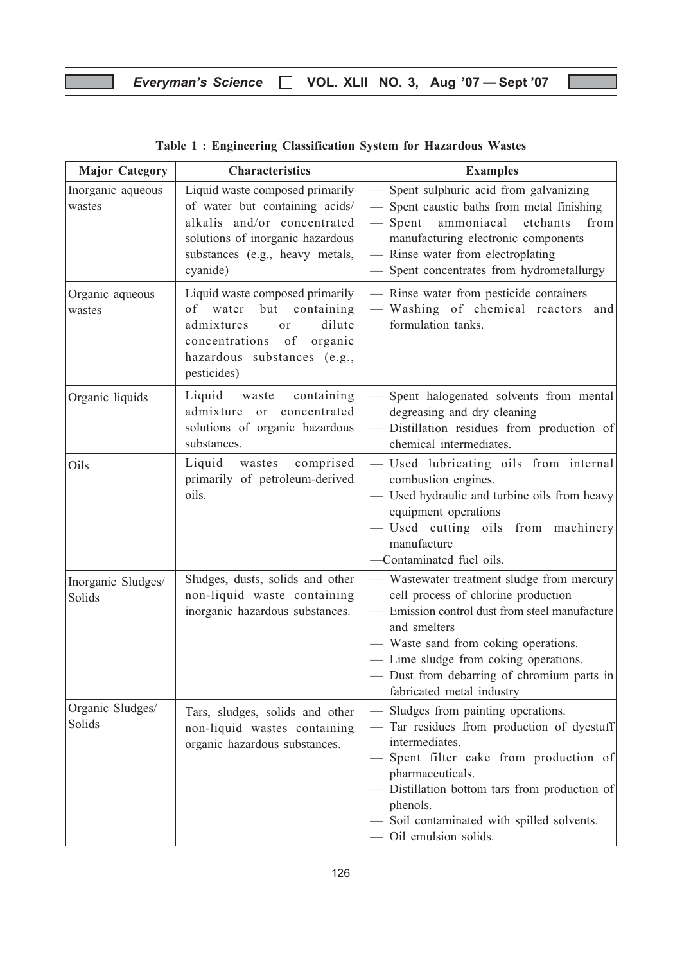## Everyman's Science □ VOL. XLII NO. 3, Aug '07 - Sept '07

| <b>Major Category</b>        | <b>Characteristics</b>                                                                                                                                                              | <b>Examples</b>                                                                                                                                                                                                                                                                                               |
|------------------------------|-------------------------------------------------------------------------------------------------------------------------------------------------------------------------------------|---------------------------------------------------------------------------------------------------------------------------------------------------------------------------------------------------------------------------------------------------------------------------------------------------------------|
| Inorganic aqueous<br>wastes  | Liquid waste composed primarily<br>of water but containing acids/<br>alkalis and/or concentrated<br>solutions of inorganic hazardous<br>substances (e.g., heavy metals,<br>cyanide) | - Spent sulphuric acid from galvanizing<br>- Spent caustic baths from metal finishing<br>- Spent ammoniacal etchants<br>from<br>manufacturing electronic components<br>- Rinse water from electroplating<br>- Spent concentrates from hydrometallurgy                                                         |
| Organic aqueous<br>wastes    | Liquid waste composed primarily<br>of water but containing<br>dilute<br>admixtures<br>or<br>concentrations of organic<br>hazardous substances (e.g.,<br>pesticides)                 | - Rinse water from pesticide containers<br>- Washing of chemical reactors and<br>formulation tanks.                                                                                                                                                                                                           |
| Organic liquids              | Liquid<br>waste<br>containing<br>admixture<br>or concentrated<br>solutions of organic hazardous<br>substances.                                                                      | - Spent halogenated solvents from mental<br>degreasing and dry cleaning<br>- Distillation residues from production of<br>chemical intermediates.                                                                                                                                                              |
| Oils                         | Liquid wastes comprised<br>primarily of petroleum-derived<br>oils.                                                                                                                  | - Used lubricating oils from internal<br>combustion engines.<br>- Used hydraulic and turbine oils from heavy<br>equipment operations<br>- Used cutting oils from machinery<br>manufacture<br>-Contaminated fuel oils.                                                                                         |
| Inorganic Sludges/<br>Solids | Sludges, dusts, solids and other<br>non-liquid waste containing<br>inorganic hazardous substances.                                                                                  | - Wastewater treatment sludge from mercury<br>cell process of chlorine production<br>Emission control dust from steel manufacture<br>and smelters<br>- Waste sand from coking operations.<br>- Lime sludge from coking operations.<br>- Dust from debarring of chromium parts in<br>fabricated metal industry |
| Organic Sludges/<br>Solids   | Tars, sludges, solids and other<br>non-liquid wastes containing<br>organic hazardous substances.                                                                                    | - Sludges from painting operations.<br>- Tar residues from production of dyestuff<br>intermediates.<br>- Spent filter cake from production of<br>pharmaceuticals.<br>Distillation bottom tars from production of<br>phenols.<br>- Soil contaminated with spilled solvents.<br>Oil emulsion solids.            |

## Table 1 : Engineering Classification System for Hazardous Wastes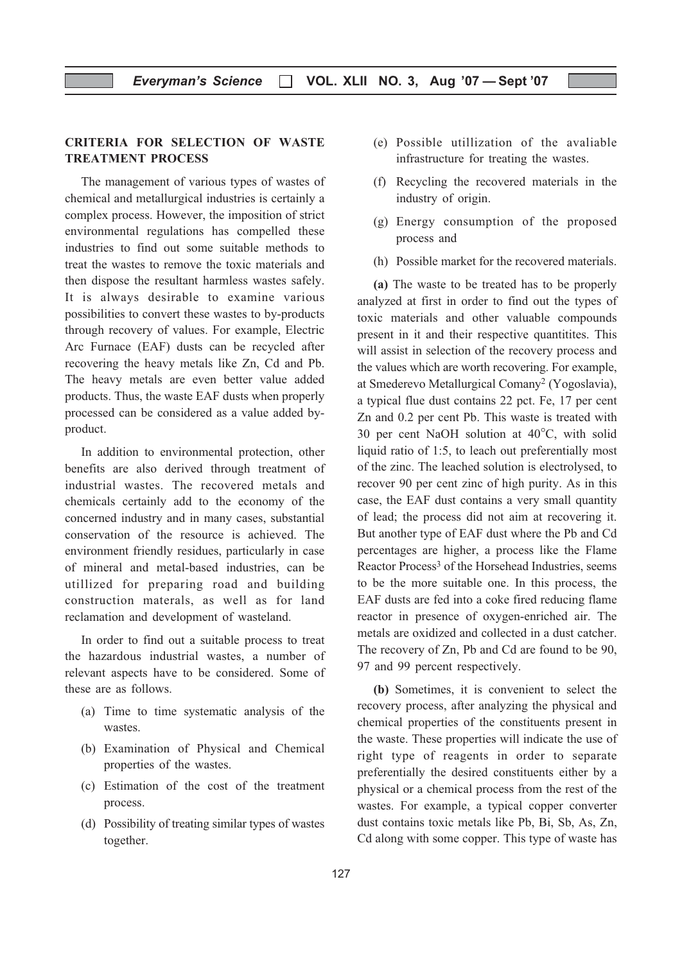#### CRITERIA FOR SELECTION OF WASTE TREATMENT PROCESS

The management of various types of wastes of chemical and metallurgical industries is certainly a complex process. However, the imposition of strict environmental regulations has compelled these industries to find out some suitable methods to treat the wastes to remove the toxic materials and then dispose the resultant harmless wastes safely. It is always desirable to examine various possibilities to convert these wastes to by-products through recovery of values. For example, Electric Arc Furnace (EAF) dusts can be recycled after recovering the heavy metals like Zn, Cd and Pb. The heavy metals are even better value added products. Thus, the waste EAF dusts when properly processed can be considered as a value added byproduct.

In addition to environmental protection, other benefits are also derived through treatment of industrial wastes. The recovered metals and chemicals certainly add to the economy of the concerned industry and in many cases, substantial conservation of the resource is achieved. The environment friendly residues, particularly in case of mineral and metal-based industries, can be utillized for preparing road and building construction materals, as well as for land reclamation and development of wasteland.

In order to find out a suitable process to treat the hazardous industrial wastes, a number of relevant aspects have to be considered. Some of these are as follows.

- (a) Time to time systematic analysis of the wastes.
- (b) Examination of Physical and Chemical properties of the wastes.
- (c) Estimation of the cost of the treatment process.
- (d) Possibility of treating similar types of wastes together.
- (e) Possible utillization of the avaliable infrastructure for treating the wastes.
- (f) Recycling the recovered materials in the industry of origin.
- (g) Energy consumption of the proposed process and
- (h) Possible market for the recovered materials.

(a) The waste to be treated has to be properly analyzed at first in order to find out the types of toxic materials and other valuable compounds present in it and their respective quantitites. This will assist in selection of the recovery process and the values which are worth recovering. For example, at Smederevo Metallurgical Comany2 (Yogoslavia), a typical flue dust contains 22 pct. Fe, 17 per cent Zn and 0.2 per cent Pb. This waste is treated with 30 per cent NaOH solution at 40°C, with solid liquid ratio of 1:5, to leach out preferentially most of the zinc. The leached solution is electrolysed, to recover 90 per cent zinc of high purity. As in this case, the EAF dust contains a very small quantity of lead; the process did not aim at recovering it. But another type of EAF dust where the Pb and Cd percentages are higher, a process like the Flame Reactor Process<sup>3</sup> of the Horsehead Industries, seems to be the more suitable one. In this process, the EAF dusts are fed into a coke fired reducing flame reactor in presence of oxygen-enriched air. The metals are oxidized and collected in a dust catcher. The recovery of Zn, Pb and Cd are found to be 90, 97 and 99 percent respectively.

(b) Sometimes, it is convenient to select the recovery process, after analyzing the physical and chemical properties of the constituents present in the waste. These properties will indicate the use of right type of reagents in order to separate preferentially the desired constituents either by a physical or a chemical process from the rest of the wastes. For example, a typical copper converter dust contains toxic metals like Pb, Bi, Sb, As, Zn, Cd along with some copper. This type of waste has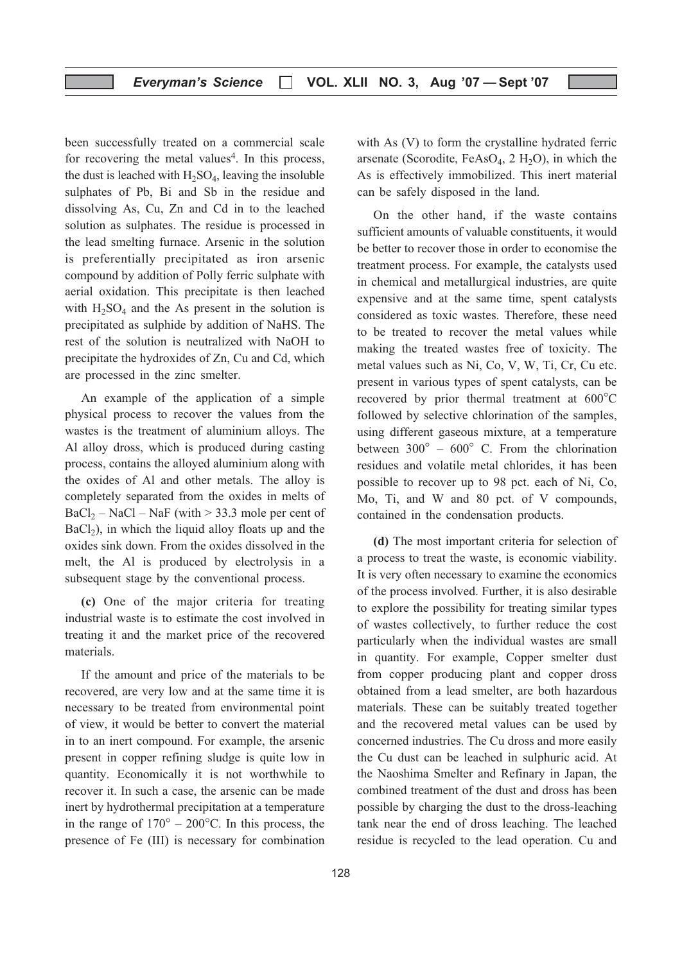been successfully treated on a commercial scale for recovering the metal values<sup>4</sup>. In this process, the dust is leached with  $H_2SO_4$ , leaving the insoluble sulphates of Pb, Bi and Sb in the residue and dissolving As, Cu, Zn and Cd in to the leached solution as sulphates. The residue is processed in the lead smelting furnace. Arsenic in the solution is preferentially precipitated as iron arsenic compound by addition of Polly ferric sulphate with aerial oxidation. This precipitate is then leached with  $H_2SO_4$  and the As present in the solution is precipitated as sulphide by addition of NaHS. The rest of the solution is neutralized with NaOH to precipitate the hydroxides of Zn, Cu and Cd, which are processed in the zinc smelter.

An example of the application of a simple physical process to recover the values from the wastes is the treatment of aluminium alloys. The Al alloy dross, which is produced during casting process, contains the alloyed aluminium along with the oxides of Al and other metals. The alloy is completely separated from the oxides in melts of  $BaCl<sub>2</sub> - NaCl - NaF$  (with  $> 33.3$  mole per cent of  $BaCl<sub>2</sub>$ ), in which the liquid alloy floats up and the oxides sink down. From the oxides dissolved in the melt, the Al is produced by electrolysis in a subsequent stage by the conventional process.

(c) One of the major criteria for treating industrial waste is to estimate the cost involved in treating it and the market price of the recovered materials.

If the amount and price of the materials to be recovered, are very low and at the same time it is necessary to be treated from environmental point of view, it would be better to convert the material in to an inert compound. For example, the arsenic present in copper refining sludge is quite low in quantity. Economically it is not worthwhile to recover it. In such a case, the arsenic can be made inert by hydrothermal precipitation at a temperature in the range of  $170^{\circ} - 200^{\circ}$ C. In this process, the presence of Fe (III) is necessary for combination with As (V) to form the crystalline hydrated ferric arsenate (Scorodite, FeAsO<sub>4</sub>, 2 H<sub>2</sub>O), in which the As is effectively immobilized. This inert material can be safely disposed in the land.

On the other hand, if the waste contains sufficient amounts of valuable constituents, it would be better to recover those in order to economise the treatment process. For example, the catalysts used in chemical and metallurgical industries, are quite expensive and at the same time, spent catalysts considered as toxic wastes. Therefore, these need to be treated to recover the metal values while making the treated wastes free of toxicity. The metal values such as Ni, Co, V, W, Ti, Cr, Cu etc. present in various types of spent catalysts, can be recovered by prior thermal treatment at 600°C followed by selective chlorination of the samples, using different gaseous mixture, at a temperature between  $300^{\circ}$  –  $600^{\circ}$  C. From the chlorination residues and volatile metal chlorides, it has been possible to recover up to 98 pct. each of Ni, Co, Mo, Ti, and W and 80 pct. of V compounds, contained in the condensation products.

(d) The most important criteria for selection of a process to treat the waste, is economic viability. It is very often necessary to examine the economics of the process involved. Further, it is also desirable to explore the possibility for treating similar types of wastes collectively, to further reduce the cost particularly when the individual wastes are small in quantity. For example, Copper smelter dust from copper producing plant and copper dross obtained from a lead smelter, are both hazardous materials. These can be suitably treated together and the recovered metal values can be used by concerned industries. The Cu dross and more easily the Cu dust can be leached in sulphuric acid. At the Naoshima Smelter and Refinary in Japan, the combined treatment of the dust and dross has been possible by charging the dust to the dross-leaching tank near the end of dross leaching. The leached residue is recycled to the lead operation. Cu and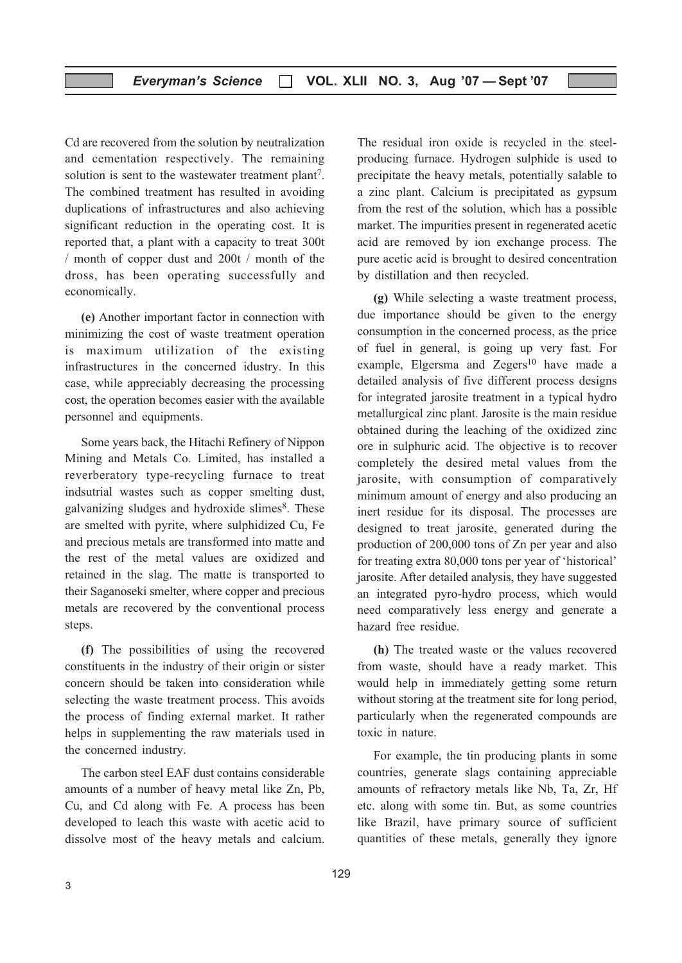Cd are recovered from the solution by neutralization and cementation respectively. The remaining solution is sent to the wastewater treatment plant<sup>7</sup>. The combined treatment has resulted in avoiding duplications of infrastructures and also achieving significant reduction in the operating cost. It is reported that, a plant with a capacity to treat 300t / month of copper dust and 200t / month of the dross, has been operating successfully and economically.

(e) Another important factor in connection with minimizing the cost of waste treatment operation is maximum utilization of the existing infrastructures in the concerned idustry. In this case, while appreciably decreasing the processing cost, the operation becomes easier with the available personnel and equipments.

Some years back, the Hitachi Refinery of Nippon Mining and Metals Co. Limited, has installed a reverberatory type-recycling furnace to treat indsutrial wastes such as copper smelting dust, galvanizing sludges and hydroxide slimes<sup>8</sup>. These are smelted with pyrite, where sulphidized Cu, Fe and precious metals are transformed into matte and the rest of the metal values are oxidized and retained in the slag. The matte is transported to their Saganoseki smelter, where copper and precious metals are recovered by the conventional process steps.

(f) The possibilities of using the recovered constituents in the industry of their origin or sister concern should be taken into consideration while selecting the waste treatment process. This avoids the process of finding external market. It rather helps in supplementing the raw materials used in the concerned industry.

The carbon steel EAF dust contains considerable amounts of a number of heavy metal like Zn, Pb, Cu, and Cd along with Fe. A process has been developed to leach this waste with acetic acid to dissolve most of the heavy metals and calcium.

The residual iron oxide is recycled in the steelproducing furnace. Hydrogen sulphide is used to precipitate the heavy metals, potentially salable to a zinc plant. Calcium is precipitated as gypsum from the rest of the solution, which has a possible market. The impurities present in regenerated acetic acid are removed by ion exchange process. The pure acetic acid is brought to desired concentration by distillation and then recycled.

(g) While selecting a waste treatment process, due importance should be given to the energy consumption in the concerned process, as the price of fuel in general, is going up very fast. For example, Elgersma and Zegers $10$  have made a detailed analysis of five different process designs for integrated jarosite treatment in a typical hydro metallurgical zinc plant. Jarosite is the main residue obtained during the leaching of the oxidized zinc ore in sulphuric acid. The objective is to recover completely the desired metal values from the jarosite, with consumption of comparatively minimum amount of energy and also producing an inert residue for its disposal. The processes are designed to treat jarosite, generated during the production of 200,000 tons of Zn per year and also for treating extra 80,000 tons per year of 'historical' jarosite. After detailed analysis, they have suggested an integrated pyro-hydro process, which would need comparatively less energy and generate a hazard free residue.

(h) The treated waste or the values recovered from waste, should have a ready market. This would help in immediately getting some return without storing at the treatment site for long period, particularly when the regenerated compounds are toxic in nature.

For example, the tin producing plants in some countries, generate slags containing appreciable amounts of refractory metals like Nb, Ta, Zr, Hf etc. along with some tin. But, as some countries like Brazil, have primary source of sufficient quantities of these metals, generally they ignore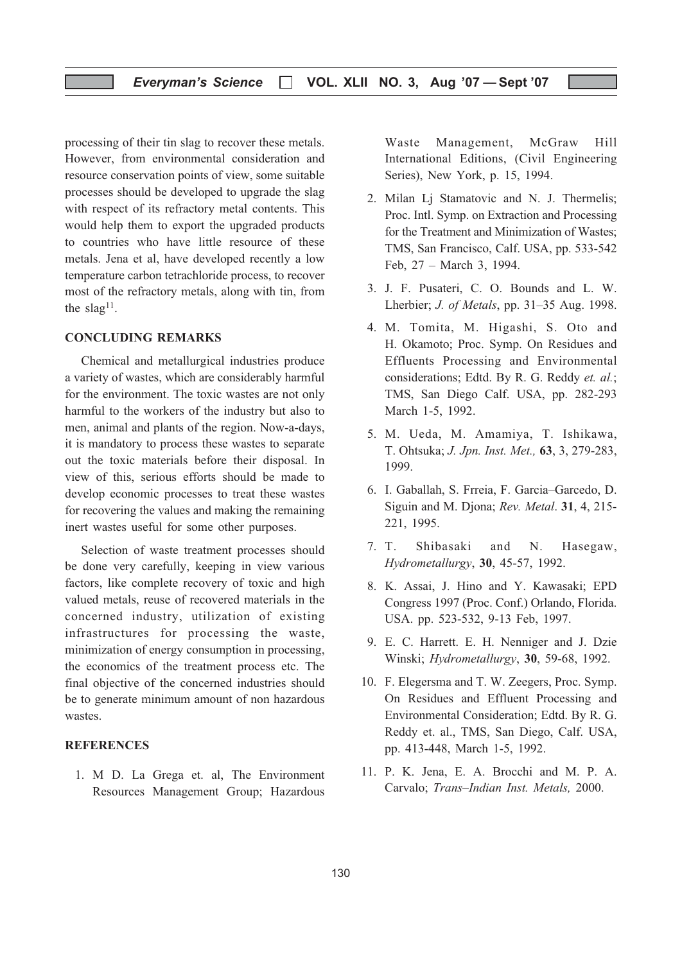processing of their tin slag to recover these metals. However, from environmental consideration and resource conservation points of view, some suitable processes should be developed to upgrade the slag with respect of its refractory metal contents. This would help them to export the upgraded products to countries who have little resource of these metals. Jena et al, have developed recently a low temperature carbon tetrachloride process, to recover most of the refractory metals, along with tin, from the  $slag<sup>11</sup>$ .

#### CONCLUDING REMARKS

Chemical and metallurgical industries produce a variety of wastes, which are considerably harmful for the environment. The toxic wastes are not only harmful to the workers of the industry but also to men, animal and plants of the region. Now-a-days, it is mandatory to process these wastes to separate out the toxic materials before their disposal. In view of this, serious efforts should be made to develop economic processes to treat these wastes for recovering the values and making the remaining inert wastes useful for some other purposes.

Selection of waste treatment processes should be done very carefully, keeping in view various factors, like complete recovery of toxic and high valued metals, reuse of recovered materials in the concerned industry, utilization of existing infrastructures for processing the waste, minimization of energy consumption in processing, the economics of the treatment process etc. The final objective of the concerned industries should be to generate minimum amount of non hazardous wastes.

#### **REFERENCES**

1. M D. La Grega et. al, The Environment Resources Management Group; Hazardous Waste Management, McGraw Hill International Editions, (Civil Engineering Series), New York, p. 15, 1994.

- 2. Milan Lj Stamatovic and N. J. Thermelis; Proc. Intl. Symp. on Extraction and Processing for the Treatment and Minimization of Wastes; TMS, San Francisco, Calf. USA, pp. 533-542 Feb, 27 – March 3, 1994.
- 3. J. F. Pusateri, C. O. Bounds and L. W. Lherbier; J. of Metals, pp. 31–35 Aug. 1998.
- 4. M. Tomita, M. Higashi, S. Oto and H. Okamoto; Proc. Symp. On Residues and Effluents Processing and Environmental considerations; Edtd. By R. G. Reddy et. al.; TMS, San Diego Calf. USA, pp. 282-293 March 1-5, 1992.
- 5. M. Ueda, M. Amamiya, T. Ishikawa, T. Ohtsuka; J. Jpn. Inst. Met., 63, 3, 279-283, 1999.
- 6. I. Gaballah, S. Frreia, F. Garcia–Garcedo, D. Siguin and M. Djona; Rev. Metal. 31, 4, 215- 221, 1995.
- 7. T. Shibasaki and N. Hasegaw, Hydrometallurgy, 30, 45-57, 1992.
- 8. K. Assai, J. Hino and Y. Kawasaki; EPD Congress 1997 (Proc. Conf.) Orlando, Florida. USA. pp. 523-532, 9-13 Feb, 1997.
- 9. E. C. Harrett. E. H. Nenniger and J. Dzie Winski; Hydrometallurgy, 30, 59-68, 1992.
- 10. F. Elegersma and T. W. Zeegers, Proc. Symp. On Residues and Effluent Processing and Environmental Consideration; Edtd. By R. G. Reddy et. al., TMS, San Diego, Calf. USA, pp. 413-448, March 1-5, 1992.
- 11. P. K. Jena, E. A. Brocchi and M. P. A. Carvalo; Trans–Indian Inst. Metals, 2000.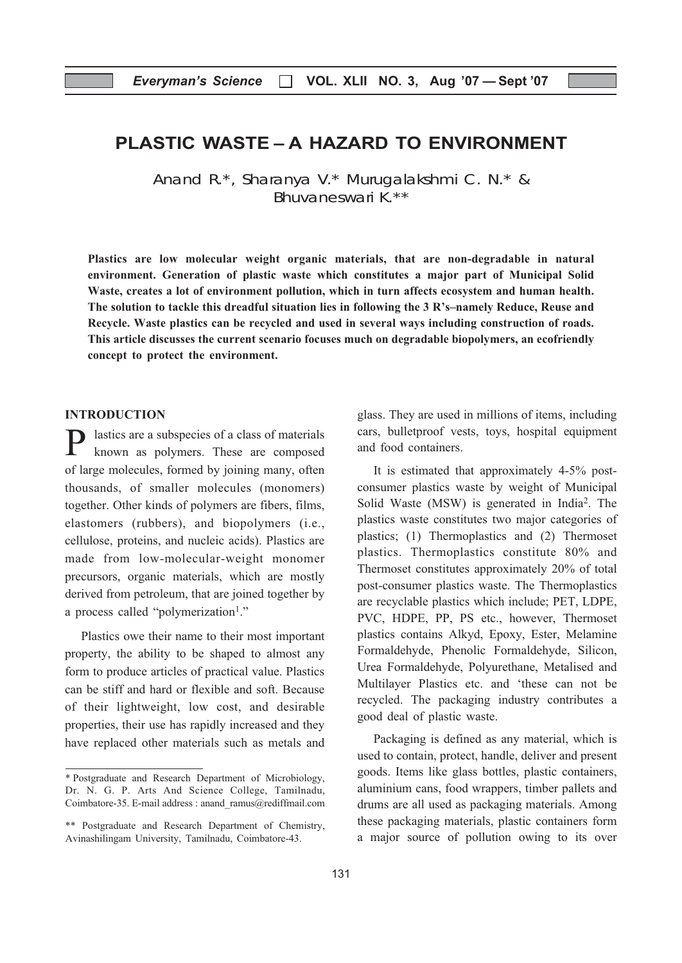## PLASTIC WASTE – A HAZARD TO ENVIRONMENT

Anand R.\*, Sharanya V.\* Murugalakshmi C. N.\* & Bhuvaneswari K.\*\*

Plastics are low molecular weight organic materials, that are non-degradable in natural environment. Generation of plastic waste which constitutes a major part of Municipal Solid Waste, creates a lot of environment pollution, which in turn affects ecosystem and human health. The solution to tackle this dreadful situation lies in following the 3 R's–namely Reduce, Reuse and Recycle. Waste plastics can be recycled and used in several ways including construction of roads. This article discusses the current scenario focuses much on degradable biopolymers, an ecofriendly concept to protect the environment.

#### INTRODUCTION

lastics are a subspecies of a class of materials known as polymers. These are composed of large molecules, formed by joining many, often thousands, of smaller molecules (monomers) together. Other kinds of polymers are fibers, films, elastomers (rubbers), and biopolymers (i.e., cellulose, proteins, and nucleic acids). Plastics are made from low-molecular-weight monomer precursors, organic materials, which are mostly derived from petroleum, that are joined together by a process called "polymerization<sup>1</sup>."

Plastics owe their name to their most important property, the ability to be shaped to almost any form to produce articles of practical value. Plastics can be stiff and hard or flexible and soft. Because of their lightweight, low cost, and desirable properties, their use has rapidly increased and they have replaced other materials such as metals and glass. They are used in millions of items, including cars, bulletproof vests, toys, hospital equipment and food containers.

It is estimated that approximately 4-5% postconsumer plastics waste by weight of Municipal Solid Waste (MSW) is generated in India2. The plastics waste constitutes two major categories of plastics; (1) Thermoplastics and (2) Thermoset plastics. Thermoplastics constitute 80% and Thermoset constitutes approximately 20% of total post-consumer plastics waste. The Thermoplastics are recyclable plastics which include; PET, LDPE, PVC, HDPE, PP, PS etc., however, Thermoset plastics contains Alkyd, Epoxy, Ester, Melamine Formaldehyde, Phenolic Formaldehyde, Silicon, Urea Formaldehyde, Polyurethane, Metalised and Multilayer Plastics etc. and 'these can not be recycled. The packaging industry contributes a good deal of plastic waste.

Packaging is defined as any material, which is used to contain, protect, handle, deliver and present goods. Items like glass bottles, plastic containers, aluminium cans, food wrappers, timber pallets and drums are all used as packaging materials. Among these packaging materials, plastic containers form a major source of pollution owing to its over

<sup>\*</sup> Postgraduate and Research Department of Microbiology, Dr. N. G. P. Arts And Science College, Tamilnadu, Coimbatore-35. E-mail address : anand\_ramus@rediffmail.com

<sup>\*\*</sup> Postgraduate and Research Department of Chemistry, Avinashilingam University, Tamilnadu, Coimbatore-43.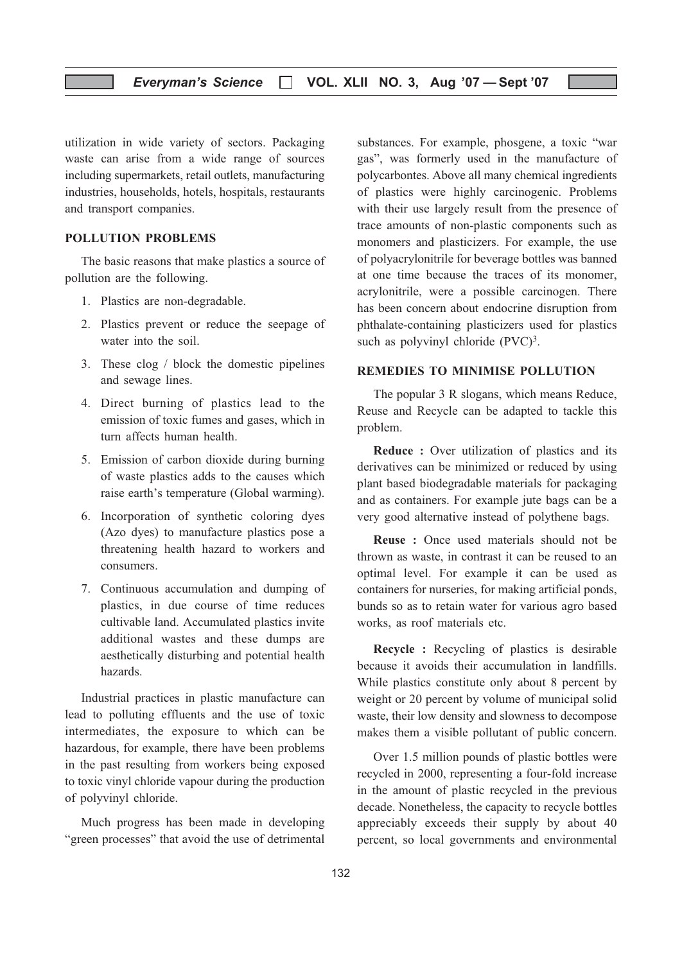utilization in wide variety of sectors. Packaging waste can arise from a wide range of sources including supermarkets, retail outlets, manufacturing industries, households, hotels, hospitals, restaurants and transport companies.

#### POLLUTION PROBLEMS

The basic reasons that make plastics a source of pollution are the following.

- 1. Plastics are non-degradable.
- 2. Plastics prevent or reduce the seepage of water into the soil.
- 3. These clog / block the domestic pipelines and sewage lines.
- 4. Direct burning of plastics lead to the emission of toxic fumes and gases, which in turn affects human health.
- 5. Emission of carbon dioxide during burning of waste plastics adds to the causes which raise earth's temperature (Global warming).
- 6. Incorporation of synthetic coloring dyes (Azo dyes) to manufacture plastics pose a threatening health hazard to workers and consumers.
- 7. Continuous accumulation and dumping of plastics, in due course of time reduces cultivable land. Accumulated plastics invite additional wastes and these dumps are aesthetically disturbing and potential health hazards.

Industrial practices in plastic manufacture can lead to polluting effluents and the use of toxic intermediates, the exposure to which can be hazardous, for example, there have been problems in the past resulting from workers being exposed to toxic vinyl chloride vapour during the production of polyvinyl chloride.

Much progress has been made in developing "green processes" that avoid the use of detrimental

substances. For example, phosgene, a toxic "war gas", was formerly used in the manufacture of polycarbontes. Above all many chemical ingredients of plastics were highly carcinogenic. Problems with their use largely result from the presence of trace amounts of non-plastic components such as monomers and plasticizers. For example, the use of polyacrylonitrile for beverage bottles was banned at one time because the traces of its monomer, acrylonitrile, were a possible carcinogen. There has been concern about endocrine disruption from phthalate-containing plasticizers used for plastics such as polyvinyl chloride (PVC)<sup>3</sup>.

#### REMEDIES TO MINIMISE POLLUTION

The popular 3 R slogans, which means Reduce, Reuse and Recycle can be adapted to tackle this problem.

Reduce : Over utilization of plastics and its derivatives can be minimized or reduced by using plant based biodegradable materials for packaging and as containers. For example jute bags can be a very good alternative instead of polythene bags.

Reuse : Once used materials should not be thrown as waste, in contrast it can be reused to an optimal level. For example it can be used as containers for nurseries, for making artificial ponds, bunds so as to retain water for various agro based works, as roof materials etc.

Recycle : Recycling of plastics is desirable because it avoids their accumulation in landfills. While plastics constitute only about 8 percent by weight or 20 percent by volume of municipal solid waste, their low density and slowness to decompose makes them a visible pollutant of public concern.

Over 1.5 million pounds of plastic bottles were recycled in 2000, representing a four-fold increase in the amount of plastic recycled in the previous decade. Nonetheless, the capacity to recycle bottles appreciably exceeds their supply by about 40 percent, so local governments and environmental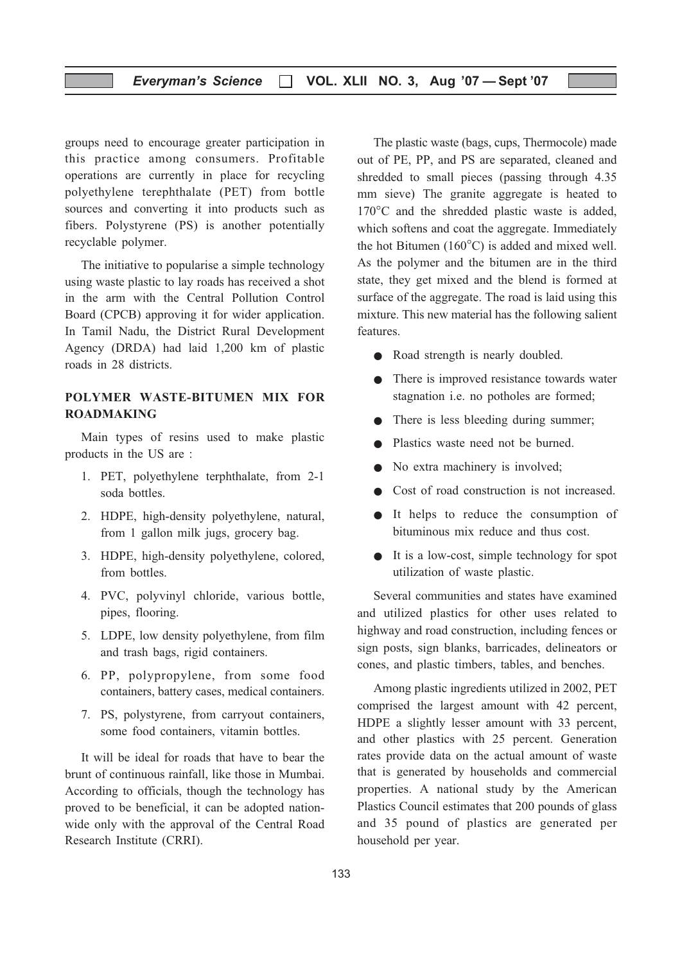groups need to encourage greater participation in this practice among consumers. Profitable operations are currently in place for recycling polyethylene terephthalate (PET) from bottle sources and converting it into products such as fibers. Polystyrene (PS) is another potentially recyclable polymer.

The initiative to popularise a simple technology using waste plastic to lay roads has received a shot in the arm with the Central Pollution Control Board (CPCB) approving it for wider application. In Tamil Nadu, the District Rural Development Agency (DRDA) had laid 1,200 km of plastic roads in 28 districts.

#### POLYMER WASTE-BITUMEN MIX FOR ROADMAKING

Main types of resins used to make plastic products in the US are :

- 1. PET, polyethylene terphthalate, from 2-1 soda bottles.
- 2. HDPE, high-density polyethylene, natural, from 1 gallon milk jugs, grocery bag.
- 3. HDPE, high-density polyethylene, colored, from bottles.
- 4. PVC, polyvinyl chloride, various bottle, pipes, flooring.
- 5. LDPE, low density polyethylene, from film and trash bags, rigid containers.
- 6. PP, polypropylene, from some food containers, battery cases, medical containers.
- 7. PS, polystyrene, from carryout containers, some food containers, vitamin bottles.

It will be ideal for roads that have to bear the brunt of continuous rainfall, like those in Mumbai. According to officials, though the technology has proved to be beneficial, it can be adopted nationwide only with the approval of the Central Road Research Institute (CRRI).

The plastic waste (bags, cups, Thermocole) made out of PE, PP, and PS are separated, cleaned and shredded to small pieces (passing through 4.35 mm sieve) The granite aggregate is heated to 170°C and the shredded plastic waste is added, which softens and coat the aggregate. Immediately the hot Bitumen (160°C) is added and mixed well. As the polymer and the bitumen are in the third state, they get mixed and the blend is formed at surface of the aggregate. The road is laid using this mixture. This new material has the following salient features.

- Road strength is nearly doubled.
- There is improved resistance towards water stagnation i.e. no potholes are formed;
- There is less bleeding during summer;
- Plastics waste need not be burned.
- No extra machinery is involved;
- Cost of road construction is not increased.
- It helps to reduce the consumption of bituminous mix reduce and thus cost.
- It is a low-cost, simple technology for spot utilization of waste plastic.

Several communities and states have examined and utilized plastics for other uses related to highway and road construction, including fences or sign posts, sign blanks, barricades, delineators or cones, and plastic timbers, tables, and benches.

Among plastic ingredients utilized in 2002, PET comprised the largest amount with 42 percent, HDPE a slightly lesser amount with 33 percent, and other plastics with 25 percent. Generation rates provide data on the actual amount of waste that is generated by households and commercial properties. A national study by the American Plastics Council estimates that 200 pounds of glass and 35 pound of plastics are generated per household per year.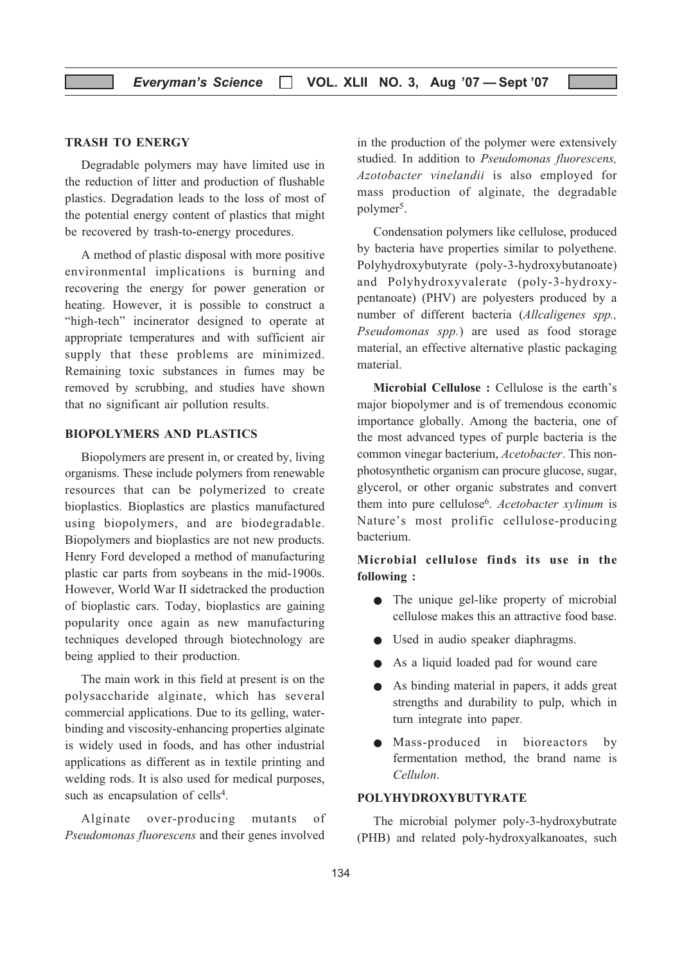#### TRASH TO ENERGY

Degradable polymers may have limited use in the reduction of litter and production of flushable plastics. Degradation leads to the loss of most of the potential energy content of plastics that might be recovered by trash-to-energy procedures.

A method of plastic disposal with more positive environmental implications is burning and recovering the energy for power generation or heating. However, it is possible to construct a "high-tech" incinerator designed to operate at appropriate temperatures and with sufficient air supply that these problems are minimized. Remaining toxic substances in fumes may be removed by scrubbing, and studies have shown that no significant air pollution results.

#### BIOPOLYMERS AND PLASTICS

Biopolymers are present in, or created by, living organisms. These include polymers from renewable resources that can be polymerized to create bioplastics. Bioplastics are plastics manufactured using biopolymers, and are biodegradable. Biopolymers and bioplastics are not new products. Henry Ford developed a method of manufacturing plastic car parts from soybeans in the mid-1900s. However, World War II sidetracked the production of bioplastic cars. Today, bioplastics are gaining popularity once again as new manufacturing techniques developed through biotechnology are being applied to their production.

The main work in this field at present is on the polysaccharide alginate, which has several commercial applications. Due to its gelling, waterbinding and viscosity-enhancing properties alginate is widely used in foods, and has other industrial applications as different as in textile printing and welding rods. It is also used for medical purposes, such as encapsulation of cells<sup>4</sup>.

Alginate over-producing mutants of Pseudomonas fluorescens and their genes involved

in the production of the polymer were extensively studied. In addition to Pseudomonas fluorescens, Azotobacter vinelandii is also employed for mass production of alginate, the degradable polymer<sup>5</sup>.

Condensation polymers like cellulose, produced by bacteria have properties similar to polyethene. Polyhydroxybutyrate (poly-3-hydroxybutanoate) and Polyhydroxyvalerate (poly-3-hydroxypentanoate) (PHV) are polyesters produced by a number of different bacteria (Allcaligenes spp., Pseudomonas spp.) are used as food storage material, an effective alternative plastic packaging material.

Microbial Cellulose : Cellulose is the earth's major biopolymer and is of tremendous economic importance globally. Among the bacteria, one of the most advanced types of purple bacteria is the common vinegar bacterium, Acetobacter. This nonphotosynthetic organism can procure glucose, sugar, glycerol, or other organic substrates and convert them into pure cellulose<sup>6</sup>. Acetobacter xylinum is Nature's most prolific cellulose-producing bacterium.

Microbial cellulose finds its use in the following :

- The unique gel-like property of microbial cellulose makes this an attractive food base.
- Used in audio speaker diaphragms.
- As a liquid loaded pad for wound care
- As binding material in papers, it adds great strengths and durability to pulp, which in turn integrate into paper.
- Mass-produced in bioreactors by fermentation method, the brand name is Cellulon.

#### POLYHYDROXYBUTYRATE

The microbial polymer poly-3-hydroxybutrate (PHB) and related poly-hydroxyalkanoates, such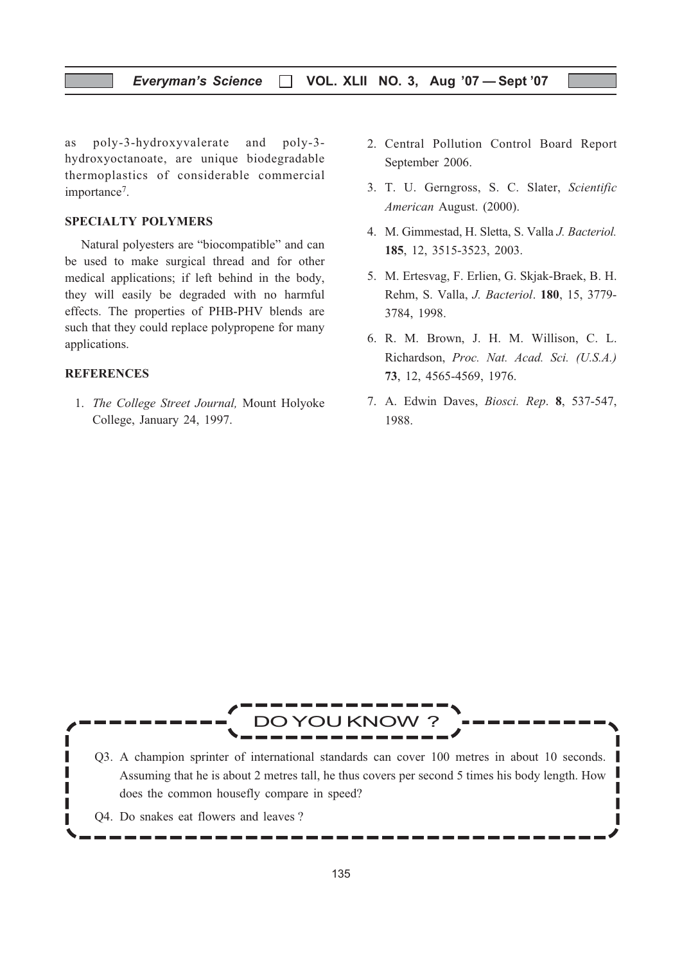#### Everyman's Science  $\Box$  VOL. XLII NO. 3, Aug '07 - Sept '07

as poly-3-hydroxyvalerate and poly-3 hydroxyoctanoate, are unique biodegradable thermoplastics of considerable commercial importance<sup>7</sup>.

#### SPECIALTY POLYMERS

Natural polyesters are "biocompatible" and can be used to make surgical thread and for other medical applications; if left behind in the body, they will easily be degraded with no harmful effects. The properties of PHB-PHV blends are such that they could replace polypropene for many applications.

#### **REFERENCES**

1. The College Street Journal, Mount Holyoke College, January 24, 1997.

- 2. Central Pollution Control Board Report September 2006.
- 3. T. U. Gerngross, S. C. Slater, Scientific American August. (2000).
- 4. M. Gimmestad, H. Sletta, S. Valla J. Bacteriol. 185, 12, 3515-3523, 2003.
- 5. M. Ertesvag, F. Erlien, G. Skjak-Braek, B. H. Rehm, S. Valla, J. Bacteriol. 180, 15, 3779- 3784, 1998.
- 6. R. M. Brown, J. H. M. Willison, C. L. Richardson, Proc. Nat. Acad. Sci. (U.S.A.) 73, 12, 4565-4569, 1976.
- 7. A. Edwin Daves, Biosci. Rep. 8, 537-547, 1988.

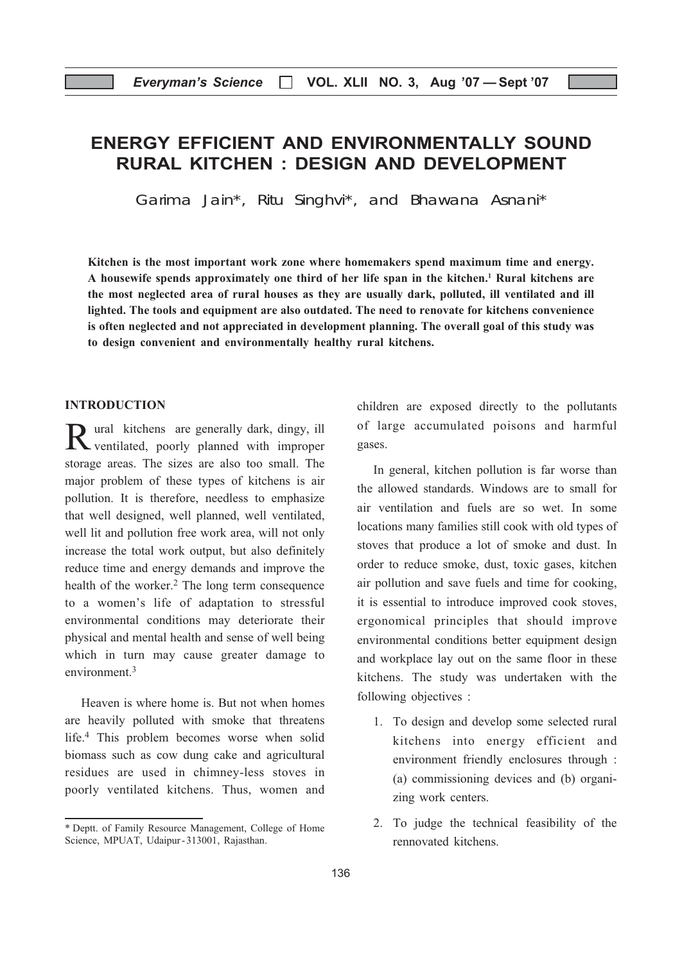## ENERGY EFFICIENT AND ENVIRONMENTALLY SOUND RURAL KITCHEN : DESIGN AND DEVELOPMENT

Garima Jain\*, Ritu Singhvi\*, and Bhawana Asnani\*

Kitchen is the most important work zone where homemakers spend maximum time and energy. A housewife spends approximately one third of her life span in the kitchen.1 Rural kitchens are the most neglected area of rural houses as they are usually dark, polluted, ill ventilated and ill lighted. The tools and equipment are also outdated. The need to renovate for kitchens convenience is often neglected and not appreciated in development planning. The overall goal of this study was to design convenient and environmentally healthy rural kitchens.

#### INTRODUCTION

Rural kitchens are generally dark, dingy, ill ventilated, poorly planned with improper storage areas. The sizes are also too small. The major problem of these types of kitchens is air pollution. It is therefore, needless to emphasize that well designed, well planned, well ventilated, well lit and pollution free work area, will not only increase the total work output, but also definitely reduce time and energy demands and improve the health of the worker.<sup>2</sup> The long term consequence to a women's life of adaptation to stressful environmental conditions may deteriorate their physical and mental health and sense of well being which in turn may cause greater damage to environment<sup>3</sup>

Heaven is where home is. But not when homes are heavily polluted with smoke that threatens life.4 This problem becomes worse when solid biomass such as cow dung cake and agricultural residues are used in chimney-less stoves in poorly ventilated kitchens. Thus, women and

children are exposed directly to the pollutants of large accumulated poisons and harmful gases.

In general, kitchen pollution is far worse than the allowed standards. Windows are to small for air ventilation and fuels are so wet. In some locations many families still cook with old types of stoves that produce a lot of smoke and dust. In order to reduce smoke, dust, toxic gases, kitchen air pollution and save fuels and time for cooking, it is essential to introduce improved cook stoves, ergonomical principles that should improve environmental conditions better equipment design and workplace lay out on the same floor in these kitchens. The study was undertaken with the following objectives :

- 1. To design and develop some selected rural kitchens into energy efficient and environment friendly enclosures through : (a) commissioning devices and (b) organizing work centers.
- 2. To judge the technical feasibility of the rennovated kitchens.

<sup>\*</sup> Deptt. of Family Resource Management, College of Home Science, MPUAT, Udaipur-313001, Rajasthan.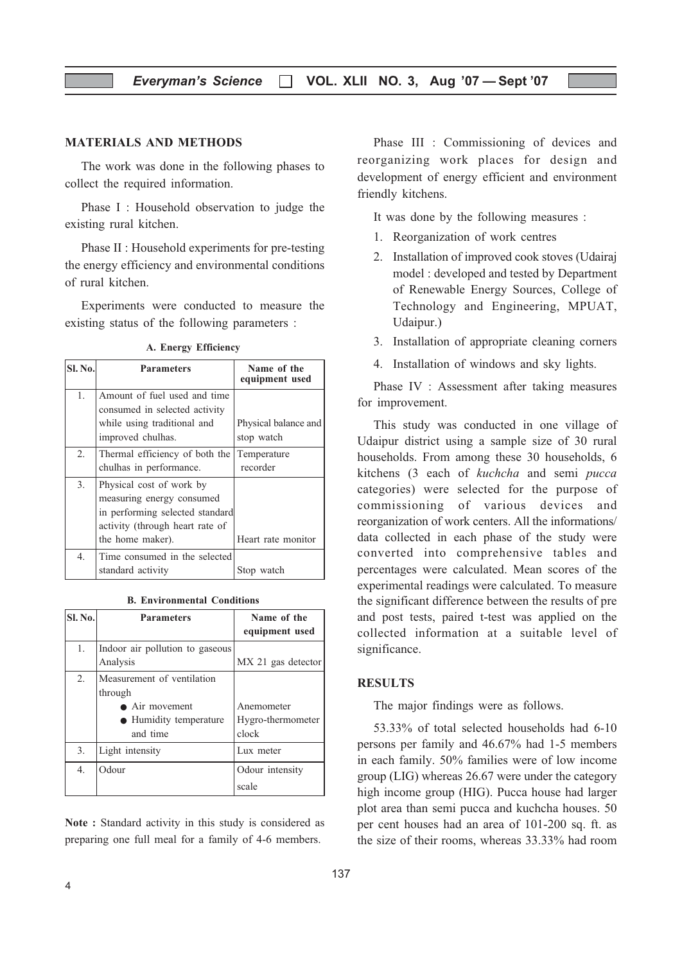#### MATERIALS AND METHODS

The work was done in the following phases to collect the required information.

Phase I : Household observation to judge the existing rural kitchen.

Phase II : Household experiments for pre-testing the energy efficiency and environmental conditions of rural kitchen.

Experiments were conducted to measure the existing status of the following parameters :

| <b>SI. No.</b> | <b>Parameters</b>                                                                                                                               | Name of the<br>equipment used      |
|----------------|-------------------------------------------------------------------------------------------------------------------------------------------------|------------------------------------|
| 1.             | Amount of fuel used and time<br>consumed in selected activity<br>while using traditional and<br>improved chulhas.                               | Physical balance and<br>stop watch |
| 2.             | Thermal efficiency of both the<br>chulhas in performance.                                                                                       | Temperature<br>recorder            |
| 3.             | Physical cost of work by<br>measuring energy consumed<br>in performing selected standard<br>activity (through heart rate of<br>the home maker). | Heart rate monitor                 |
| 4.             | Time consumed in the selected<br>standard activity                                                                                              | Stop watch                         |

A. Energy Efficiency

| <b>B. Environmental Conditions</b> |  |
|------------------------------------|--|
|------------------------------------|--|

| <b>Sl. No.</b>   | <b>Parameters</b>                                                                             | Name of the<br>equipment used            |
|------------------|-----------------------------------------------------------------------------------------------|------------------------------------------|
| 1.               | Indoor air pollution to gaseous<br>Analysis                                                   | MX 21 gas detector                       |
| 2.               | Measurement of ventilation<br>through<br>• Air movement<br>• Humidity temperature<br>and time | Anemometer<br>Hygro-thermometer<br>clock |
| 3.               | Light intensity                                                                               | Lux meter                                |
| $\overline{4}$ . | Odour                                                                                         | Odour intensity<br>scale                 |

Note : Standard activity in this study is considered as preparing one full meal for a family of 4-6 members.

Phase III : Commissioning of devices and reorganizing work places for design and development of energy efficient and environment friendly kitchens.

It was done by the following measures :

- 1. Reorganization of work centres
- 2. Installation of improved cook stoves (Udairaj model : developed and tested by Department of Renewable Energy Sources, College of Technology and Engineering, MPUAT, Udaipur.)
- 3. Installation of appropriate cleaning corners
- 4. Installation of windows and sky lights.

Phase IV : Assessment after taking measures for improvement.

This study was conducted in one village of Udaipur district using a sample size of 30 rural households. From among these 30 households, 6 kitchens (3 each of kuchcha and semi pucca categories) were selected for the purpose of commissioning of various devices and reorganization of work centers. All the informations/ data collected in each phase of the study were converted into comprehensive tables and percentages were calculated. Mean scores of the experimental readings were calculated. To measure the significant difference between the results of pre and post tests, paired t-test was applied on the collected information at a suitable level of significance.

#### RESULTS

The major findings were as follows.

53.33% of total selected households had 6-10 persons per family and 46.67% had 1-5 members in each family. 50% families were of low income group (LIG) whereas 26.67 were under the category high income group (HIG). Pucca house had larger plot area than semi pucca and kuchcha houses. 50 per cent houses had an area of 101-200 sq. ft. as the size of their rooms, whereas 33.33% had room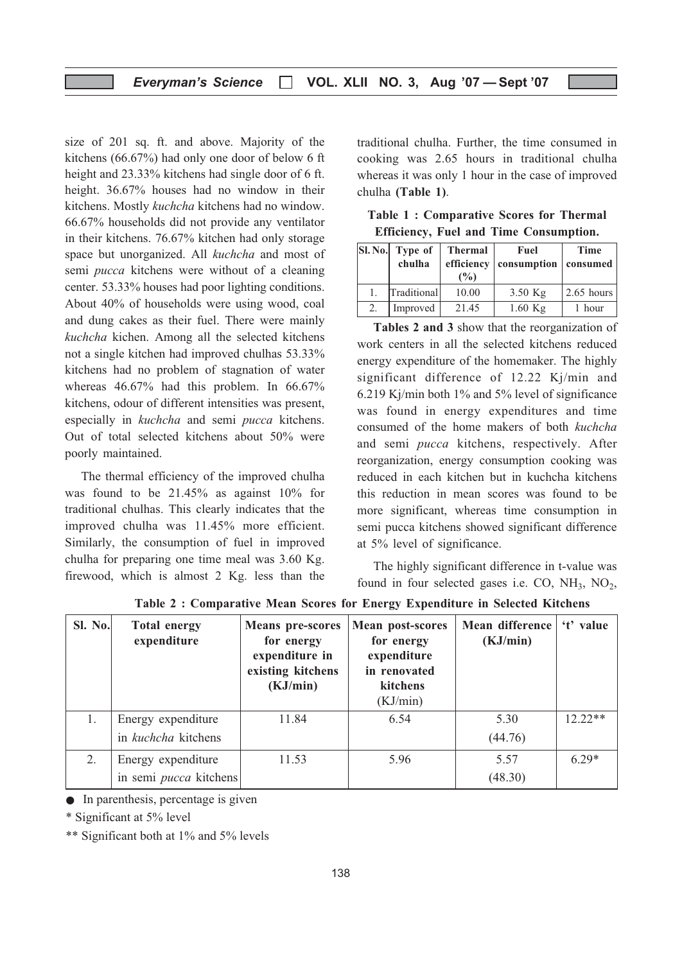size of 201 sq. ft. and above. Majority of the kitchens (66.67%) had only one door of below 6 ft height and 23.33% kitchens had single door of 6 ft. height. 36.67% houses had no window in their kitchens. Mostly kuchcha kitchens had no window. 66.67% households did not provide any ventilator in their kitchens. 76.67% kitchen had only storage space but unorganized. All kuchcha and most of semi pucca kitchens were without of a cleaning center. 53.33% houses had poor lighting conditions. About 40% of households were using wood, coal and dung cakes as their fuel. There were mainly kuchcha kichen. Among all the selected kitchens not a single kitchen had improved chulhas 53.33% kitchens had no problem of stagnation of water whereas 46.67% had this problem. In 66.67% kitchens, odour of different intensities was present, especially in kuchcha and semi pucca kitchens. Out of total selected kitchens about 50% were poorly maintained.

The thermal efficiency of the improved chulha was found to be 21.45% as against 10% for traditional chulhas. This clearly indicates that the improved chulha was 11.45% more efficient. Similarly, the consumption of fuel in improved chulha for preparing one time meal was 3.60 Kg. firewood, which is almost 2 Kg. less than the traditional chulha. Further, the time consumed in cooking was 2.65 hours in traditional chulha whereas it was only 1 hour in the case of improved chulha (Table 1).

Table 1 : Comparative Scores for Thermal Efficiency, Fuel and Time Consumption.

|    | Sl. No. Type of<br>chulha | <b>Thermal</b><br>efficiency | Fuel<br>consumption | <b>Time</b><br>consumed |
|----|---------------------------|------------------------------|---------------------|-------------------------|
|    |                           | $\frac{6}{2}$                |                     |                         |
| 1. | Traditional               | 10.00                        | $3.50$ Kg           | $2.65$ hours            |
| 2. | Improved                  | 21.45                        | $1.60$ Kg           | 1 hour                  |

Tables 2 and 3 show that the reorganization of work centers in all the selected kitchens reduced energy expenditure of the homemaker. The highly significant difference of 12.22 Kj/min and 6.219 Kj/min both 1% and 5% level of significance was found in energy expenditures and time consumed of the home makers of both kuchcha and semi pucca kitchens, respectively. After reorganization, energy consumption cooking was reduced in each kitchen but in kuchcha kitchens this reduction in mean scores was found to be more significant, whereas time consumption in semi pucca kitchens showed significant difference at 5% level of significance.

The highly significant difference in t-value was found in four selected gases i.e. CO,  $NH_3$ ,  $NO_2$ ,

| Sl. No. | <b>Total energy</b><br>expenditure | <b>Means</b> pre-scores<br>for energy<br>expenditure in<br>existing kitchens<br>(KJ/min) | <b>Mean post-scores</b><br>for energy<br>expenditure<br>in renovated<br>kitchens<br>(KJ/min) | Mean difference<br>(KJ/min) | 't' value |
|---------|------------------------------------|------------------------------------------------------------------------------------------|----------------------------------------------------------------------------------------------|-----------------------------|-----------|
|         | Energy expenditure                 | 11.84                                                                                    | 6.54                                                                                         | 5.30                        | $12.22**$ |
|         | in kuchcha kitchens                |                                                                                          |                                                                                              | (44.76)                     |           |
| 2.      | Energy expenditure                 | 11.53                                                                                    | 5.96                                                                                         | 5.57                        | $6.29*$   |
|         | in semi <i>pucca</i> kitchens      |                                                                                          |                                                                                              | (48.30)                     |           |

Table 2 : Comparative Mean Scores for Energy Expenditure in Selected Kitchens

• In parenthesis, percentage is given

\* Significant at 5% level

\*\* Significant both at 1% and 5% levels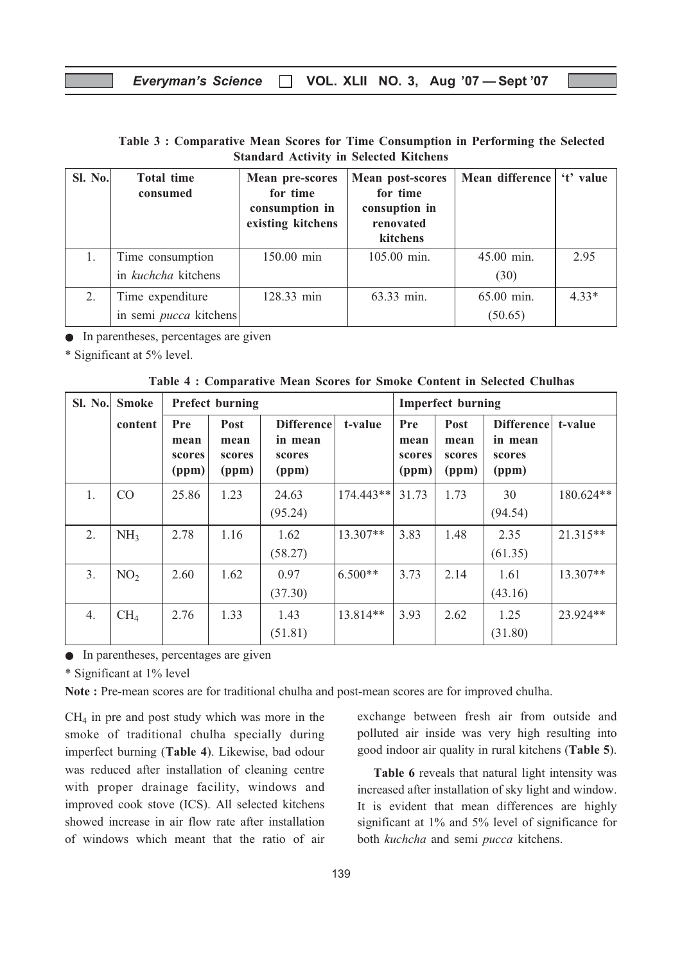| Table 3: Comparative Mean Scores for Time Consumption in Performing the Selected |  |                                               |  |  |
|----------------------------------------------------------------------------------|--|-----------------------------------------------|--|--|
|                                                                                  |  | <b>Standard Activity in Selected Kitchens</b> |  |  |

| Sl. No. | <b>Total time</b><br>consumed | <b>Mean pre-scores</b><br>for time<br>consumption in<br>existing kitchens | Mean post-scores<br>for time<br>consuption in<br>renovated<br>kitchens | Mean difference   't' value |         |
|---------|-------------------------------|---------------------------------------------------------------------------|------------------------------------------------------------------------|-----------------------------|---------|
| 1.      | Time consumption              | 150.00 min                                                                | 105.00 min.                                                            | 45.00 min.                  | 2.95    |
|         | in kuchcha kitchens           |                                                                           |                                                                        | (30)                        |         |
| 2.      | Time expenditure              | 128.33 min                                                                | 63.33 min.                                                             | 65.00 min.                  | $4.33*$ |
|         | in semi <i>pucca</i> kitchens |                                                                           |                                                                        | (50.65)                     |         |

● In parentheses, percentages are given

\* Significant at 5% level.

Table 4 : Comparative Mean Scores for Smoke Content in Selected Chulhas

| <b>Sl. No.</b> | <b>Smoke</b>    | <b>Prefect burning</b>         |                                        |                                                 |             | <b>Imperfect burning</b>              |                                        |                                                 |            |
|----------------|-----------------|--------------------------------|----------------------------------------|-------------------------------------------------|-------------|---------------------------------------|----------------------------------------|-------------------------------------------------|------------|
|                | content         | Pre<br>mean<br>scores<br>(ppm) | <b>Post</b><br>mean<br>scores<br>(ppm) | <b>Difference</b><br>in mean<br>scores<br>(ppm) | t-value     | <b>Pre</b><br>mean<br>scores<br>(ppm) | <b>Post</b><br>mean<br>scores<br>(ppm) | <b>Difference</b><br>in mean<br>scores<br>(ppm) | t-value    |
| 1.             | CO              | 25.86                          | 1.23                                   | 24.63<br>(95.24)                                | $174.443**$ | 31.73                                 | 1.73                                   | 30<br>(94.54)                                   | 180.624**  |
| 2.             | NH <sub>3</sub> | 2.78                           | 1.16                                   | 1.62<br>(58.27)                                 | $13.307**$  | 3.83                                  | 1.48                                   | 2.35<br>(61.35)                                 | $21.315**$ |
| 3.             | NO <sub>2</sub> | 2.60                           | 1.62                                   | 0.97<br>(37.30)                                 | $6.500**$   | 3.73                                  | 2.14                                   | 1.61<br>(43.16)                                 | $13.307**$ |
| 4.             | CH <sub>4</sub> | 2.76                           | 1.33                                   | 1.43<br>(51.81)                                 | $13.814**$  | 3.93                                  | 2.62                                   | 1.25<br>(31.80)                                 | 23.924**   |

● In parentheses, percentages are given

\* Significant at 1% level

Note : Pre-mean scores are for traditional chulha and post-mean scores are for improved chulha.

 $CH<sub>4</sub>$  in pre and post study which was more in the smoke of traditional chulha specially during imperfect burning (Table 4). Likewise, bad odour was reduced after installation of cleaning centre with proper drainage facility, windows and improved cook stove (ICS). All selected kitchens showed increase in air flow rate after installation of windows which meant that the ratio of air exchange between fresh air from outside and polluted air inside was very high resulting into good indoor air quality in rural kitchens (Table 5).

Table 6 reveals that natural light intensity was increased after installation of sky light and window. It is evident that mean differences are highly significant at 1% and 5% level of significance for both kuchcha and semi pucca kitchens.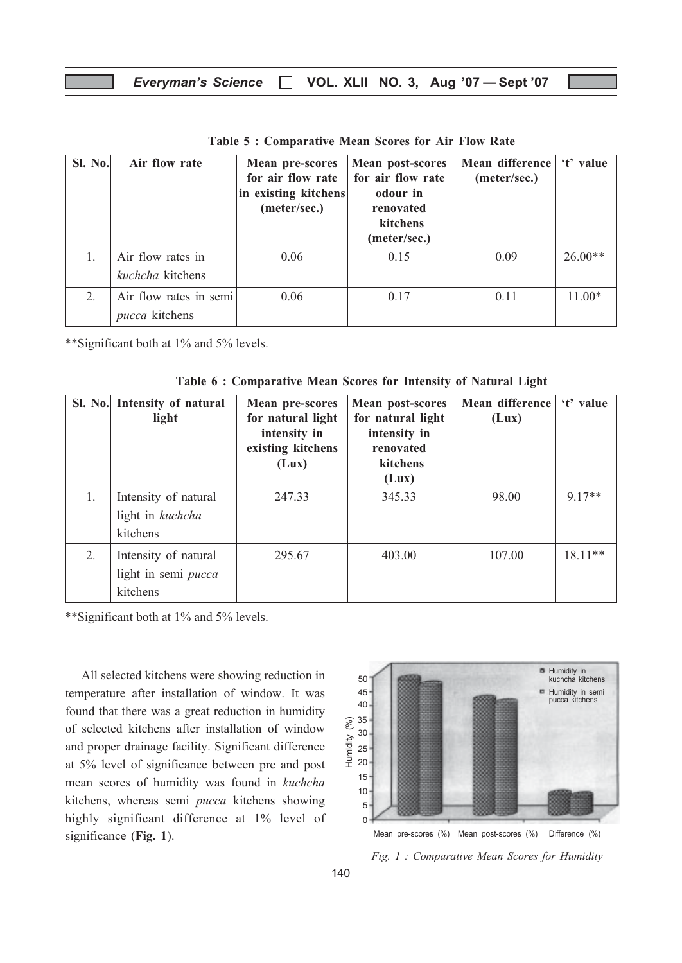| Sl. No. | Air flow rate                            | <b>Mean pre-scores</b><br>for air flow rate<br>in existing kitchens<br>(meter/sec.) | <b>Mean post-scores</b><br>for air flow rate<br>odour in<br>renovated<br>kitchens<br>(meter/sec.) | Mean difference<br>(meter/sec.) | 't' value |
|---------|------------------------------------------|-------------------------------------------------------------------------------------|---------------------------------------------------------------------------------------------------|---------------------------------|-----------|
|         | Air flow rates in<br>kuchcha kitchens    | 0.06                                                                                | 0.15                                                                                              | 0.09                            | $26.00**$ |
| 2.      | Air flow rates in semi<br>pucca kitchens | 0.06                                                                                | 0.17                                                                                              | 0.11                            | $11.00*$  |

Table 5 : Comparative Mean Scores for Air Flow Rate

\*\*Significant both at 1% and 5% levels.

Table 6 : Comparative Mean Scores for Intensity of Natural Light

|    | Sl. No. Intensity of natural<br>light                   | <b>Mean pre-scores</b><br>for natural light<br>intensity in<br>existing kitchens<br>(Lux) | Mean post-scores<br>for natural light<br>intensity in<br>renovated<br>kitchens<br>(Lux) | Mean difference<br>(Lux) | 't' value |
|----|---------------------------------------------------------|-------------------------------------------------------------------------------------------|-----------------------------------------------------------------------------------------|--------------------------|-----------|
| 1. | Intensity of natural<br>light in kuchcha<br>kitchens    | 247.33                                                                                    | 345.33                                                                                  | 98.00                    | $917**$   |
| 2. | Intensity of natural<br>light in semi pucca<br>kitchens | 295.67                                                                                    | 403.00                                                                                  | 107.00                   | $18.11**$ |

\*\*Significant both at 1% and 5% levels.

All selected kitchens were showing reduction in temperature after installation of window. It was found that there was a great reduction in humidity of selected kitchens after installation of window and proper drainage facility. Significant difference at 5% level of significance between pre and post mean scores of humidity was found in kuchcha kitchens, whereas semi pucca kitchens showing highly significant difference at 1% level of significance (Fig. 1).



Fig. 1 : Comparative Mean Scores for Humidity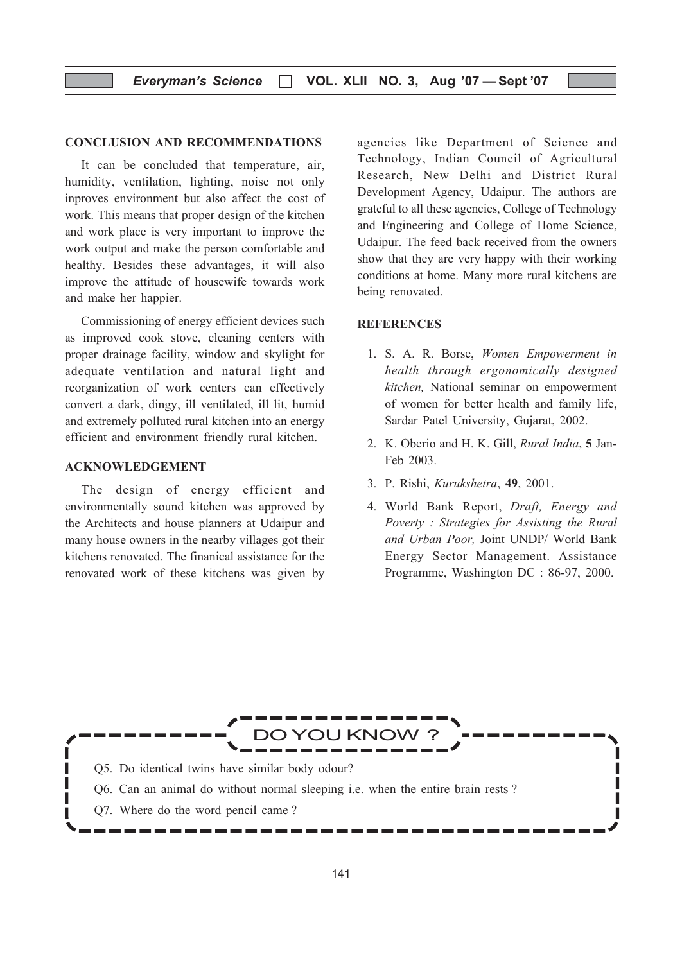#### CONCLUSION AND RECOMMENDATIONS

It can be concluded that temperature, air, humidity, ventilation, lighting, noise not only inproves environment but also affect the cost of work. This means that proper design of the kitchen and work place is very important to improve the work output and make the person comfortable and healthy. Besides these advantages, it will also improve the attitude of housewife towards work and make her happier.

Commissioning of energy efficient devices such as improved cook stove, cleaning centers with proper drainage facility, window and skylight for adequate ventilation and natural light and reorganization of work centers can effectively convert a dark, dingy, ill ventilated, ill lit, humid and extremely polluted rural kitchen into an energy efficient and environment friendly rural kitchen.

#### ACKNOWLEDGEMENT

The design of energy efficient and environmentally sound kitchen was approved by the Architects and house planners at Udaipur and many house owners in the nearby villages got their kitchens renovated. The finanical assistance for the renovated work of these kitchens was given by

agencies like Department of Science and Technology, Indian Council of Agricultural Research, New Delhi and District Rural Development Agency, Udaipur. The authors are grateful to all these agencies, College of Technology and Engineering and College of Home Science, Udaipur. The feed back received from the owners show that they are very happy with their working conditions at home. Many more rural kitchens are being renovated.

#### **REFERENCES**

- 1. S. A. R. Borse, Women Empowerment in health through ergonomically designed kitchen, National seminar on empowerment of women for better health and family life, Sardar Patel University, Gujarat, 2002.
- 2. K. Oberio and H. K. Gill, Rural India, 5 Jan-Feb 2003.
- 3. P. Rishi, Kurukshetra, 49, 2001.
- 4. World Bank Report, Draft, Energy and Poverty : Strategies for Assisting the Rural and Urban Poor, Joint UNDP/ World Bank Energy Sector Management. Assistance Programme, Washington DC : 86-97, 2000.

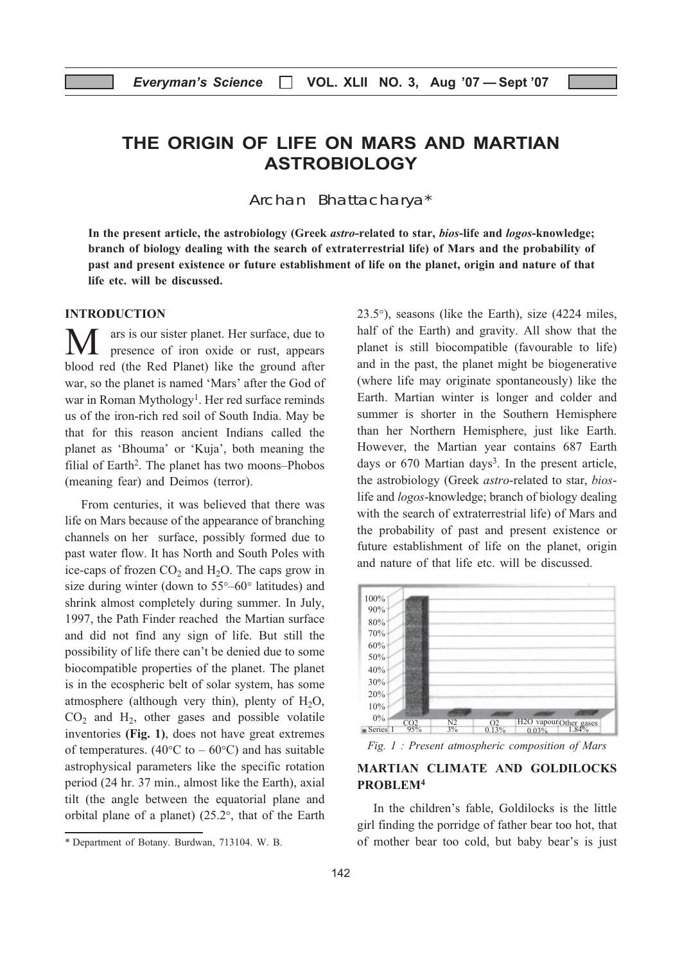## THE ORIGIN OF LIFE ON MARS AND MARTIAN ASTROBIOLOGY

Archan Bhattacharya\*

In the present article, the astrobiology (Greek *astro-related to star, bios-life and logos-knowledge*; branch of biology dealing with the search of extraterrestrial life) of Mars and the probability of past and present existence or future establishment of life on the planet, origin and nature of that life etc. will be discussed.

#### INTRODUCTION

ars is our sister planet. Her surface, due to presence of iron oxide or rust, appears blood red (the Red Planet) like the ground after war, so the planet is named 'Mars' after the God of war in Roman Mythology<sup>1</sup>. Her red surface reminds us of the iron-rich red soil of South India. May be that for this reason ancient Indians called the planet as 'Bhouma' or 'Kuja', both meaning the filial of Earth<sup>2</sup>. The planet has two moons–Phobos (meaning fear) and Deimos (terror).

From centuries, it was believed that there was life on Mars because of the appearance of branching channels on her surface, possibly formed due to past water flow. It has North and South Poles with ice-caps of frozen  $CO<sub>2</sub>$  and  $H<sub>2</sub>O$ . The caps grow in size during winter (down to 55°–60° latitudes) and shrink almost completely during summer. In July, 1997, the Path Finder reached the Martian surface and did not find any sign of life. But still the possibility of life there can't be denied due to some biocompatible properties of the planet. The planet is in the ecospheric belt of solar system, has some atmosphere (although very thin), plenty of  $H_2O$ ,  $CO<sub>2</sub>$  and  $H<sub>2</sub>$ , other gases and possible volatile inventories (Fig. 1), does not have great extremes of temperatures. (40 $\degree$ C to – 60 $\degree$ C) and has suitable astrophysical parameters like the specific rotation period (24 hr. 37 min., almost like the Earth), axial tilt (the angle between the equatorial plane and orbital plane of a planet) (25.2°, that of the Earth 23.5°), seasons (like the Earth), size (4224 miles, half of the Earth) and gravity. All show that the planet is still biocompatible (favourable to life) and in the past, the planet might be biogenerative (where life may originate spontaneously) like the Earth. Martian winter is longer and colder and summer is shorter in the Southern Hemisphere than her Northern Hemisphere, just like Earth. However, the Martian year contains 687 Earth days or  $670$  Martian days<sup>3</sup>. In the present article, the astrobiology (Greek astro-related to star, bioslife and logos-knowledge; branch of biology dealing with the search of extraterrestrial life) of Mars and the probability of past and present existence or future establishment of life on the planet, origin and nature of that life etc. will be discussed.



Fig. 1 : Present atmospheric composition of Mars

#### MARTIAN CLIMATE AND GOLDILOCKS PROBLEM4

In the children's fable, Goldilocks is the little girl finding the porridge of father bear too hot, that of mother bear too cold, but baby bear's is just

<sup>\*</sup> Department of Botany. Burdwan, 713104. W. B.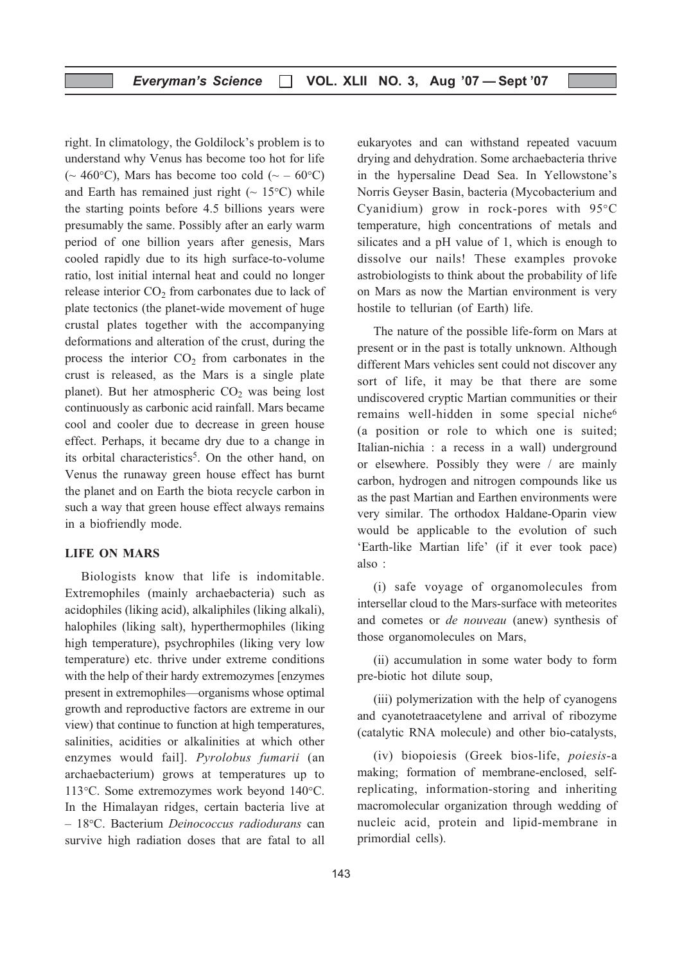right. In climatology, the Goldilock's problem is to understand why Venus has become too hot for life ( $\sim$  460°C), Mars has become too cold ( $\sim$  – 60°C) and Earth has remained just right  $($   $\sim$  15 $\degree$ C) while the starting points before 4.5 billions years were presumably the same. Possibly after an early warm period of one billion years after genesis, Mars cooled rapidly due to its high surface-to-volume ratio, lost initial internal heat and could no longer release interior  $CO<sub>2</sub>$  from carbonates due to lack of plate tectonics (the planet-wide movement of huge crustal plates together with the accompanying deformations and alteration of the crust, during the process the interior  $CO<sub>2</sub>$  from carbonates in the crust is released, as the Mars is a single plate planet). But her atmospheric  $CO<sub>2</sub>$  was being lost continuously as carbonic acid rainfall. Mars became cool and cooler due to decrease in green house effect. Perhaps, it became dry due to a change in its orbital characteristics<sup>5</sup>. On the other hand, on Venus the runaway green house effect has burnt the planet and on Earth the biota recycle carbon in such a way that green house effect always remains in a biofriendly mode.

#### LIFE ON MARS

Biologists know that life is indomitable. Extremophiles (mainly archaebacteria) such as acidophiles (liking acid), alkaliphiles (liking alkali), halophiles (liking salt), hyperthermophiles (liking high temperature), psychrophiles (liking very low temperature) etc. thrive under extreme conditions with the help of their hardy extremozymes [enzymes present in extremophiles—organisms whose optimal growth and reproductive factors are extreme in our view) that continue to function at high temperatures, salinities, acidities or alkalinities at which other enzymes would fail]. Pyrolobus fumarii (an archaebacterium) grows at temperatures up to 113°C. Some extremozymes work beyond 140°C. In the Himalayan ridges, certain bacteria live at – 18°C. Bacterium Deinococcus radiodurans can survive high radiation doses that are fatal to all

(ii) accumulation in some water body to form pre-biotic hot dilute soup,

those organomolecules on Mars,

(iii) polymerization with the help of cyanogens and cyanotetraacetylene and arrival of ribozyme (catalytic RNA molecule) and other bio-catalysts,

(i) safe voyage of organomolecules from intersellar cloud to the Mars-surface with meteorites and cometes or de nouveau (anew) synthesis of

(iv) biopoiesis (Greek bios-life, poiesis-a making; formation of membrane-enclosed, selfreplicating, information-storing and inheriting macromolecular organization through wedding of nucleic acid, protein and lipid-membrane in primordial cells).

eukaryotes and can withstand repeated vacuum drying and dehydration. Some archaebacteria thrive in the hypersaline Dead Sea. In Yellowstone's Norris Geyser Basin, bacteria (Mycobacterium and Cyanidium) grow in rock-pores with 95°C temperature, high concentrations of metals and silicates and a pH value of 1, which is enough to dissolve our nails! These examples provoke astrobiologists to think about the probability of life on Mars as now the Martian environment is very hostile to tellurian (of Earth) life.

The nature of the possible life-form on Mars at present or in the past is totally unknown. Although different Mars vehicles sent could not discover any sort of life, it may be that there are some undiscovered cryptic Martian communities or their remains well-hidden in some special niche<sup>6</sup> (a position or role to which one is suited; Italian-nichia : a recess in a wall) underground or elsewhere. Possibly they were / are mainly carbon, hydrogen and nitrogen compounds like us as the past Martian and Earthen environments were very similar. The orthodox Haldane-Oparin view would be applicable to the evolution of such 'Earth-like Martian life' (if it ever took pace) also :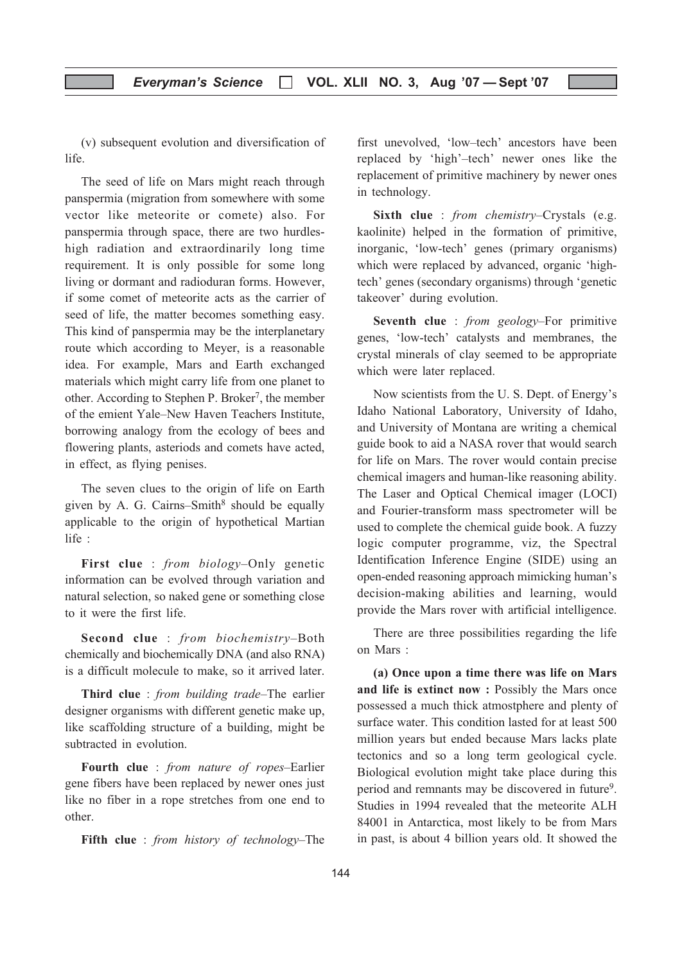(v) subsequent evolution and diversification of life.

The seed of life on Mars might reach through panspermia (migration from somewhere with some vector like meteorite or comete) also. For panspermia through space, there are two hurdleshigh radiation and extraordinarily long time requirement. It is only possible for some long living or dormant and radioduran forms. However, if some comet of meteorite acts as the carrier of seed of life, the matter becomes something easy. This kind of panspermia may be the interplanetary route which according to Meyer, is a reasonable idea. For example, Mars and Earth exchanged materials which might carry life from one planet to other. According to Stephen P. Broker<sup>7</sup>, the member of the emient Yale–New Haven Teachers Institute, borrowing analogy from the ecology of bees and flowering plants, asteriods and comets have acted, in effect, as flying penises.

The seven clues to the origin of life on Earth given by A. G. Cairns–Smith $8$  should be equally applicable to the origin of hypothetical Martian life :

First clue : *from biology*-Only genetic information can be evolved through variation and natural selection, so naked gene or something close to it were the first life.

Second clue : from biochemistry–Both chemically and biochemically DNA (and also RNA) is a difficult molecule to make, so it arrived later.

Third clue : from building trade–The earlier designer organisms with different genetic make up, like scaffolding structure of a building, might be subtracted in evolution.

Fourth clue : from nature of ropes-Earlier gene fibers have been replaced by newer ones just like no fiber in a rope stretches from one end to other.

Fifth clue : from history of technology–The

first unevolved, 'low–tech' ancestors have been replaced by 'high'–tech' newer ones like the replacement of primitive machinery by newer ones in technology.

Sixth clue : *from chemistry–Crystals* (e.g. kaolinite) helped in the formation of primitive, inorganic, 'low-tech' genes (primary organisms) which were replaced by advanced, organic 'hightech' genes (secondary organisms) through 'genetic takeover' during evolution.

Seventh clue : *from geology*-For primitive genes, 'low-tech' catalysts and membranes, the crystal minerals of clay seemed to be appropriate which were later replaced.

Now scientists from the U. S. Dept. of Energy's Idaho National Laboratory, University of Idaho, and University of Montana are writing a chemical guide book to aid a NASA rover that would search for life on Mars. The rover would contain precise chemical imagers and human-like reasoning ability. The Laser and Optical Chemical imager (LOCI) and Fourier-transform mass spectrometer will be used to complete the chemical guide book. A fuzzy logic computer programme, viz, the Spectral Identification Inference Engine (SIDE) using an open-ended reasoning approach mimicking human's decision-making abilities and learning, would provide the Mars rover with artificial intelligence.

There are three possibilities regarding the life on Mars :

(a) Once upon a time there was life on Mars and life is extinct now : Possibly the Mars once possessed a much thick atmostphere and plenty of surface water. This condition lasted for at least 500 million years but ended because Mars lacks plate tectonics and so a long term geological cycle. Biological evolution might take place during this period and remnants may be discovered in future<sup>9</sup>. Studies in 1994 revealed that the meteorite ALH 84001 in Antarctica, most likely to be from Mars in past, is about 4 billion years old. It showed the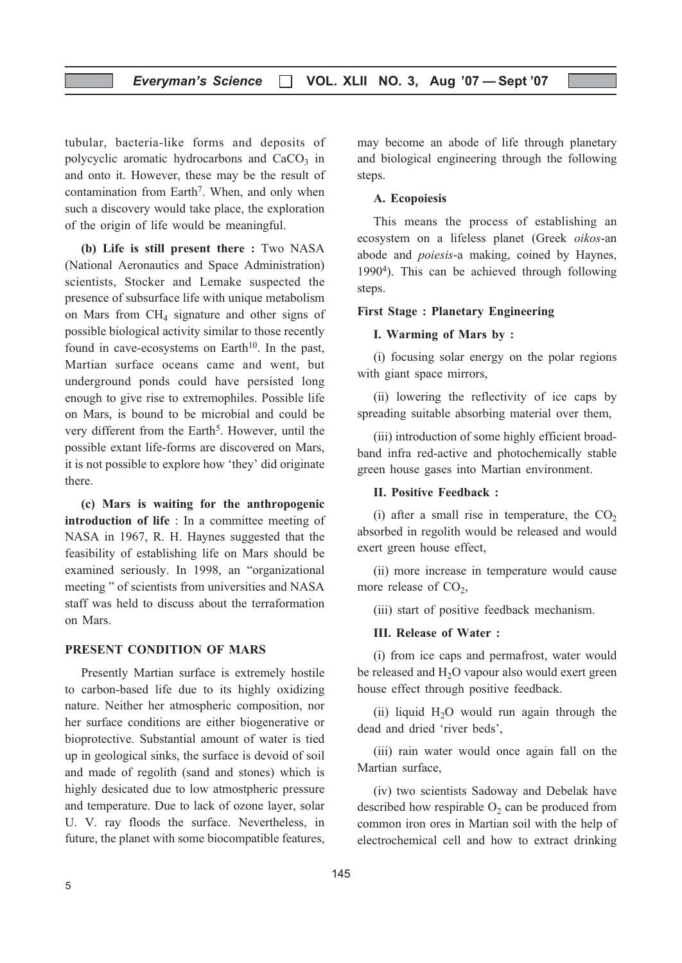tubular, bacteria-like forms and deposits of polycyclic aromatic hydrocarbons and  $CaCO<sub>3</sub>$  in and onto it. However, these may be the result of contamination from Earth<sup>7</sup>. When, and only when such a discovery would take place, the exploration of the origin of life would be meaningful.

(b) Life is still present there : Two NASA (National Aeronautics and Space Administration) scientists, Stocker and Lemake suspected the presence of subsurface life with unique metabolism on Mars from  $CH<sub>4</sub>$  signature and other signs of possible biological activity similar to those recently found in cave-ecosystems on Earth<sup>10</sup>. In the past, Martian surface oceans came and went, but underground ponds could have persisted long enough to give rise to extremophiles. Possible life on Mars, is bound to be microbial and could be very different from the Earth<sup>5</sup>. However, until the possible extant life-forms are discovered on Mars, it is not possible to explore how 'they' did originate there.

(c) Mars is waiting for the anthropogenic introduction of life : In a committee meeting of NASA in 1967, R. H. Haynes suggested that the feasibility of establishing life on Mars should be examined seriously. In 1998, an "organizational meeting " of scientists from universities and NASA staff was held to discuss about the terraformation on Mars.

#### PRESENT CONDITION OF MARS

Presently Martian surface is extremely hostile to carbon-based life due to its highly oxidizing nature. Neither her atmospheric composition, nor her surface conditions are either biogenerative or bioprotective. Substantial amount of water is tied up in geological sinks, the surface is devoid of soil and made of regolith (sand and stones) which is highly desicated due to low atmostpheric pressure and temperature. Due to lack of ozone layer, solar U. V. ray floods the surface. Nevertheless, in future, the planet with some biocompatible features,

may become an abode of life through planetary and biological engineering through the following steps.

#### A. Ecopoiesis

This means the process of establishing an ecosystem on a lifeless planet (Greek oikos-an abode and poiesis-a making, coined by Haynes, 19904). This can be achieved through following steps.

#### First Stage : Planetary Engineering

#### I. Warming of Mars by :

(i) focusing solar energy on the polar regions with giant space mirrors,

(ii) lowering the reflectivity of ice caps by spreading suitable absorbing material over them,

(iii) introduction of some highly efficient broadband infra red-active and photochemically stable green house gases into Martian environment.

#### II. Positive Feedback :

(i) after a small rise in temperature, the  $CO<sub>2</sub>$ absorbed in regolith would be released and would exert green house effect,

(ii) more increase in temperature would cause more release of  $CO<sub>2</sub>$ ,

(iii) start of positive feedback mechanism.

#### III. Release of Water :

(i) from ice caps and permafrost, water would be released and H<sub>2</sub>O vapour also would exert green house effect through positive feedback.

(ii) liquid  $H<sub>2</sub>O$  would run again through the dead and dried 'river beds',

(iii) rain water would once again fall on the Martian surface,

(iv) two scientists Sadoway and Debelak have described how respirable  $O_2$  can be produced from common iron ores in Martian soil with the help of electrochemical cell and how to extract drinking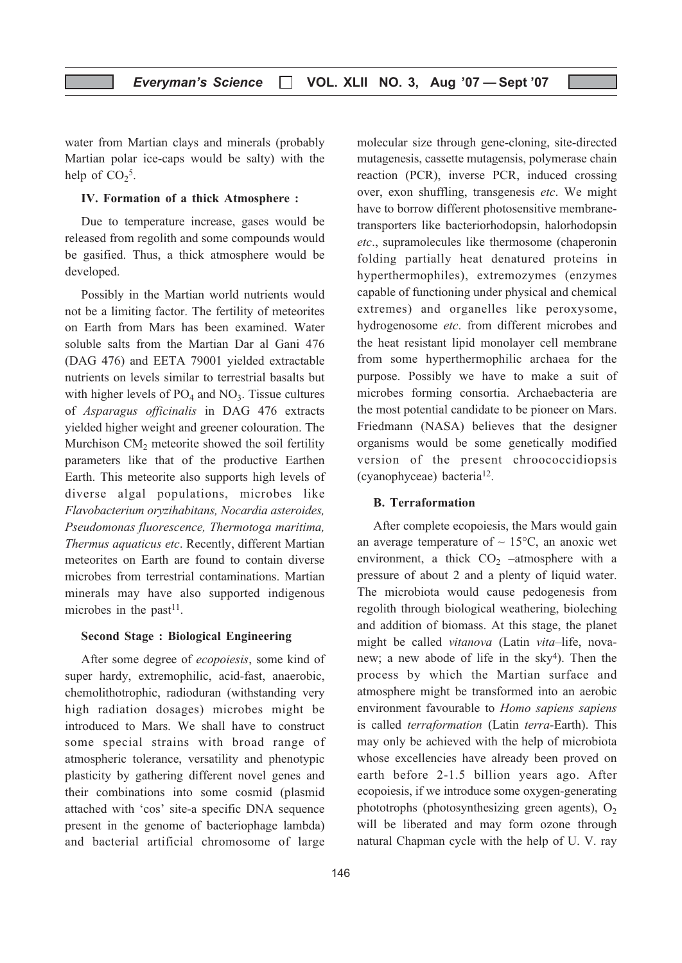water from Martian clays and minerals (probably Martian polar ice-caps would be salty) with the help of  $CO<sub>2</sub><sup>5</sup>$ .

#### IV. Formation of a thick Atmosphere :

Due to temperature increase, gases would be released from regolith and some compounds would be gasified. Thus, a thick atmosphere would be developed.

Possibly in the Martian world nutrients would not be a limiting factor. The fertility of meteorites on Earth from Mars has been examined. Water soluble salts from the Martian Dar al Gani 476 (DAG 476) and EETA 79001 yielded extractable nutrients on levels similar to terrestrial basalts but with higher levels of  $PO<sub>4</sub>$  and  $NO<sub>3</sub>$ . Tissue cultures of Asparagus officinalis in DAG 476 extracts yielded higher weight and greener colouration. The Murchison CM<sub>2</sub> meteorite showed the soil fertility parameters like that of the productive Earthen Earth. This meteorite also supports high levels of diverse algal populations, microbes like Flavobacterium oryzihabitans, Nocardia asteroides, Pseudomonas fluorescence, Thermotoga maritima, Thermus aquaticus etc. Recently, different Martian meteorites on Earth are found to contain diverse microbes from terrestrial contaminations. Martian minerals may have also supported indigenous microbes in the past $11$ .

#### Second Stage : Biological Engineering

After some degree of ecopoiesis, some kind of super hardy, extremophilic, acid-fast, anaerobic, chemolithotrophic, radioduran (withstanding very high radiation dosages) microbes might be introduced to Mars. We shall have to construct some special strains with broad range of atmospheric tolerance, versatility and phenotypic plasticity by gathering different novel genes and their combinations into some cosmid (plasmid attached with 'cos' site-a specific DNA sequence present in the genome of bacteriophage lambda) and bacterial artificial chromosome of large

molecular size through gene-cloning, site-directed mutagenesis, cassette mutagensis, polymerase chain reaction (PCR), inverse PCR, induced crossing over, exon shuffling, transgenesis etc. We might have to borrow different photosensitive membranetransporters like bacteriorhodopsin, halorhodopsin etc., supramolecules like thermosome (chaperonin folding partially heat denatured proteins in hyperthermophiles), extremozymes (enzymes capable of functioning under physical and chemical extremes) and organelles like peroxysome, hydrogenosome etc. from different microbes and the heat resistant lipid monolayer cell membrane from some hyperthermophilic archaea for the purpose. Possibly we have to make a suit of microbes forming consortia. Archaebacteria are the most potential candidate to be pioneer on Mars. Friedmann (NASA) believes that the designer organisms would be some genetically modified version of the present chroococcidiopsis (cyanophyceae) bacteria<sup>12</sup>.

#### B. Terraformation

After complete ecopoiesis, the Mars would gain an average temperature of  $\sim 15^{\circ}$ C, an anoxic wet environment, a thick  $CO<sub>2</sub>$  –atmosphere with a pressure of about 2 and a plenty of liquid water. The microbiota would cause pedogenesis from regolith through biological weathering, bioleching and addition of biomass. At this stage, the planet might be called vitanova (Latin vita–life, novanew; a new abode of life in the  $sky<sup>4</sup>$ ). Then the process by which the Martian surface and atmosphere might be transformed into an aerobic environment favourable to Homo sapiens sapiens is called terraformation (Latin terra-Earth). This may only be achieved with the help of microbiota whose excellencies have already been proved on earth before 2-1.5 billion years ago. After ecopoiesis, if we introduce some oxygen-generating phototrophs (photosynthesizing green agents),  $O_2$ will be liberated and may form ozone through natural Chapman cycle with the help of U. V. ray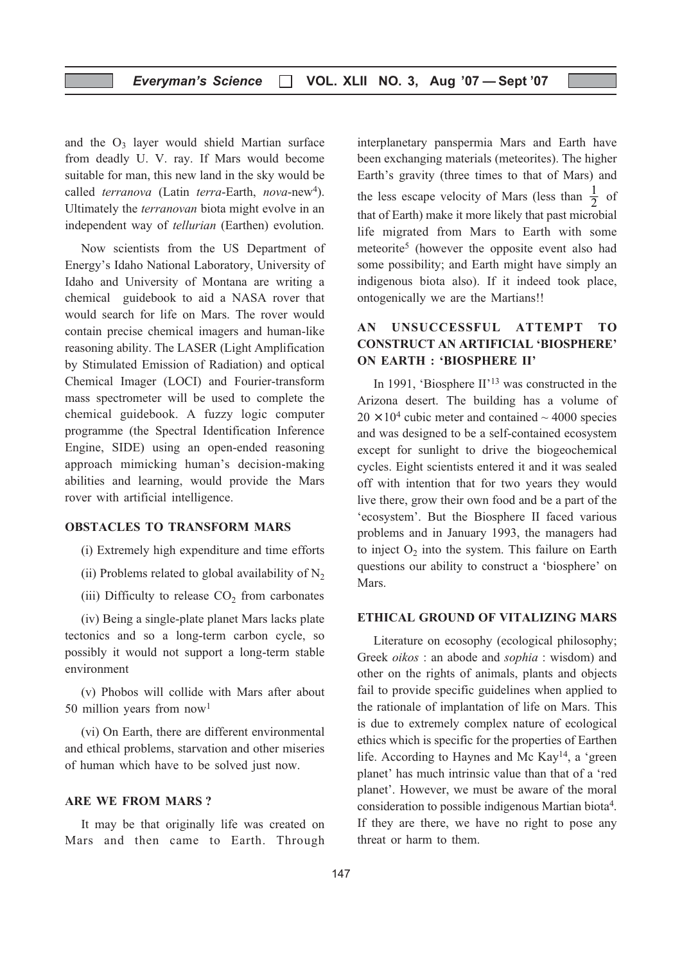and the  $O_3$  layer would shield Martian surface from deadly U. V. ray. If Mars would become suitable for man, this new land in the sky would be called terranova (Latin terra-Earth, nova-new<sup>4</sup>). Ultimately the terranovan biota might evolve in an independent way of tellurian (Earthen) evolution.

Now scientists from the US Department of Energy's Idaho National Laboratory, University of Idaho and University of Montana are writing a chemical guidebook to aid a NASA rover that would search for life on Mars. The rover would contain precise chemical imagers and human-like reasoning ability. The LASER (Light Amplification by Stimulated Emission of Radiation) and optical Chemical Imager (LOCI) and Fourier-transform mass spectrometer will be used to complete the chemical guidebook. A fuzzy logic computer programme (the Spectral Identification Inference Engine, SIDE) using an open-ended reasoning approach mimicking human's decision-making abilities and learning, would provide the Mars rover with artificial intelligence.

#### OBSTACLES TO TRANSFORM MARS

- (i) Extremely high expenditure and time efforts
- (ii) Problems related to global availability of  $N_2$
- (iii) Difficulty to release  $CO<sub>2</sub>$  from carbonates

(iv) Being a single-plate planet Mars lacks plate tectonics and so a long-term carbon cycle, so possibly it would not support a long-term stable environment

(v) Phobos will collide with Mars after about 50 million years from now1

(vi) On Earth, there are different environmental and ethical problems, starvation and other miseries of human which have to be solved just now.

#### ARE WE FROM MARS ?

It may be that originally life was created on Mars and then came to Earth. Through interplanetary panspermia Mars and Earth have been exchanging materials (meteorites). The higher Earth's gravity (three times to that of Mars) and the less escape velocity of Mars (less than  $\frac{1}{2}$  of that of Earth) make it more likely that past microbial life migrated from Mars to Earth with some meteorite<sup>5</sup> (however the opposite event also had some possibility; and Earth might have simply an indigenous biota also). If it indeed took place, ontogenically we are the Martians!!

#### AN UNSUCCESSFUL ATTEMPT TO CONSTRUCT AN ARTIFICIAL 'BIOSPHERE' ON EARTH : 'BIOSPHERE II'

In 1991, 'Biosphere II'<sup>13</sup> was constructed in the Arizona desert. The building has a volume of  $20 \times 10^4$  cubic meter and contained  $\sim 4000$  species and was designed to be a self-contained ecosystem except for sunlight to drive the biogeochemical cycles. Eight scientists entered it and it was sealed off with intention that for two years they would live there, grow their own food and be a part of the 'ecosystem'. But the Biosphere II faced various problems and in January 1993, the managers had to inject  $O<sub>2</sub>$  into the system. This failure on Earth questions our ability to construct a 'biosphere' on Mars.

#### ETHICAL GROUND OF VITALIZING MARS

Literature on ecosophy (ecological philosophy; Greek oikos : an abode and sophia : wisdom) and other on the rights of animals, plants and objects fail to provide specific guidelines when applied to the rationale of implantation of life on Mars. This is due to extremely complex nature of ecological ethics which is specific for the properties of Earthen life. According to Haynes and Mc Kay14, a 'green planet' has much intrinsic value than that of a 'red planet'. However, we must be aware of the moral consideration to possible indigenous Martian biota4. If they are there, we have no right to pose any threat or harm to them.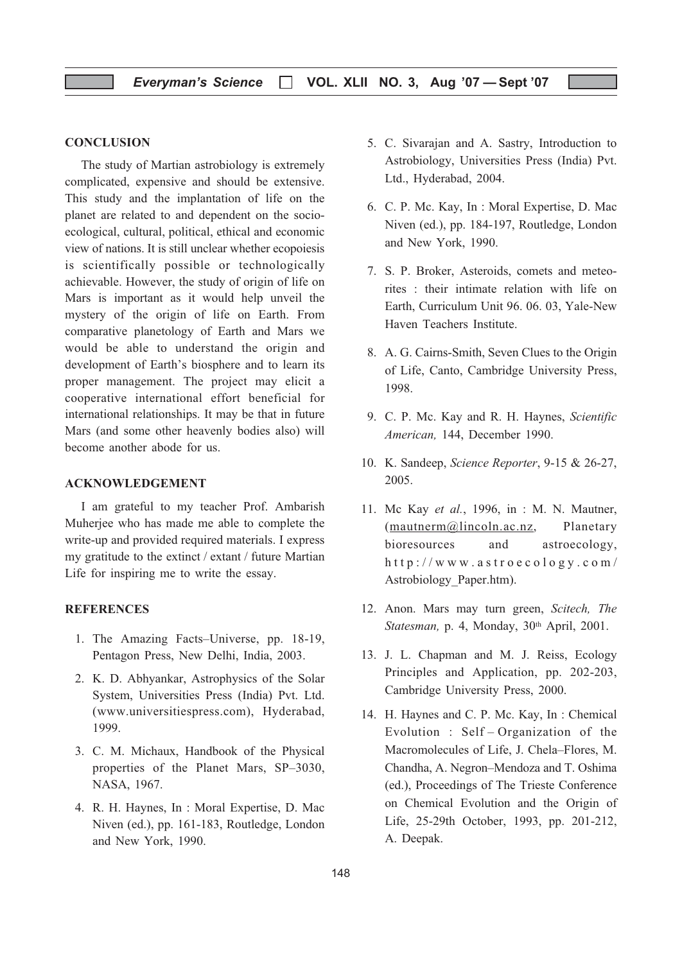#### **CONCLUSION**

The study of Martian astrobiology is extremely complicated, expensive and should be extensive. This study and the implantation of life on the planet are related to and dependent on the socioecological, cultural, political, ethical and economic view of nations. It is still unclear whether ecopoiesis is scientifically possible or technologically achievable. However, the study of origin of life on Mars is important as it would help unveil the mystery of the origin of life on Earth. From comparative planetology of Earth and Mars we would be able to understand the origin and development of Earth's biosphere and to learn its proper management. The project may elicit a cooperative international effort beneficial for international relationships. It may be that in future Mars (and some other heavenly bodies also) will become another abode for us.

#### ACKNOWLEDGEMENT

I am grateful to my teacher Prof. Ambarish Muherjee who has made me able to complete the write-up and provided required materials. I express my gratitude to the extinct / extant / future Martian Life for inspiring me to write the essay.

#### **REFERENCES**

- 1. The Amazing Facts–Universe, pp. 18-19, Pentagon Press, New Delhi, India, 2003.
- 2. K. D. Abhyankar, Astrophysics of the Solar System, Universities Press (India) Pvt. Ltd. (www.universitiespress.com), Hyderabad, 1999.
- 3. C. M. Michaux, Handbook of the Physical properties of the Planet Mars, SP–3030, NASA, 1967.
- 4. R. H. Haynes, In : Moral Expertise, D. Mac Niven (ed.), pp. 161-183, Routledge, London and New York, 1990.
- 5. C. Sivarajan and A. Sastry, Introduction to Astrobiology, Universities Press (India) Pvt. Ltd., Hyderabad, 2004.
- 6. C. P. Mc. Kay, In : Moral Expertise, D. Mac Niven (ed.), pp. 184-197, Routledge, London and New York, 1990.
- 7. S. P. Broker, Asteroids, comets and meteorites : their intimate relation with life on Earth, Curriculum Unit 96. 06. 03, Yale-New Haven Teachers Institute.
- 8. A. G. Cairns-Smith, Seven Clues to the Origin of Life, Canto, Cambridge University Press, 1998.
- 9. C. P. Mc. Kay and R. H. Haynes, Scientific American, 144, December 1990.
- 10. K. Sandeep, Science Reporter, 9-15 & 26-27, 2005.
- 11. Mc Kay et al., 1996, in : M. N. Mautner, (mautnerm@lincoln.ac.nz, Planetary bioresources and astroecology, http://www.astroecology.com/ Astrobiology\_Paper.htm).
- 12. Anon. Mars may turn green, Scitech, The Statesman, p. 4, Monday, 30<sup>th</sup> April, 2001.
- 13. J. L. Chapman and M. J. Reiss, Ecology Principles and Application, pp. 202-203, Cambridge University Press, 2000.
- 14. H. Haynes and C. P. Mc. Kay, In : Chemical Evolution : Self – Organization of the Macromolecules of Life, J. Chela–Flores, M. Chandha, A. Negron–Mendoza and T. Oshima (ed.), Proceedings of The Trieste Conference on Chemical Evolution and the Origin of Life, 25-29th October, 1993, pp. 201-212, A. Deepak.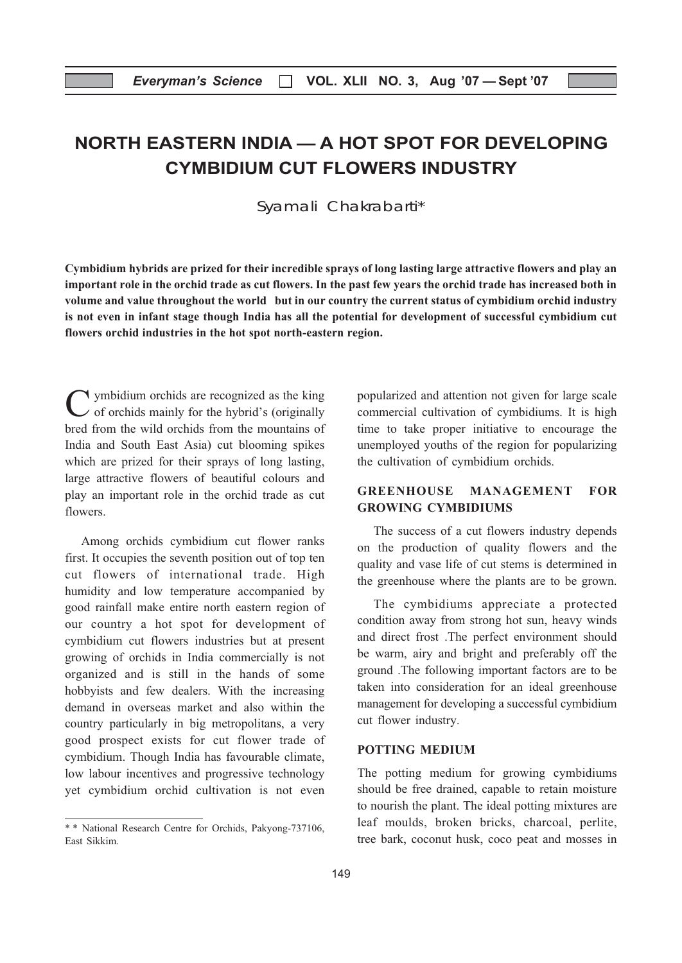## NORTH EASTERN INDIA — A HOT SPOT FOR DEVELOPING CYMBIDIUM CUT FLOWERS INDUSTRY

Syamali Chakrabarti\*

Cymbidium hybrids are prized for their incredible sprays of long lasting large attractive flowers and play an important role in the orchid trade as cut flowers. In the past few years the orchid trade has increased both in volume and value throughout the world but in our country the current status of cymbidium orchid industry is not even in infant stage though India has all the potential for development of successful cymbidium cut flowers orchid industries in the hot spot north-eastern region.

 $\gamma$  ymbidium orchids are recognized as the king  $\sim$  of orchids mainly for the hybrid's (originally bred from the wild orchids from the mountains of India and South East Asia) cut blooming spikes which are prized for their sprays of long lasting, large attractive flowers of beautiful colours and play an important role in the orchid trade as cut flowers.

Among orchids cymbidium cut flower ranks first. It occupies the seventh position out of top ten cut flowers of international trade. High humidity and low temperature accompanied by good rainfall make entire north eastern region of our country a hot spot for development of cymbidium cut flowers industries but at present growing of orchids in India commercially is not organized and is still in the hands of some hobbyists and few dealers. With the increasing demand in overseas market and also within the country particularly in big metropolitans, a very good prospect exists for cut flower trade of cymbidium. Though India has favourable climate, low labour incentives and progressive technology yet cymbidium orchid cultivation is not even

popularized and attention not given for large scale commercial cultivation of cymbidiums. It is high time to take proper initiative to encourage the unemployed youths of the region for popularizing the cultivation of cymbidium orchids.

#### GREENHOUSE MANAGEMENT FOR GROWING CYMBIDIUMS

The success of a cut flowers industry depends on the production of quality flowers and the quality and vase life of cut stems is determined in the greenhouse where the plants are to be grown.

The cymbidiums appreciate a protected condition away from strong hot sun, heavy winds and direct frost .The perfect environment should be warm, airy and bright and preferably off the ground .The following important factors are to be taken into consideration for an ideal greenhouse management for developing a successful cymbidium cut flower industry.

#### POTTING MEDIUM

The potting medium for growing cymbidiums should be free drained, capable to retain moisture to nourish the plant. The ideal potting mixtures are leaf moulds, broken bricks, charcoal, perlite, tree bark, coconut husk, coco peat and mosses in

<sup>\* \*</sup> National Research Centre for Orchids, Pakyong-737106, East Sikkim.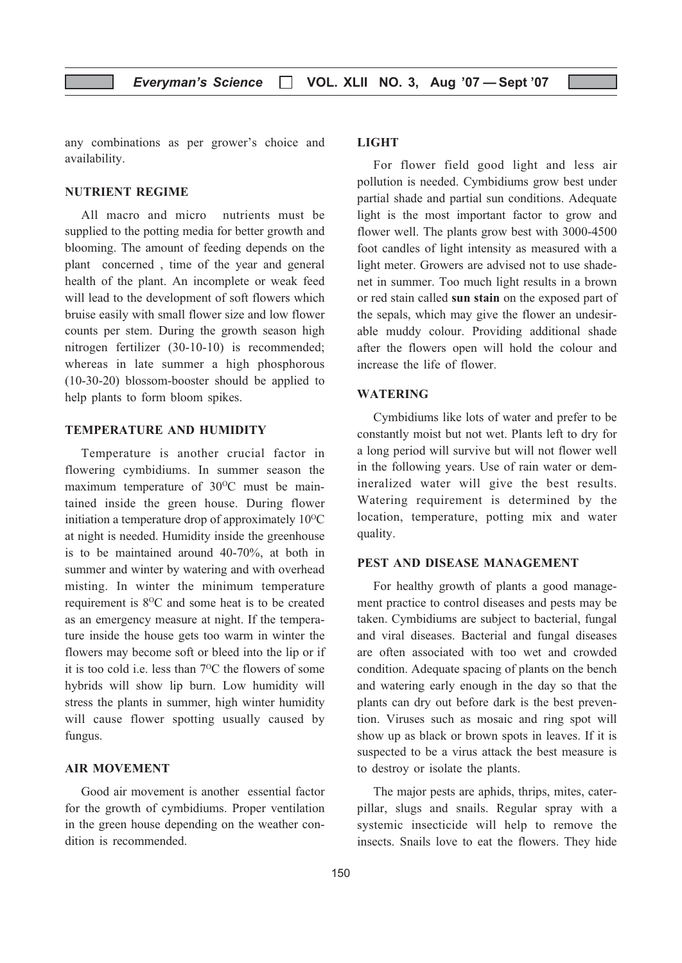any combinations as per grower's choice and availability.

#### NUTRIENT REGIME

All macro and micro nutrients must be supplied to the potting media for better growth and blooming. The amount of feeding depends on the plant concerned , time of the year and general health of the plant. An incomplete or weak feed will lead to the development of soft flowers which bruise easily with small flower size and low flower counts per stem. During the growth season high nitrogen fertilizer (30-10-10) is recommended; whereas in late summer a high phosphorous (10-30-20) blossom-booster should be applied to help plants to form bloom spikes.

#### TEMPERATURE AND HUMIDITY

Temperature is another crucial factor in flowering cymbidiums. In summer season the maximum temperature of 30°C must be maintained inside the green house. During flower initiation a temperature drop of approximately  $10^{0}$ C at night is needed. Humidity inside the greenhouse is to be maintained around 40-70%, at both in summer and winter by watering and with overhead misting. In winter the minimum temperature requirement is 8<sup>o</sup>C and some heat is to be created as an emergency measure at night. If the temperature inside the house gets too warm in winter the flowers may become soft or bleed into the lip or if it is too cold i.e. less than  $7^{\circ}$ C the flowers of some hybrids will show lip burn. Low humidity will stress the plants in summer, high winter humidity will cause flower spotting usually caused by fungus.

#### AIR MOVEMENT

Good air movement is another essential factor for the growth of cymbidiums. Proper ventilation in the green house depending on the weather condition is recommended.

#### LIGHT

For flower field good light and less air pollution is needed. Cymbidiums grow best under partial shade and partial sun conditions. Adequate light is the most important factor to grow and flower well. The plants grow best with 3000-4500 foot candles of light intensity as measured with a light meter. Growers are advised not to use shadenet in summer. Too much light results in a brown or red stain called sun stain on the exposed part of the sepals, which may give the flower an undesirable muddy colour. Providing additional shade after the flowers open will hold the colour and increase the life of flower.

#### WATERING

Cymbidiums like lots of water and prefer to be constantly moist but not wet. Plants left to dry for a long period will survive but will not flower well in the following years. Use of rain water or demineralized water will give the best results. Watering requirement is determined by the location, temperature, potting mix and water quality.

#### PEST AND DISEASE MANAGEMENT

For healthy growth of plants a good management practice to control diseases and pests may be taken. Cymbidiums are subject to bacterial, fungal and viral diseases. Bacterial and fungal diseases are often associated with too wet and crowded condition. Adequate spacing of plants on the bench and watering early enough in the day so that the plants can dry out before dark is the best prevention. Viruses such as mosaic and ring spot will show up as black or brown spots in leaves. If it is suspected to be a virus attack the best measure is to destroy or isolate the plants.

The major pests are aphids, thrips, mites, caterpillar, slugs and snails. Regular spray with a systemic insecticide will help to remove the insects. Snails love to eat the flowers. They hide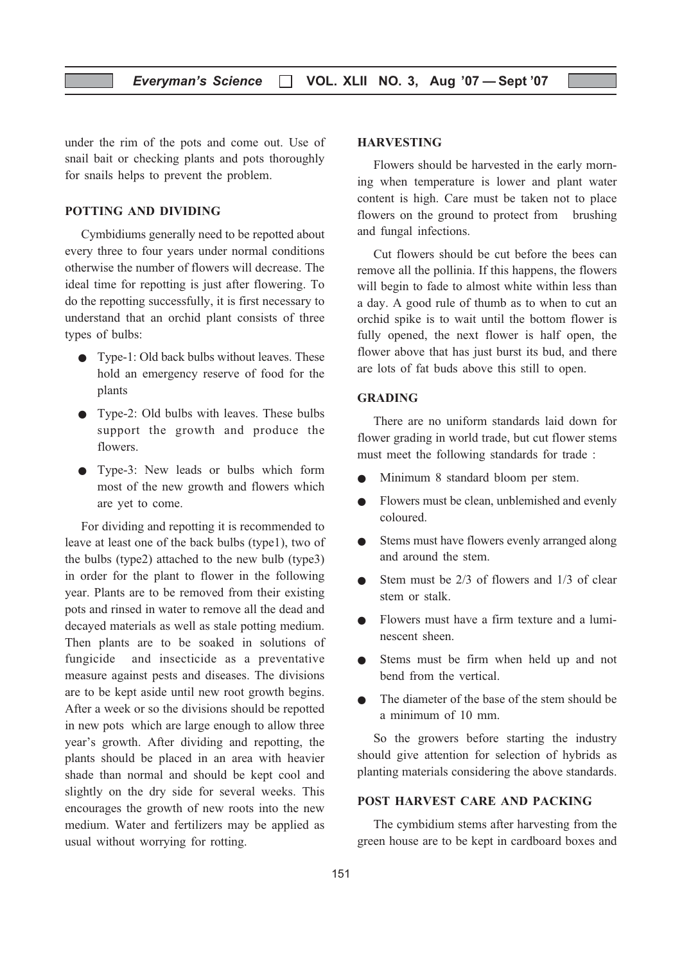under the rim of the pots and come out. Use of snail bait or checking plants and pots thoroughly for snails helps to prevent the problem.

#### POTTING AND DIVIDING

Cymbidiums generally need to be repotted about every three to four years under normal conditions otherwise the number of flowers will decrease. The ideal time for repotting is just after flowering. To do the repotting successfully, it is first necessary to understand that an orchid plant consists of three types of bulbs:

- Type-1: Old back bulbs without leaves. These hold an emergency reserve of food for the plants
- Type-2: Old bulbs with leaves. These bulbs support the growth and produce the flowers.
- Type-3: New leads or bulbs which form most of the new growth and flowers which are yet to come.

For dividing and repotting it is recommended to leave at least one of the back bulbs (type1), two of the bulbs (type2) attached to the new bulb (type3) in order for the plant to flower in the following year. Plants are to be removed from their existing pots and rinsed in water to remove all the dead and decayed materials as well as stale potting medium. Then plants are to be soaked in solutions of fungicide and insecticide as a preventative measure against pests and diseases. The divisions are to be kept aside until new root growth begins. After a week or so the divisions should be repotted in new pots which are large enough to allow three year's growth. After dividing and repotting, the plants should be placed in an area with heavier shade than normal and should be kept cool and slightly on the dry side for several weeks. This encourages the growth of new roots into the new medium. Water and fertilizers may be applied as usual without worrying for rotting.

#### HARVESTING

Flowers should be harvested in the early morning when temperature is lower and plant water content is high. Care must be taken not to place flowers on the ground to protect from brushing and fungal infections.

Cut flowers should be cut before the bees can remove all the pollinia. If this happens, the flowers will begin to fade to almost white within less than a day. A good rule of thumb as to when to cut an orchid spike is to wait until the bottom flower is fully opened, the next flower is half open, the flower above that has just burst its bud, and there are lots of fat buds above this still to open.

#### GRADING

There are no uniform standards laid down for flower grading in world trade, but cut flower stems must meet the following standards for trade :

- Minimum 8 standard bloom per stem.
- Flowers must be clean, unblemished and evenly coloured.
- Stems must have flowers evenly arranged along and around the stem.
- $\bullet$  Stem must be 2/3 of flowers and 1/3 of clear stem or stalk.
- Flowers must have a firm texture and a luminescent sheen.
- Stems must be firm when held up and not bend from the vertical.
- The diameter of the base of the stem should be a minimum of 10 mm.

So the growers before starting the industry should give attention for selection of hybrids as planting materials considering the above standards.

#### POST HARVEST CARE AND PACKING

The cymbidium stems after harvesting from the green house are to be kept in cardboard boxes and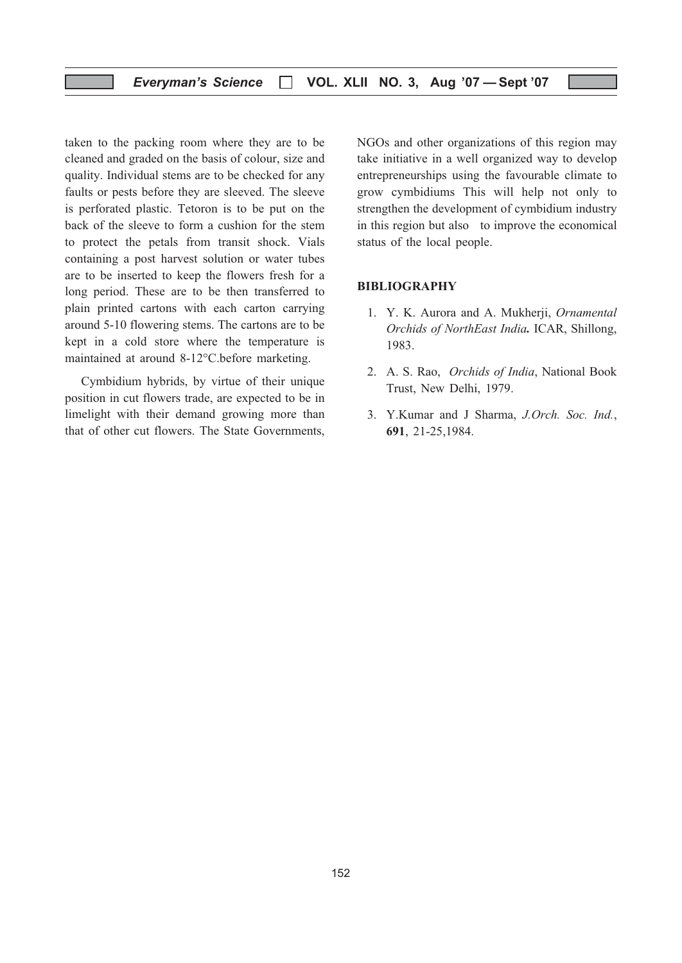taken to the packing room where they are to be cleaned and graded on the basis of colour, size and quality. Individual stems are to be checked for any faults or pests before they are sleeved. The sleeve is perforated plastic. Tetoron is to be put on the back of the sleeve to form a cushion for the stem to protect the petals from transit shock. Vials containing a post harvest solution or water tubes are to be inserted to keep the flowers fresh for a long period. These are to be then transferred to plain printed cartons with each carton carrying around 5-10 flowering stems. The cartons are to be kept in a cold store where the temperature is maintained at around 8-12°C.before marketing.

Cymbidium hybrids, by virtue of their unique position in cut flowers trade, are expected to be in limelight with their demand growing more than that of other cut flowers. The State Governments, NGOs and other organizations of this region may take initiative in a well organized way to develop entrepreneurships using the favourable climate to grow cymbidiums This will help not only to strengthen the development of cymbidium industry in this region but also to improve the economical status of the local people.

#### BIBLIOGRAPHY

- 1. Y. K. Aurora and A. Mukherji, Ornamental Orchids of NorthEast India. ICAR, Shillong, 1983.
- 2. A. S. Rao, Orchids of India, National Book Trust, New Delhi, 1979.
- 3. Y.Kumar and J Sharma, J.Orch. Soc. Ind., 691, 21-25,1984.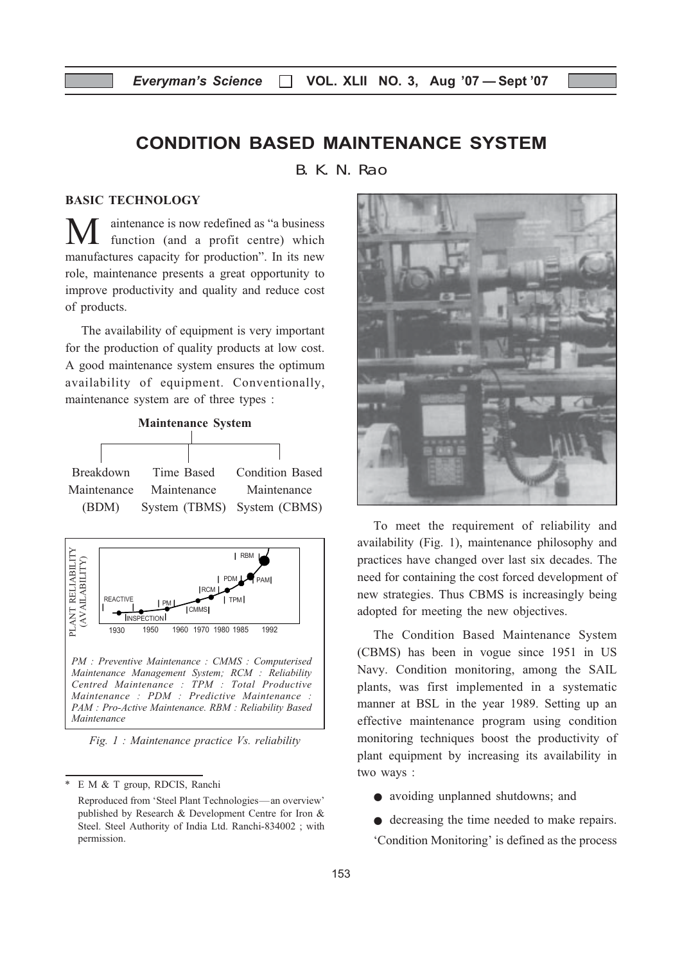## CONDITION BASED MAINTENANCE SYSTEM

B. K. N. Rao

#### BASIC TECHNOLOGY

M aintenance is now redefined as "a business<br>function (and a profit centre) which manufactures capacity for production". In its new role, maintenance presents a great opportunity to improve productivity and quality and reduce cost of products.

The availability of equipment is very important for the production of quality products at low cost. A good maintenance system ensures the optimum availability of equipment. Conventionally, maintenance system are of three types :





Fig. 1 : Maintenance practice Vs. reliability



To meet the requirement of reliability and availability (Fig. 1), maintenance philosophy and practices have changed over last six decades. The need for containing the cost forced development of new strategies. Thus CBMS is increasingly being adopted for meeting the new objectives.

The Condition Based Maintenance System (CBMS) has been in vogue since 1951 in US Navy. Condition monitoring, among the SAIL plants, was first implemented in a systematic manner at BSL in the year 1989. Setting up an effective maintenance program using condition monitoring techniques boost the productivity of plant equipment by increasing its availability in two ways :

- avoiding unplanned shutdowns; and
- decreasing the time needed to make repairs. 'Condition Monitoring' is defined as the process

E M & T group, RDCIS, Ranchi

Reproduced from 'Steel Plant Technologies—an overview' published by Research & Development Centre for Iron & Steel. Steel Authority of India Ltd. Ranchi-834002 ; with permission.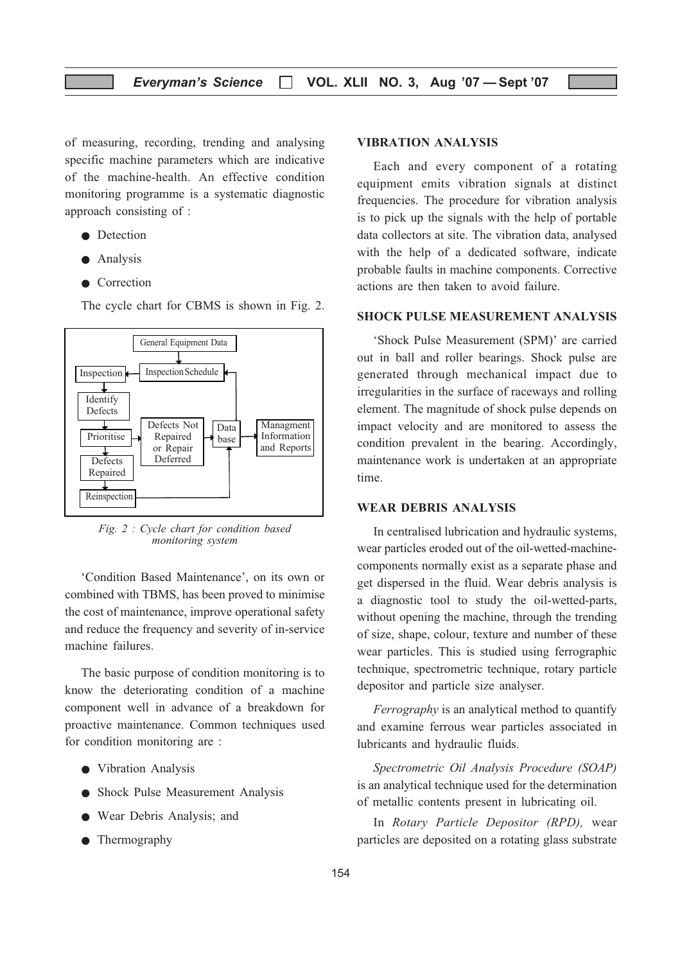of measuring, recording, trending and analysing specific machine parameters which are indicative of the machine-health. An effective condition monitoring programme is a systematic diagnostic approach consisting of :

- Detection
- Analysis
- Correction

The cycle chart for CBMS is shown in Fig. 2.



Fig. 2 : Cycle chart for condition based monitoring system

'Condition Based Maintenance', on its own or combined with TBMS, has been proved to minimise the cost of maintenance, improve operational safety and reduce the frequency and severity of in-service machine failures.

The basic purpose of condition monitoring is to know the deteriorating condition of a machine component well in advance of a breakdown for proactive maintenance. Common techniques used for condition monitoring are :

- Vibration Analysis
- Shock Pulse Measurement Analysis
- Wear Debris Analysis; and
- Thermography

#### VIBRATION ANALYSIS

Each and every component of a rotating equipment emits vibration signals at distinct frequencies. The procedure for vibration analysis is to pick up the signals with the help of portable data collectors at site. The vibration data, analysed with the help of a dedicated software, indicate probable faults in machine components. Corrective actions are then taken to avoid failure.

#### SHOCK PULSE MEASUREMENT ANALYSIS

'Shock Pulse Measurement (SPM)' are carried out in ball and roller bearings. Shock pulse are generated through mechanical impact due to irregularities in the surface of raceways and rolling element. The magnitude of shock pulse depends on impact velocity and are monitored to assess the condition prevalent in the bearing. Accordingly, maintenance work is undertaken at an appropriate time.

#### WEAR DEBRIS ANALYSIS

In centralised lubrication and hydraulic systems, wear particles eroded out of the oil-wetted-machinecomponents normally exist as a separate phase and get dispersed in the fluid. Wear debris analysis is a diagnostic tool to study the oil-wetted-parts, without opening the machine, through the trending of size, shape, colour, texture and number of these wear particles. This is studied using ferrographic technique, spectrometric technique, rotary particle depositor and particle size analyser.

Ferrography is an analytical method to quantify and examine ferrous wear particles associated in lubricants and hydraulic fluids.

Spectrometric Oil Analysis Procedure (SOAP) is an analytical technique used for the determination of metallic contents present in lubricating oil.

In Rotary Particle Depositor (RPD), wear particles are deposited on a rotating glass substrate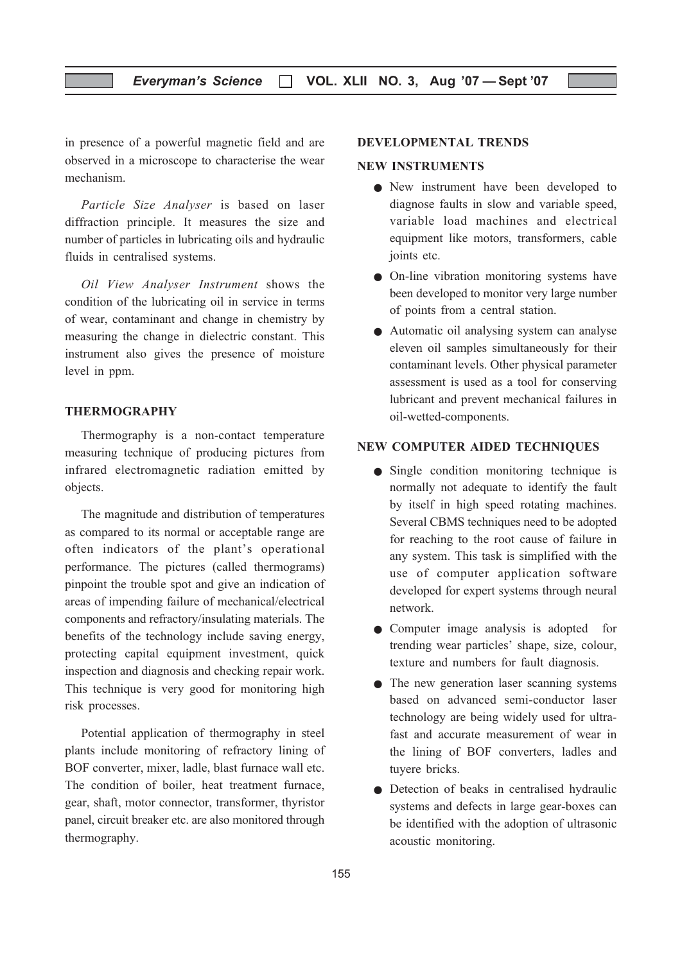#### Everyman's Science  $\Box$  VOL. XLII NO. 3, Aug '07 - Sept '07

in presence of a powerful magnetic field and are observed in a microscope to characterise the wear mechanism.

Particle Size Analyser is based on laser diffraction principle. It measures the size and number of particles in lubricating oils and hydraulic fluids in centralised systems.

Oil View Analyser Instrument shows the condition of the lubricating oil in service in terms of wear, contaminant and change in chemistry by measuring the change in dielectric constant. This instrument also gives the presence of moisture level in ppm.

#### THERMOGRAPHY

Thermography is a non-contact temperature measuring technique of producing pictures from infrared electromagnetic radiation emitted by objects.

The magnitude and distribution of temperatures as compared to its normal or acceptable range are often indicators of the plant's operational performance. The pictures (called thermograms) pinpoint the trouble spot and give an indication of areas of impending failure of mechanical/electrical components and refractory/insulating materials. The benefits of the technology include saving energy, protecting capital equipment investment, quick inspection and diagnosis and checking repair work. This technique is very good for monitoring high risk processes.

Potential application of thermography in steel plants include monitoring of refractory lining of BOF converter, mixer, ladle, blast furnace wall etc. The condition of boiler, heat treatment furnace, gear, shaft, motor connector, transformer, thyristor panel, circuit breaker etc. are also monitored through thermography.

#### DEVELOPMENTAL TRENDS

#### NEW INSTRUMENTS

- New instrument have been developed to diagnose faults in slow and variable speed, variable load machines and electrical equipment like motors, transformers, cable joints etc.
- On-line vibration monitoring systems have been developed to monitor very large number of points from a central station.
- Automatic oil analysing system can analyse eleven oil samples simultaneously for their contaminant levels. Other physical parameter assessment is used as a tool for conserving lubricant and prevent mechanical failures in oil-wetted-components.

#### NEW COMPUTER AIDED TECHNIQUES

- Single condition monitoring technique is normally not adequate to identify the fault by itself in high speed rotating machines. Several CBMS techniques need to be adopted for reaching to the root cause of failure in any system. This task is simplified with the use of computer application software developed for expert systems through neural network.
- Computer image analysis is adopted for trending wear particles' shape, size, colour, texture and numbers for fault diagnosis.
- The new generation laser scanning systems based on advanced semi-conductor laser technology are being widely used for ultrafast and accurate measurement of wear in the lining of BOF converters, ladles and tuyere bricks.
- Detection of beaks in centralised hydraulic systems and defects in large gear-boxes can be identified with the adoption of ultrasonic acoustic monitoring.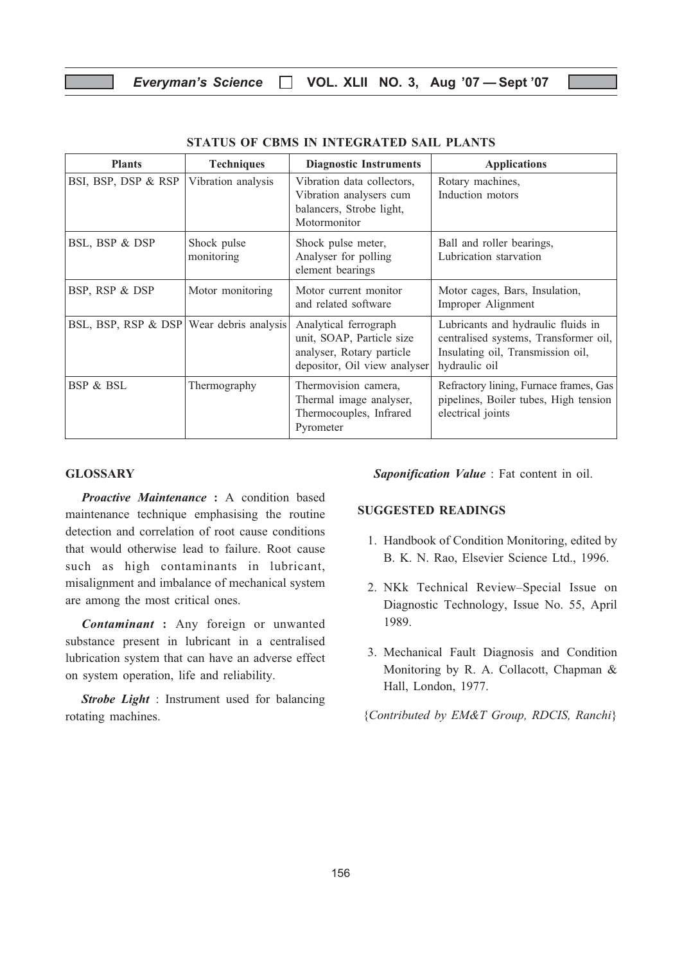| <b>Plants</b>                              | <b>Techniques</b>         | <b>Diagnostic Instruments</b>                                                                                   | <b>Applications</b>                                                                                                               |
|--------------------------------------------|---------------------------|-----------------------------------------------------------------------------------------------------------------|-----------------------------------------------------------------------------------------------------------------------------------|
| BSI, BSP, DSP & RSP                        | Vibration analysis        | Vibration data collectors,<br>Vibration analysers cum<br>balancers, Strobe light,<br>Motormonitor               | Rotary machines,<br>Induction motors                                                                                              |
| BSL, BSP & DSP                             | Shock pulse<br>monitoring | Shock pulse meter,<br>Analyser for polling<br>element bearings                                                  | Ball and roller bearings,<br>Lubrication starvation                                                                               |
| BSP, RSP & DSP                             | Motor monitoring          | Motor current monitor<br>and related software                                                                   | Motor cages, Bars, Insulation,<br>Improper Alignment                                                                              |
| BSL, BSP, RSP & DSP   Wear debris analysis |                           | Analytical ferrograph<br>unit, SOAP, Particle size<br>analyser, Rotary particle<br>depositor, Oil view analyser | Lubricants and hydraulic fluids in<br>centralised systems, Transformer oil,<br>Insulating oil, Transmission oil,<br>hydraulic oil |
| <b>BSP &amp; BSL</b>                       | Thermography              | Thermovision camera,<br>Thermal image analyser,<br>Thermocouples, Infrared<br>Pyrometer                         | Refractory lining, Furnace frames, Gas<br>pipelines, Boiler tubes, High tension<br>electrical joints                              |

#### STATUS OF CBMS IN INTEGRATED SAIL PLANTS

#### GLOSSARY

Proactive Maintenance : A condition based maintenance technique emphasising the routine detection and correlation of root cause conditions that would otherwise lead to failure. Root cause such as high contaminants in lubricant, misalignment and imbalance of mechanical system are among the most critical ones.

Contaminant : Any foreign or unwanted substance present in lubricant in a centralised lubrication system that can have an adverse effect on system operation, life and reliability.

Strobe Light : Instrument used for balancing rotating machines.

Saponification Value : Fat content in oil.

#### SUGGESTED READINGS

- 1. Handbook of Condition Monitoring, edited by B. K. N. Rao, Elsevier Science Ltd., 1996.
- 2. NKk Technical Review–Special Issue on Diagnostic Technology, Issue No. 55, April 1989.
- 3. Mechanical Fault Diagnosis and Condition Monitoring by R. A. Collacott, Chapman & Hall, London, 1977.

{Contributed by EM&T Group, RDCIS, Ranchi}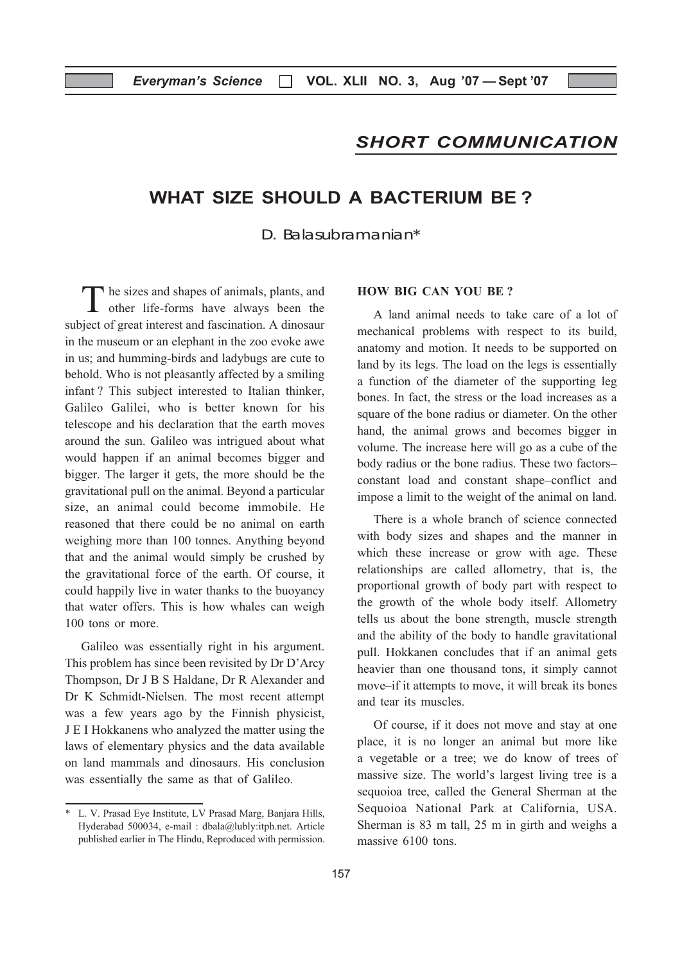## SHORT COMMUNICATION

## WHAT SIZE SHOULD A BACTERIUM BE ?

D. Balasubramanian\*

The sizes and shapes of animals, plants, and other life-forms have always been the subject of great interest and fascination. A dinosaur in the museum or an elephant in the zoo evoke awe in us; and humming-birds and ladybugs are cute to behold. Who is not pleasantly affected by a smiling infant ? This subject interested to Italian thinker, Galileo Galilei, who is better known for his telescope and his declaration that the earth moves around the sun. Galileo was intrigued about what would happen if an animal becomes bigger and bigger. The larger it gets, the more should be the gravitational pull on the animal. Beyond a particular size, an animal could become immobile. He reasoned that there could be no animal on earth weighing more than 100 tonnes. Anything beyond that and the animal would simply be crushed by the gravitational force of the earth. Of course, it could happily live in water thanks to the buoyancy that water offers. This is how whales can weigh 100 tons or more.

Galileo was essentially right in his argument. This problem has since been revisited by Dr D'Arcy Thompson, Dr J B S Haldane, Dr R Alexander and Dr K Schmidt-Nielsen. The most recent attempt was a few years ago by the Finnish physicist, J E I Hokkanens who analyzed the matter using the laws of elementary physics and the data available on land mammals and dinosaurs. His conclusion was essentially the same as that of Galileo.

#### HOW BIG CAN YOU BE ?

A land animal needs to take care of a lot of mechanical problems with respect to its build, anatomy and motion. It needs to be supported on land by its legs. The load on the legs is essentially a function of the diameter of the supporting leg bones. In fact, the stress or the load increases as a square of the bone radius or diameter. On the other hand, the animal grows and becomes bigger in volume. The increase here will go as a cube of the body radius or the bone radius. These two factors– constant load and constant shape–conflict and impose a limit to the weight of the animal on land.

There is a whole branch of science connected with body sizes and shapes and the manner in which these increase or grow with age. These relationships are called allometry, that is, the proportional growth of body part with respect to the growth of the whole body itself. Allometry tells us about the bone strength, muscle strength and the ability of the body to handle gravitational pull. Hokkanen concludes that if an animal gets heavier than one thousand tons, it simply cannot move–if it attempts to move, it will break its bones and tear its muscles.

Of course, if it does not move and stay at one place, it is no longer an animal but more like a vegetable or a tree; we do know of trees of massive size. The world's largest living tree is a sequoioa tree, called the General Sherman at the Sequoioa National Park at California, USA. Sherman is 83 m tall, 25 m in girth and weighs a massive 6100 tons.

<sup>\*</sup> L. V. Prasad Eye Institute, LV Prasad Marg, Banjara Hills, Hyderabad 500034, e-mail : dbala@lubly:itph.net. Article published earlier in The Hindu, Reproduced with permission.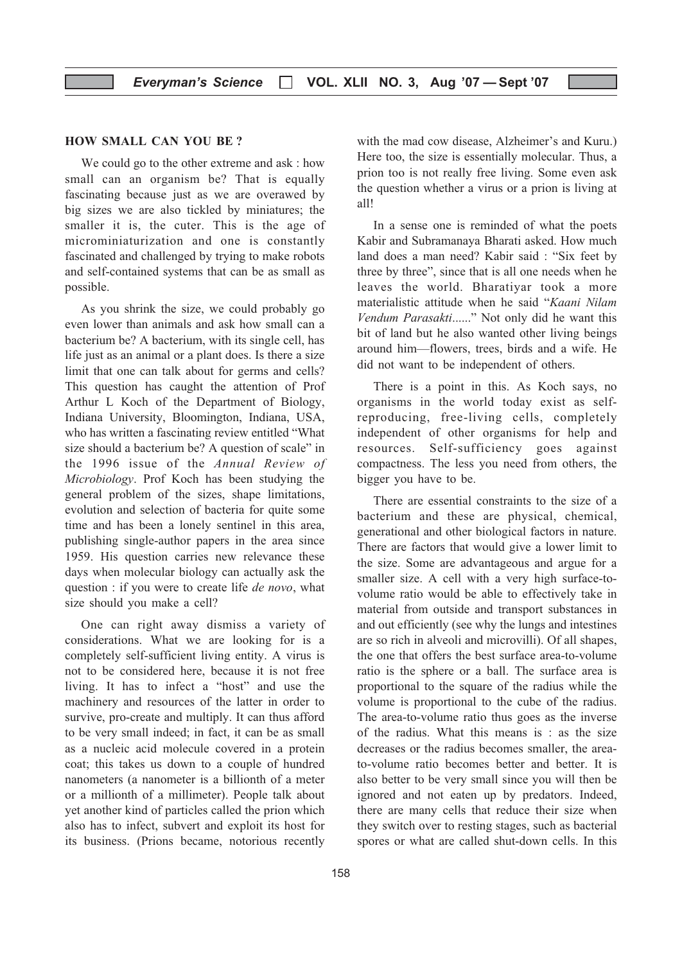#### HOW SMALL CAN YOU BE ?

We could go to the other extreme and ask : how small can an organism be? That is equally fascinating because just as we are overawed by big sizes we are also tickled by miniatures; the smaller it is, the cuter. This is the age of microminiaturization and one is constantly fascinated and challenged by trying to make robots and self-contained systems that can be as small as possible.

As you shrink the size, we could probably go even lower than animals and ask how small can a bacterium be? A bacterium, with its single cell, has life just as an animal or a plant does. Is there a size limit that one can talk about for germs and cells? This question has caught the attention of Prof Arthur L Koch of the Department of Biology, Indiana University, Bloomington, Indiana, USA, who has written a fascinating review entitled "What size should a bacterium be? A question of scale" in the 1996 issue of the Annual Review of Microbiology. Prof Koch has been studying the general problem of the sizes, shape limitations, evolution and selection of bacteria for quite some time and has been a lonely sentinel in this area, publishing single-author papers in the area since 1959. His question carries new relevance these days when molecular biology can actually ask the question : if you were to create life de novo, what size should you make a cell?

One can right away dismiss a variety of considerations. What we are looking for is a completely self-sufficient living entity. A virus is not to be considered here, because it is not free living. It has to infect a "host" and use the machinery and resources of the latter in order to survive, pro-create and multiply. It can thus afford to be very small indeed; in fact, it can be as small as a nucleic acid molecule covered in a protein coat; this takes us down to a couple of hundred nanometers (a nanometer is a billionth of a meter or a millionth of a millimeter). People talk about yet another kind of particles called the prion which also has to infect, subvert and exploit its host for its business. (Prions became, notorious recently

with the mad cow disease, Alzheimer's and Kuru.) Here too, the size is essentially molecular. Thus, a prion too is not really free living. Some even ask the question whether a virus or a prion is living at all!

In a sense one is reminded of what the poets Kabir and Subramanaya Bharati asked. How much land does a man need? Kabir said : "Six feet by three by three", since that is all one needs when he leaves the world. Bharatiyar took a more materialistic attitude when he said "Kaani Nilam Vendum Parasakti......" Not only did he want this bit of land but he also wanted other living beings around him—flowers, trees, birds and a wife. He did not want to be independent of others.

There is a point in this. As Koch says, no organisms in the world today exist as selfreproducing, free-living cells, completely independent of other organisms for help and resources. Self-sufficiency goes against compactness. The less you need from others, the bigger you have to be.

There are essential constraints to the size of a bacterium and these are physical, chemical, generational and other biological factors in nature. There are factors that would give a lower limit to the size. Some are advantageous and argue for a smaller size. A cell with a very high surface-tovolume ratio would be able to effectively take in material from outside and transport substances in and out efficiently (see why the lungs and intestines are so rich in alveoli and microvilli). Of all shapes, the one that offers the best surface area-to-volume ratio is the sphere or a ball. The surface area is proportional to the square of the radius while the volume is proportional to the cube of the radius. The area-to-volume ratio thus goes as the inverse of the radius. What this means is : as the size decreases or the radius becomes smaller, the areato-volume ratio becomes better and better. It is also better to be very small since you will then be ignored and not eaten up by predators. Indeed, there are many cells that reduce their size when they switch over to resting stages, such as bacterial spores or what are called shut-down cells. In this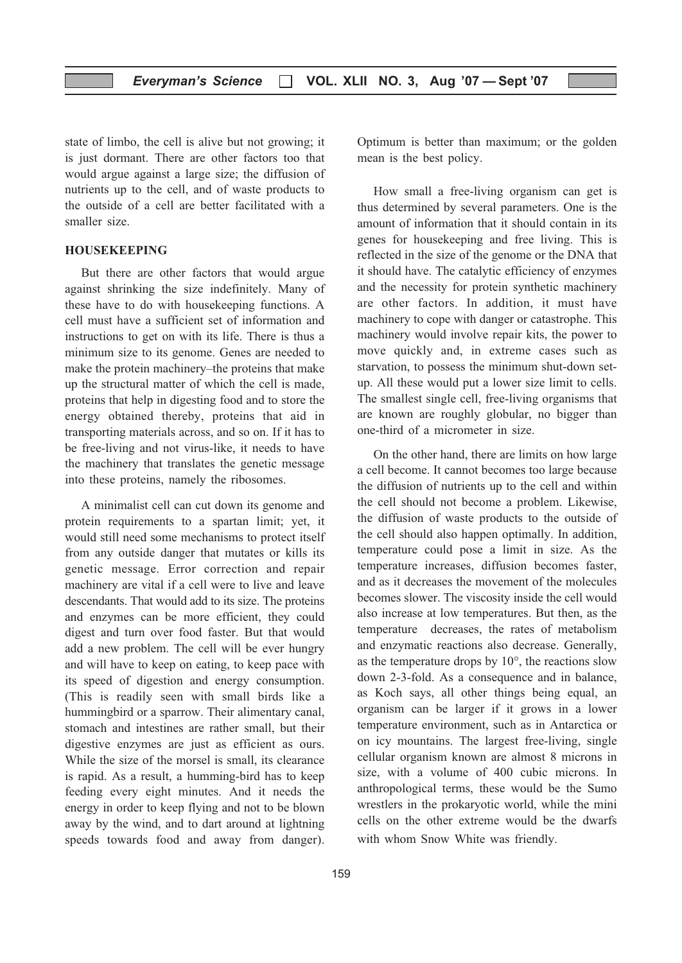state of limbo, the cell is alive but not growing; it is just dormant. There are other factors too that would argue against a large size; the diffusion of nutrients up to the cell, and of waste products to the outside of a cell are better facilitated with a smaller size.

#### HOUSEKEEPING

But there are other factors that would argue against shrinking the size indefinitely. Many of these have to do with housekeeping functions. A cell must have a sufficient set of information and instructions to get on with its life. There is thus a minimum size to its genome. Genes are needed to make the protein machinery–the proteins that make up the structural matter of which the cell is made, proteins that help in digesting food and to store the energy obtained thereby, proteins that aid in transporting materials across, and so on. If it has to be free-living and not virus-like, it needs to have the machinery that translates the genetic message into these proteins, namely the ribosomes.

A minimalist cell can cut down its genome and protein requirements to a spartan limit; yet, it would still need some mechanisms to protect itself from any outside danger that mutates or kills its genetic message. Error correction and repair machinery are vital if a cell were to live and leave descendants. That would add to its size. The proteins and enzymes can be more efficient, they could digest and turn over food faster. But that would add a new problem. The cell will be ever hungry and will have to keep on eating, to keep pace with its speed of digestion and energy consumption. (This is readily seen with small birds like a hummingbird or a sparrow. Their alimentary canal, stomach and intestines are rather small, but their digestive enzymes are just as efficient as ours. While the size of the morsel is small, its clearance is rapid. As a result, a humming-bird has to keep feeding every eight minutes. And it needs the energy in order to keep flying and not to be blown away by the wind, and to dart around at lightning speeds towards food and away from danger).

Optimum is better than maximum; or the golden mean is the best policy.

How small a free-living organism can get is thus determined by several parameters. One is the amount of information that it should contain in its genes for housekeeping and free living. This is reflected in the size of the genome or the DNA that it should have. The catalytic efficiency of enzymes and the necessity for protein synthetic machinery are other factors. In addition, it must have machinery to cope with danger or catastrophe. This machinery would involve repair kits, the power to move quickly and, in extreme cases such as starvation, to possess the minimum shut-down setup. All these would put a lower size limit to cells. The smallest single cell, free-living organisms that are known are roughly globular, no bigger than one-third of a micrometer in size.

On the other hand, there are limits on how large a cell become. It cannot becomes too large because the diffusion of nutrients up to the cell and within the cell should not become a problem. Likewise, the diffusion of waste products to the outside of the cell should also happen optimally. In addition, temperature could pose a limit in size. As the temperature increases, diffusion becomes faster, and as it decreases the movement of the molecules becomes slower. The viscosity inside the cell would also increase at low temperatures. But then, as the temperature decreases, the rates of metabolism and enzymatic reactions also decrease. Generally, as the temperature drops by  $10^{\circ}$ , the reactions slow down 2-3-fold. As a consequence and in balance, as Koch says, all other things being equal, an organism can be larger if it grows in a lower temperature environment, such as in Antarctica or on icy mountains. The largest free-living, single cellular organism known are almost 8 microns in size, with a volume of 400 cubic microns. In anthropological terms, these would be the Sumo wrestlers in the prokaryotic world, while the mini cells on the other extreme would be the dwarfs with whom Snow White was friendly.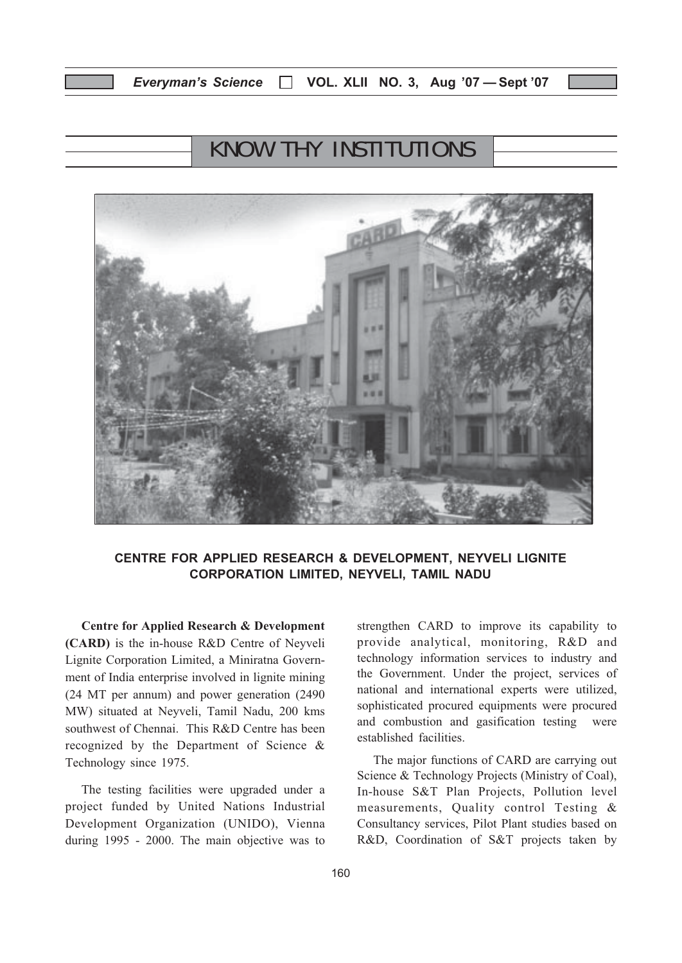## KNOW THY INSTITUTIONS



#### CENTRE FOR APPLIED RESEARCH & DEVELOPMENT, NEYVELI LIGNITE CORPORATION LIMITED, NEYVELI, TAMIL NADU

Centre for Applied Research & Development (CARD) is the in-house R&D Centre of Neyveli Lignite Corporation Limited, a Miniratna Government of India enterprise involved in lignite mining (24 MT per annum) and power generation (2490 MW) situated at Neyveli, Tamil Nadu, 200 kms southwest of Chennai. This R&D Centre has been recognized by the Department of Science & Technology since 1975.

The testing facilities were upgraded under a project funded by United Nations Industrial Development Organization (UNIDO), Vienna during 1995 - 2000. The main objective was to strengthen CARD to improve its capability to provide analytical, monitoring, R&D and technology information services to industry and the Government. Under the project, services of national and international experts were utilized, sophisticated procured equipments were procured and combustion and gasification testing were established facilities.

The major functions of CARD are carrying out Science & Technology Projects (Ministry of Coal), In-house S&T Plan Projects, Pollution level measurements, Quality control Testing & Consultancy services, Pilot Plant studies based on R&D, Coordination of S&T projects taken by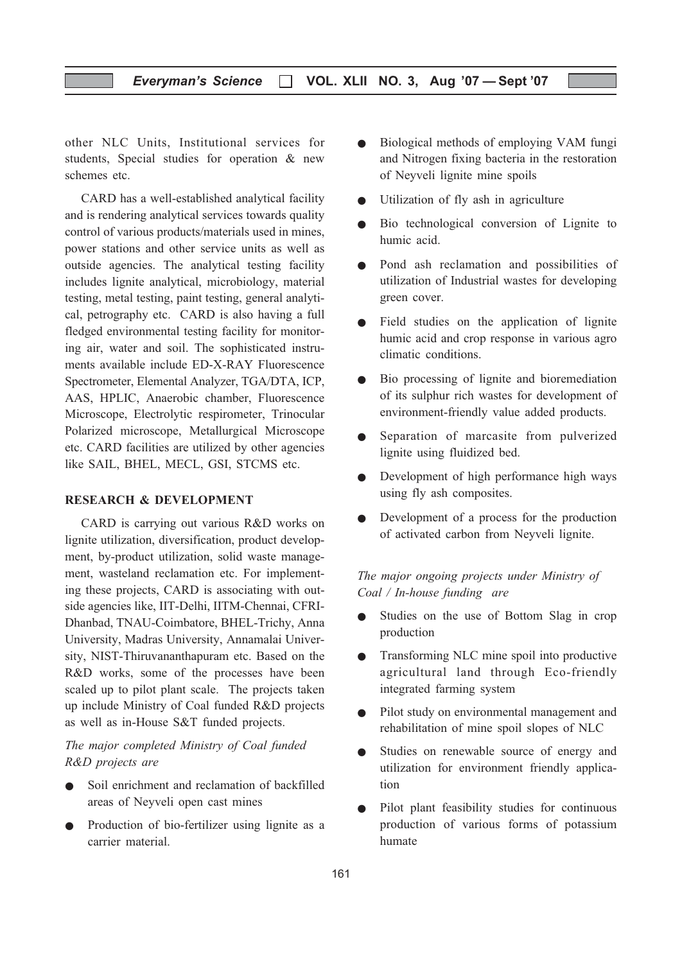other NLC Units, Institutional services for students, Special studies for operation & new schemes etc.

CARD has a well-established analytical facility and is rendering analytical services towards quality control of various products/materials used in mines, power stations and other service units as well as outside agencies. The analytical testing facility includes lignite analytical, microbiology, material testing, metal testing, paint testing, general analytical, petrography etc. CARD is also having a full fledged environmental testing facility for monitoring air, water and soil. The sophisticated instruments available include ED-X-RAY Fluorescence Spectrometer, Elemental Analyzer, TGA/DTA, ICP, AAS, HPLIC, Anaerobic chamber, Fluorescence Microscope, Electrolytic respirometer, Trinocular Polarized microscope, Metallurgical Microscope etc. CARD facilities are utilized by other agencies like SAIL, BHEL, MECL, GSI, STCMS etc.

#### RESEARCH & DEVELOPMENT

CARD is carrying out various R&D works on lignite utilization, diversification, product development, by-product utilization, solid waste management, wasteland reclamation etc. For implementing these projects, CARD is associating with outside agencies like, IIT-Delhi, IITM-Chennai, CFRI-Dhanbad, TNAU-Coimbatore, BHEL-Trichy, Anna University, Madras University, Annamalai University, NIST-Thiruvananthapuram etc. Based on the R&D works, some of the processes have been scaled up to pilot plant scale. The projects taken up include Ministry of Coal funded R&D projects as well as in-House S&T funded projects.

#### The major completed Ministry of Coal funded R&D projects are

- Soil enrichment and reclamation of backfilled areas of Neyveli open cast mines
- Production of bio-fertilizer using lignite as a carrier material.
- Biological methods of employing VAM fungi and Nitrogen fixing bacteria in the restoration of Neyveli lignite mine spoils
- Utilization of fly ash in agriculture
- Bio technological conversion of Lignite to humic acid.
- Pond ash reclamation and possibilities of utilization of Industrial wastes for developing green cover.
- Field studies on the application of lignite humic acid and crop response in various agro climatic conditions.
- Bio processing of lignite and bioremediation of its sulphur rich wastes for development of environment-friendly value added products.
- Separation of marcasite from pulverized lignite using fluidized bed.
- Development of high performance high ways using fly ash composites.
- Development of a process for the production of activated carbon from Neyveli lignite.

The major ongoing projects under Ministry of Coal / In-house funding are

- Studies on the use of Bottom Slag in crop production
- Transforming NLC mine spoil into productive agricultural land through Eco-friendly integrated farming system
- Pilot study on environmental management and rehabilitation of mine spoil slopes of NLC
- Studies on renewable source of energy and utilization for environment friendly application
- Pilot plant feasibility studies for continuous production of various forms of potassium humate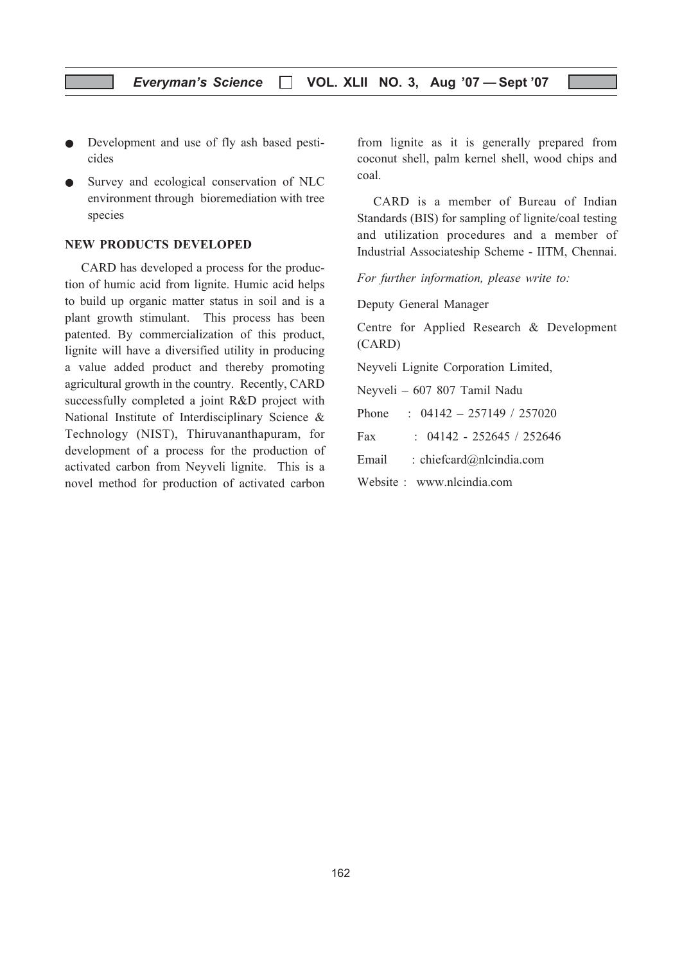- Development and use of fly ash based pesticides
- Survey and ecological conservation of NLC environment through bioremediation with tree species

#### NEW PRODUCTS DEVELOPED

CARD has developed a process for the production of humic acid from lignite. Humic acid helps to build up organic matter status in soil and is a plant growth stimulant. This process has been patented. By commercialization of this product, lignite will have a diversified utility in producing a value added product and thereby promoting agricultural growth in the country. Recently, CARD successfully completed a joint R&D project with National Institute of Interdisciplinary Science & Technology (NIST), Thiruvananthapuram, for development of a process for the production of activated carbon from Neyveli lignite. This is a novel method for production of activated carbon

from lignite as it is generally prepared from coconut shell, palm kernel shell, wood chips and coal.

CARD is a member of Bureau of Indian Standards (BIS) for sampling of lignite/coal testing and utilization procedures and a member of Industrial Associateship Scheme - IITM, Chennai.

For further information, please write to:

Deputy General Manager

Centre for Applied Research & Development (CARD)

Neyveli Lignite Corporation Limited,

Neyveli – 607 807 Tamil Nadu

Phone : 04142 – 257149 / 257020

Fax : 04142 - 252645 / 252646

Email : chiefcard@nlcindia.com

Website : www.nlcindia.com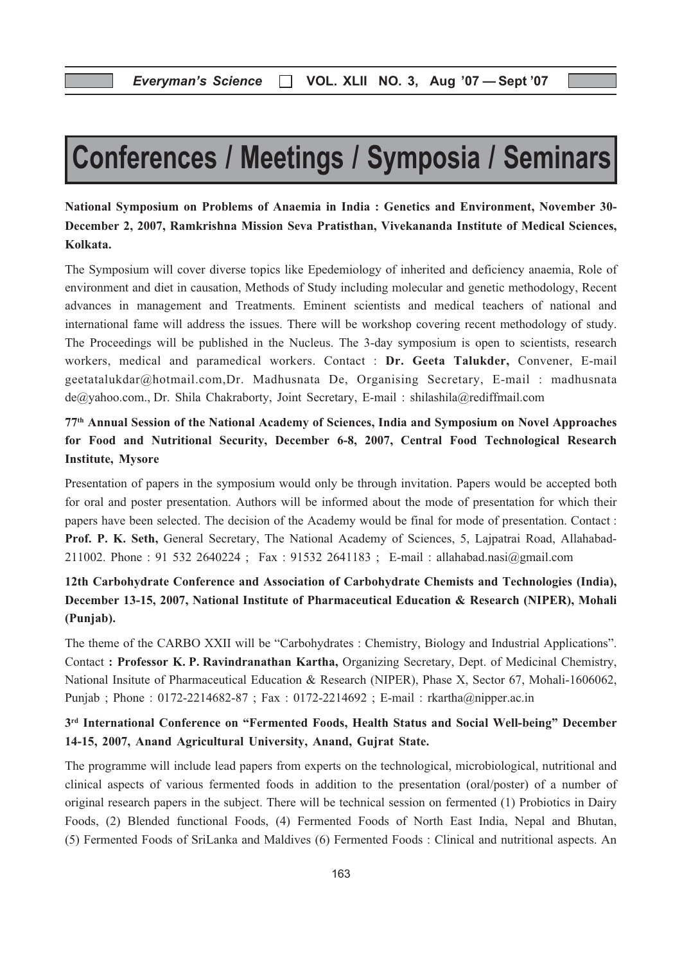# Conferences / Meetings / Symposia / Seminars

## National Symposium on Problems of Anaemia in India : Genetics and Environment, November 30- December 2, 2007, Ramkrishna Mission Seva Pratisthan, Vivekananda Institute of Medical Sciences, Kolkata.

The Symposium will cover diverse topics like Epedemiology of inherited and deficiency anaemia, Role of environment and diet in causation, Methods of Study including molecular and genetic methodology, Recent advances in management and Treatments. Eminent scientists and medical teachers of national and international fame will address the issues. There will be workshop covering recent methodology of study. The Proceedings will be published in the Nucleus. The 3-day symposium is open to scientists, research workers, medical and paramedical workers. Contact : Dr. Geeta Talukder, Convener, E-mail geetatalukdar@hotmail.com,Dr. Madhusnata De, Organising Secretary, E-mail : madhusnata de@yahoo.com., Dr. Shila Chakraborty, Joint Secretary, E-mail : shilashila@rediffmail.com

## 77th Annual Session of the National Academy of Sciences, India and Symposium on Novel Approaches for Food and Nutritional Security, December 6-8, 2007, Central Food Technological Research Institute, Mysore

Presentation of papers in the symposium would only be through invitation. Papers would be accepted both for oral and poster presentation. Authors will be informed about the mode of presentation for which their papers have been selected. The decision of the Academy would be final for mode of presentation. Contact : Prof. P. K. Seth, General Secretary, The National Academy of Sciences, 5, Lajpatrai Road, Allahabad-211002. Phone : 91 532 2640224 ; Fax : 91532 2641183 ; E-mail : allahabad.nasi@gmail.com

## 12th Carbohydrate Conference and Association of Carbohydrate Chemists and Technologies (India), December 13-15, 2007, National Institute of Pharmaceutical Education & Research (NIPER), Mohali (Punjab).

The theme of the CARBO XXII will be "Carbohydrates : Chemistry, Biology and Industrial Applications". Contact : Professor K. P. Ravindranathan Kartha, Organizing Secretary, Dept. of Medicinal Chemistry, National Insitute of Pharmaceutical Education & Research (NIPER), Phase X, Sector 67, Mohali-1606062, Punjab ; Phone : 0172-2214682-87 ; Fax : 0172-2214692 ; E-mail : rkartha@nipper.ac.in

### 3rd International Conference on "Fermented Foods, Health Status and Social Well-being" December 14-15, 2007, Anand Agricultural University, Anand, Gujrat State.

The programme will include lead papers from experts on the technological, microbiological, nutritional and clinical aspects of various fermented foods in addition to the presentation (oral/poster) of a number of original research papers in the subject. There will be technical session on fermented (1) Probiotics in Dairy Foods, (2) Blended functional Foods, (4) Fermented Foods of North East India, Nepal and Bhutan, (5) Fermented Foods of SriLanka and Maldives (6) Fermented Foods : Clinical and nutritional aspects. An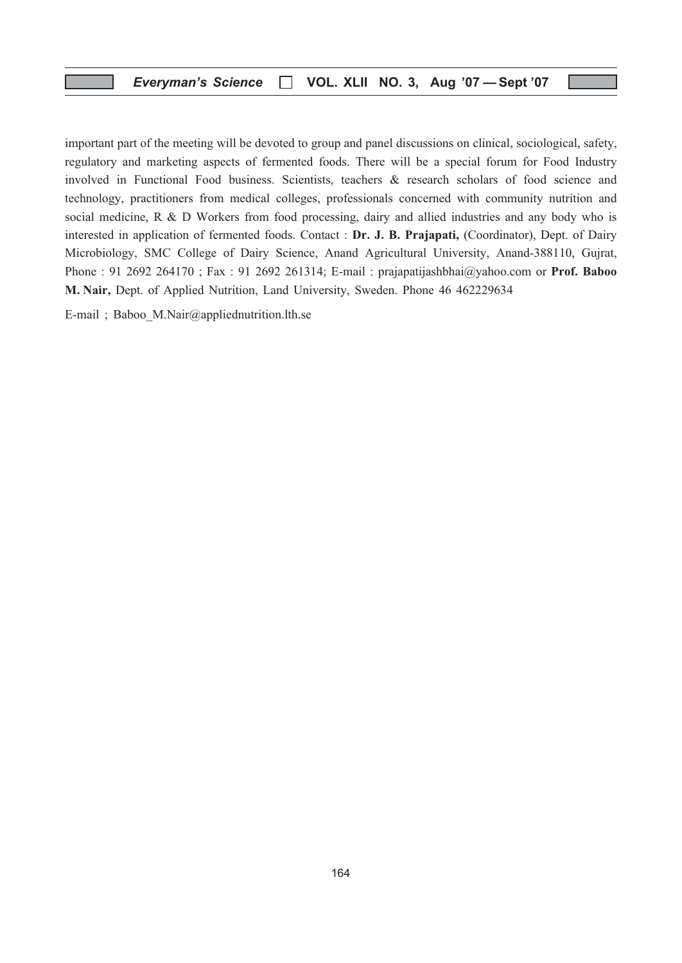important part of the meeting will be devoted to group and panel discussions on clinical, sociological, safety, regulatory and marketing aspects of fermented foods. There will be a special forum for Food Industry involved in Functional Food business. Scientists, teachers & research scholars of food science and technology, practitioners from medical colleges, professionals concerned with community nutrition and social medicine, R & D Workers from food processing, dairy and allied industries and any body who is interested in application of fermented foods. Contact : Dr. J. B. Prajapati, (Coordinator), Dept. of Dairy Microbiology, SMC College of Dairy Science, Anand Agricultural University, Anand-388110, Gujrat, Phone : 91 2692 264170 ; Fax : 91 2692 261314; E-mail : prajapatijashbhai@yahoo.com or Prof. Baboo M. Nair, Dept. of Applied Nutrition, Land University, Sweden. Phone 46 462229634

E-mail ; Baboo\_M.Nair@appliednutrition.lth.se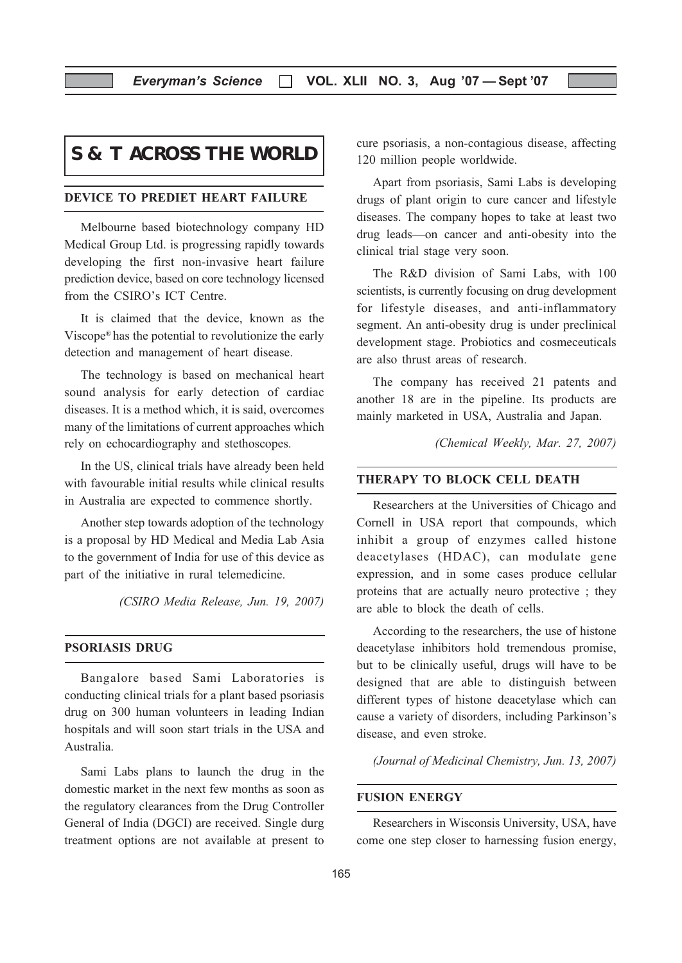## **S & T ACROSS THE WORLD**

#### DEVICE TO PREDIET HEART FAILURE

Melbourne based biotechnology company HD Medical Group Ltd. is progressing rapidly towards developing the first non-invasive heart failure prediction device, based on core technology licensed from the CSIRO's ICT Centre.

It is claimed that the device, known as the Viscope® has the potential to revolutionize the early detection and management of heart disease.

The technology is based on mechanical heart sound analysis for early detection of cardiac diseases. It is a method which, it is said, overcomes many of the limitations of current approaches which rely on echocardiography and stethoscopes.

In the US, clinical trials have already been held with favourable initial results while clinical results in Australia are expected to commence shortly.

Another step towards adoption of the technology is a proposal by HD Medical and Media Lab Asia to the government of India for use of this device as part of the initiative in rural telemedicine.

(CSIRO Media Release, Jun. 19, 2007)

#### PSORIASIS DRUG

Bangalore based Sami Laboratories is conducting clinical trials for a plant based psoriasis drug on 300 human volunteers in leading Indian hospitals and will soon start trials in the USA and Australia.

Sami Labs plans to launch the drug in the domestic market in the next few months as soon as the regulatory clearances from the Drug Controller General of India (DGCI) are received. Single durg treatment options are not available at present to cure psoriasis, a non-contagious disease, affecting 120 million people worldwide.

Apart from psoriasis, Sami Labs is developing drugs of plant origin to cure cancer and lifestyle diseases. The company hopes to take at least two drug leads—on cancer and anti-obesity into the clinical trial stage very soon.

The R&D division of Sami Labs, with 100 scientists, is currently focusing on drug development for lifestyle diseases, and anti-inflammatory segment. An anti-obesity drug is under preclinical development stage. Probiotics and cosmeceuticals are also thrust areas of research.

The company has received 21 patents and another 18 are in the pipeline. Its products are mainly marketed in USA, Australia and Japan.

(Chemical Weekly, Mar. 27, 2007)

#### THERAPY TO BLOCK CELL DEATH

Researchers at the Universities of Chicago and Cornell in USA report that compounds, which inhibit a group of enzymes called histone deacetylases (HDAC), can modulate gene expression, and in some cases produce cellular proteins that are actually neuro protective ; they are able to block the death of cells.

According to the researchers, the use of histone deacetylase inhibitors hold tremendous promise, but to be clinically useful, drugs will have to be designed that are able to distinguish between different types of histone deacetylase which can cause a variety of disorders, including Parkinson's disease, and even stroke.

(Journal of Medicinal Chemistry, Jun. 13, 2007)

#### FUSION ENERGY

Researchers in Wisconsis University, USA, have come one step closer to harnessing fusion energy,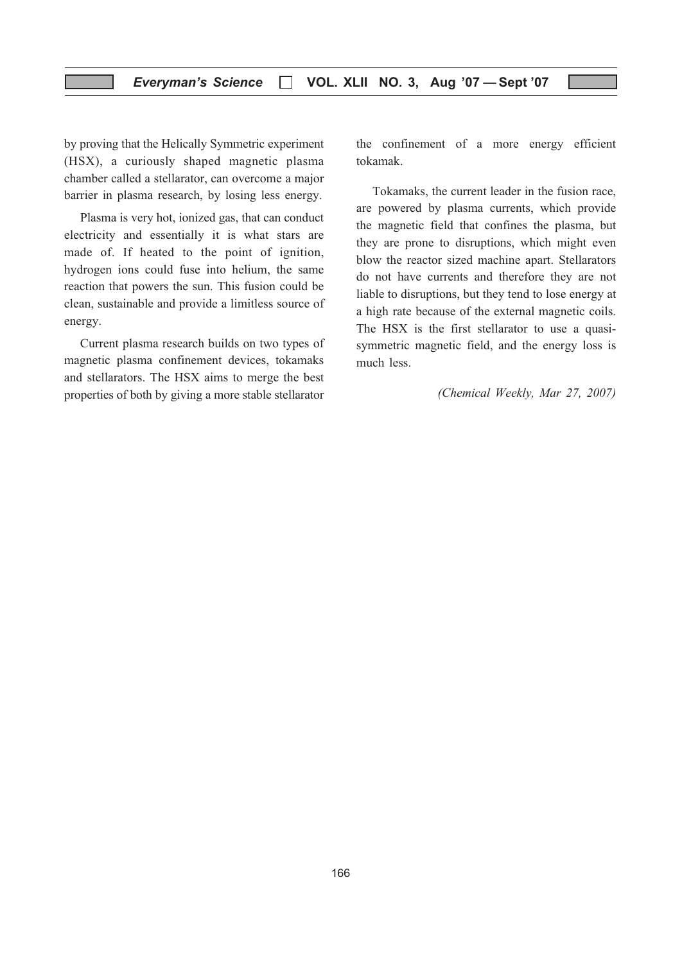by proving that the Helically Symmetric experiment (HSX), a curiously shaped magnetic plasma chamber called a stellarator, can overcome a major barrier in plasma research, by losing less energy.

Plasma is very hot, ionized gas, that can conduct electricity and essentially it is what stars are made of. If heated to the point of ignition, hydrogen ions could fuse into helium, the same reaction that powers the sun. This fusion could be clean, sustainable and provide a limitless source of energy.

Current plasma research builds on two types of magnetic plasma confinement devices, tokamaks and stellarators. The HSX aims to merge the best properties of both by giving a more stable stellarator the confinement of a more energy efficient tokamak.

Tokamaks, the current leader in the fusion race, are powered by plasma currents, which provide the magnetic field that confines the plasma, but they are prone to disruptions, which might even blow the reactor sized machine apart. Stellarators do not have currents and therefore they are not liable to disruptions, but they tend to lose energy at a high rate because of the external magnetic coils. The HSX is the first stellarator to use a quasisymmetric magnetic field, and the energy loss is much less.

(Chemical Weekly, Mar 27, 2007)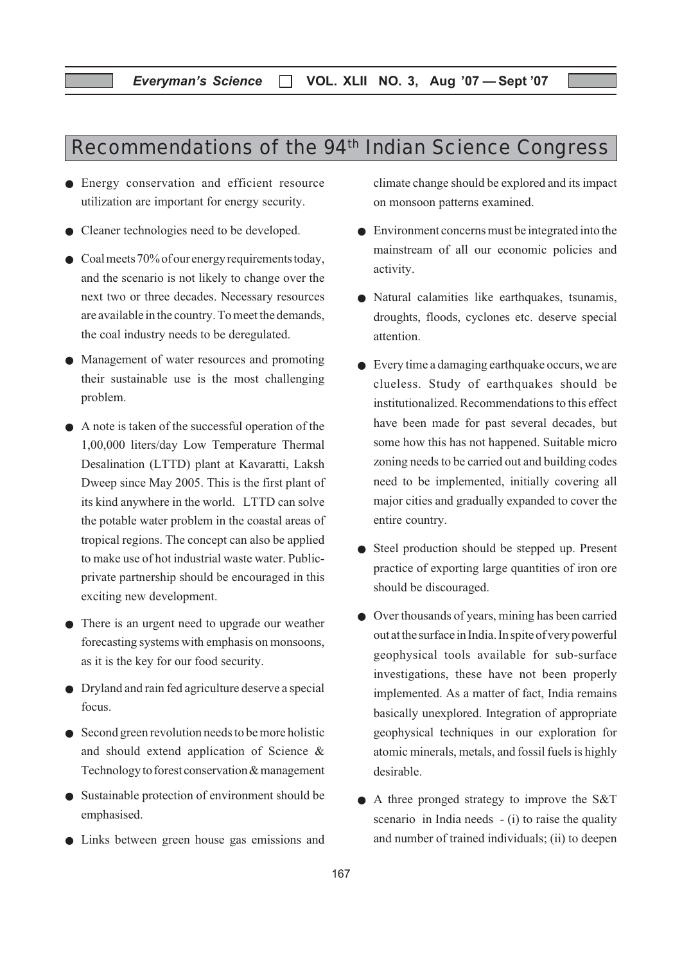## Recommendations of the 94<sup>th</sup> Indian Science Congress

- Energy conservation and efficient resource utilization are important for energy security.
- Cleaner technologies need to be developed.
- Coal meets 70% of our energy requirements today, and the scenario is not likely to change over the next two or three decades. Necessary resources are available in the country. To meet the demands, the coal industry needs to be deregulated.
- Management of water resources and promoting their sustainable use is the most challenging problem.
- A note is taken of the successful operation of the 1,00,000 liters/day Low Temperature Thermal Desalination (LTTD) plant at Kavaratti, Laksh Dweep since May 2005. This is the first plant of its kind anywhere in the world. LTTD can solve the potable water problem in the coastal areas of tropical regions. The concept can also be applied to make use of hot industrial waste water. Publicprivate partnership should be encouraged in this exciting new development.
- There is an urgent need to upgrade our weather forecasting systems with emphasis on monsoons, as it is the key for our food security.
- Dryland and rain fed agriculture deserve a special focus.
- Second green revolution needs to be more holistic and should extend application of Science & Technology to forest conservation & management
- Sustainable protection of environment should be emphasised.
- Links between green house gas emissions and

climate change should be explored and its impact on monsoon patterns examined.

- Environment concerns must be integrated into the mainstream of all our economic policies and activity.
- Natural calamities like earthquakes, tsunamis, droughts, floods, cyclones etc. deserve special attention.
- Every time a damaging earthquake occurs, we are clueless. Study of earthquakes should be institutionalized. Recommendations to this effect have been made for past several decades, but some how this has not happened. Suitable micro zoning needs to be carried out and building codes need to be implemented, initially covering all major cities and gradually expanded to cover the entire country.
- Steel production should be stepped up. Present practice of exporting large quantities of iron ore should be discouraged.
- Over thousands of years, mining has been carried out at the surface in India. In spite of very powerful geophysical tools available for sub-surface investigations, these have not been properly implemented. As a matter of fact, India remains basically unexplored. Integration of appropriate geophysical techniques in our exploration for atomic minerals, metals, and fossil fuels is highly desirable.
- A three pronged strategy to improve the S&T scenario in India needs - (i) to raise the quality and number of trained individuals; (ii) to deepen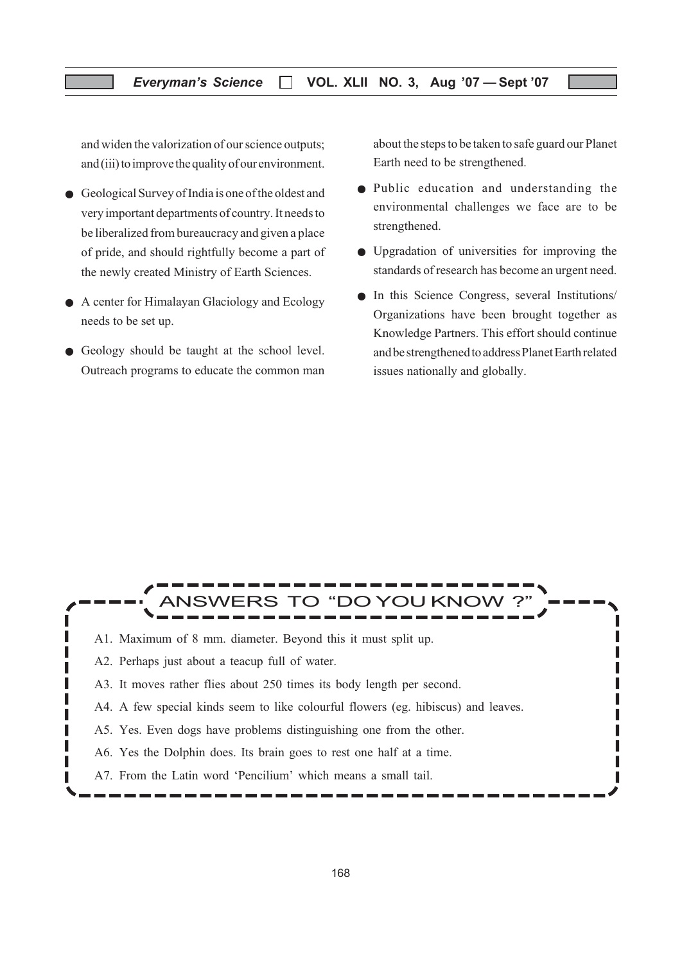and widen the valorization of our science outputs; and (iii) to improve the quality of our environment.

- Geological Survey of India is one of the oldest and very important departments of country. It needs to be liberalized from bureaucracy and given a place of pride, and should rightfully become a part of the newly created Ministry of Earth Sciences.
- A center for Himalayan Glaciology and Ecology needs to be set up.
- Geology should be taught at the school level. Outreach programs to educate the common man

about the steps to be taken to safe guard our Planet Earth need to be strengthened.

- Public education and understanding the environmental challenges we face are to be strengthened.
- Upgradation of universities for improving the standards of research has become an urgent need.
- In this Science Congress, several Institutions/ Organizations have been brought together as Knowledge Partners. This effort should continue and be strengthened to address Planet Earth related issues nationally and globally.

Г П

# **FRS TO "DO YOU KNOW**

- A1. Maximum of 8 mm. diameter. Beyond this it must split up.
- A2. Perhaps just about a teacup full of water.

Π

I

Г ı

- A3. It moves rather flies about 250 times its body length per second.
- A4. A few special kinds seem to like colourful flowers (eg. hibiscus) and leaves.
- A5. Yes. Even dogs have problems distinguishing one from the other.
- A6. Yes the Dolphin does. Its brain goes to rest one half at a time.
- A7. From the Latin word 'Pencilium' which means a small tail.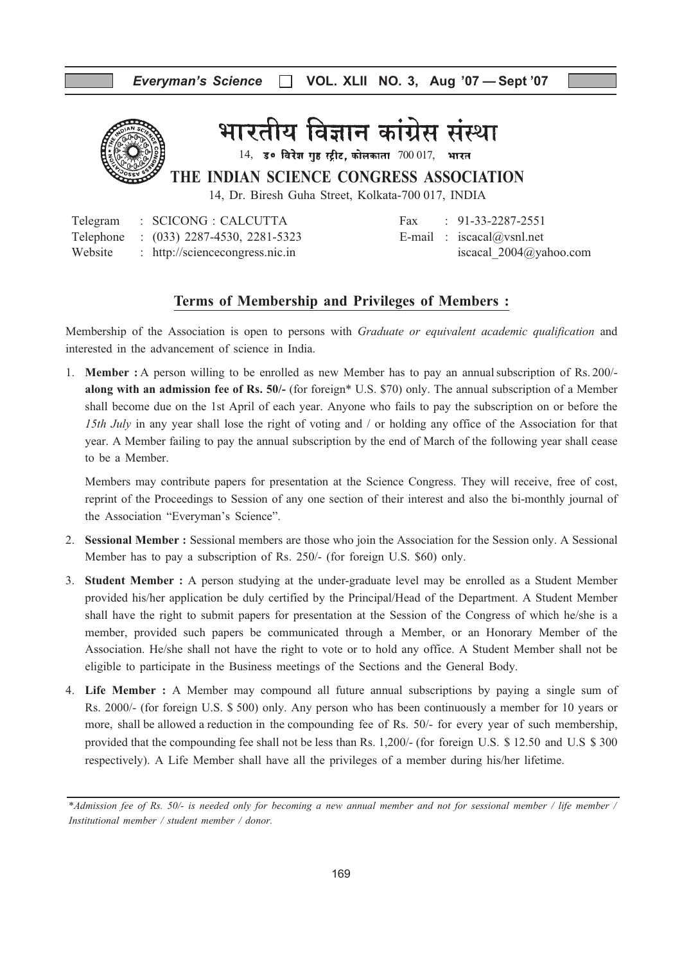

भारतीय विज्ञान कांग्रेस संस्था

 $14$ , उ० विरेश गृह स्ट्रीट, कोलकाता  $700017$ , भारत

THE INDIAN SCIENCE CONGRESS ASSOCIATION

14, Dr. Biresh Guha Street, Kolkata-700 017, INDIA

|         | Telegram : SCICONG : CALCUTTA          |  | Fax: $91-33-2287-2551$     |
|---------|----------------------------------------|--|----------------------------|
|         | Telephone : (033) 2287-4530, 2281-5323 |  | E-mail: $iscacal@vsnl.net$ |
| Website | : http://sciencecongress.nic.in        |  | iscacal $2004@$ yahoo.com  |

| Fax | $\therefore$ 91-33-228/-2551 |
|-----|------------------------------|
|     | E-mail : iscacal@vsnl.net    |
|     | iscacal $2004$ @yahoo.com    |

#### Terms of Membership and Privileges of Members :

Membership of the Association is open to persons with *Graduate or equivalent academic qualification* and interested in the advancement of science in India.

1. Member : A person willing to be enrolled as new Member has to pay an annualsubscription of Rs. 200/ along with an admission fee of Rs. 50/- (for foreign\* U.S. \$70) only. The annual subscription of a Member shall become due on the 1st April of each year. Anyone who fails to pay the subscription on or before the 15th July in any year shall lose the right of voting and / or holding any office of the Association for that year. A Member failing to pay the annual subscription by the end of March of the following year shall cease to be a Member.

Members may contribute papers for presentation at the Science Congress. They will receive, free of cost, reprint of the Proceedings to Session of any one section of their interest and also the bi-monthly journal of the Association "Everyman's Science".

- 2. Sessional Member : Sessional members are those who join the Association for the Session only. A Sessional Member has to pay a subscription of Rs. 250/- (for foreign U.S. \$60) only.
- 3. Student Member : A person studying at the under-graduate level may be enrolled as a Student Member provided his/her application be duly certified by the Principal/Head of the Department. A Student Member shall have the right to submit papers for presentation at the Session of the Congress of which he/she is a member, provided such papers be communicated through a Member, or an Honorary Member of the Association. He/she shall not have the right to vote or to hold any office. A Student Member shall not be eligible to participate in the Business meetings of the Sections and the General Body.
- 4. Life Member : A Member may compound all future annual subscriptions by paying a single sum of Rs. 2000/- (for foreign U.S. \$ 500) only. Any person who has been continuously a member for 10 years or more, shall be allowed a reduction in the compounding fee of Rs. 50/- for every year of such membership, provided that the compounding fee shall not be less than Rs. 1,200/- (for foreign U.S. \$ 12.50 and U.S \$ 300 respectively). A Life Member shall have all the privileges of a member during his/her lifetime.

<sup>\*</sup>Admission fee of Rs. 50/- is needed only for becoming a new annual member and not for sessional member / life member / Institutional member / student member / donor.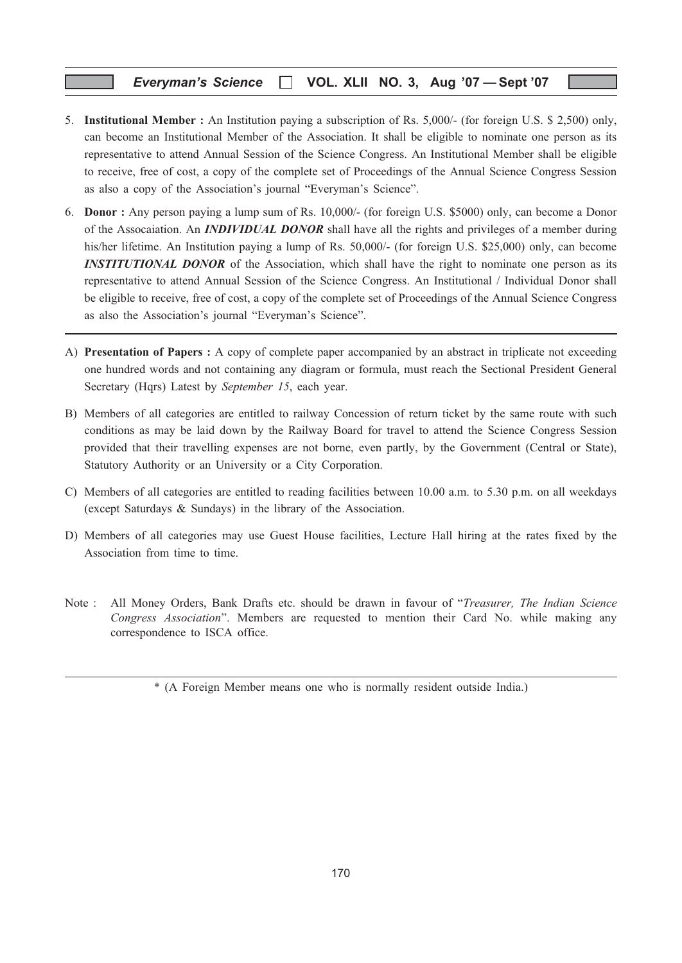#### Everyman's Science  $\Box$  VOL. XLII NO. 3, Aug '07 - Sept '07

- 5. Institutional Member : An Institution paying a subscription of Rs. 5,000/- (for foreign U.S. \$ 2,500) only, can become an Institutional Member of the Association. It shall be eligible to nominate one person as its representative to attend Annual Session of the Science Congress. An Institutional Member shall be eligible to receive, free of cost, a copy of the complete set of Proceedings of the Annual Science Congress Session as also a copy of the Association's journal "Everyman's Science".
- 6. Donor : Any person paying a lump sum of Rs. 10,000/- (for foreign U.S. \$5000) only, can become a Donor of the Assocaiation. An **INDIVIDUAL DONOR** shall have all the rights and privileges of a member during his/her lifetime. An Institution paying a lump of Rs. 50,000/- (for foreign U.S. \$25,000) only, can become **INSTITUTIONAL DONOR** of the Association, which shall have the right to nominate one person as its representative to attend Annual Session of the Science Congress. An Institutional / Individual Donor shall be eligible to receive, free of cost, a copy of the complete set of Proceedings of the Annual Science Congress as also the Association's journal "Everyman's Science".
- A) Presentation of Papers : A copy of complete paper accompanied by an abstract in triplicate not exceeding one hundred words and not containing any diagram or formula, must reach the Sectional President General Secretary (Hqrs) Latest by September 15, each year.
- B) Members of all categories are entitled to railway Concession of return ticket by the same route with such conditions as may be laid down by the Railway Board for travel to attend the Science Congress Session provided that their travelling expenses are not borne, even partly, by the Government (Central or State), Statutory Authority or an University or a City Corporation.
- C) Members of all categories are entitled to reading facilities between 10.00 a.m. to 5.30 p.m. on all weekdays (except Saturdays & Sundays) in the library of the Association.
- D) Members of all categories may use Guest House facilities, Lecture Hall hiring at the rates fixed by the Association from time to time.
- Note : All Money Orders, Bank Drafts etc. should be drawn in favour of "Treasurer, The Indian Science Congress Association". Members are requested to mention their Card No. while making any correspondence to ISCA office.

<sup>\* (</sup>A Foreign Member means one who is normally resident outside India.)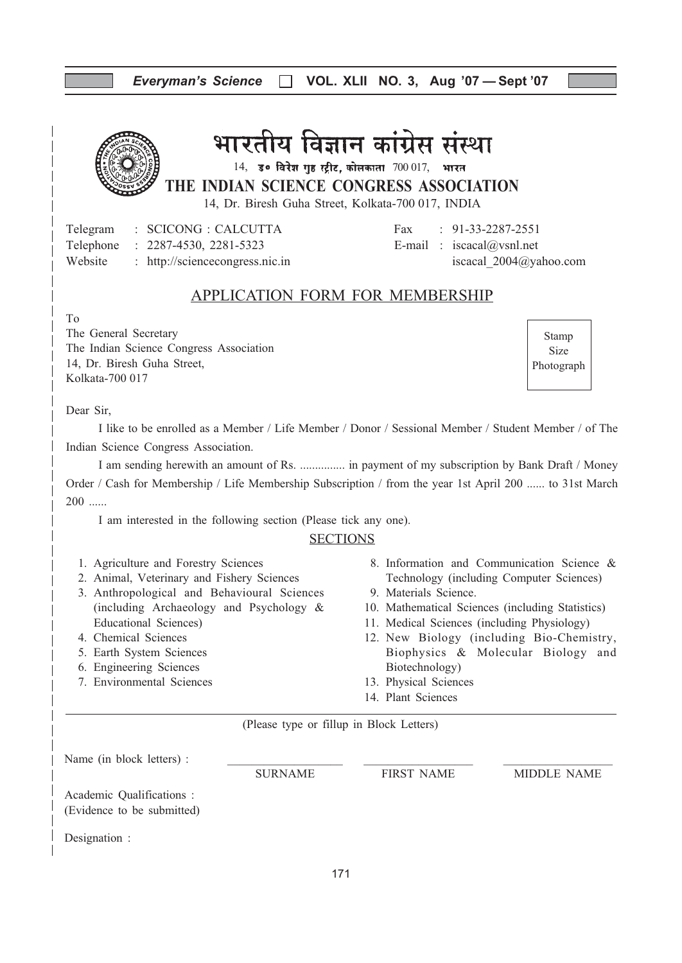| Everyman's Science [   VOL. XLII NO. 3, Aug '07 - Sept '07 |  |  |  |  |  |
|------------------------------------------------------------|--|--|--|--|--|
|------------------------------------------------------------|--|--|--|--|--|

## भारतीय विज्ञान कांग्रेस संस्था

 $14$ , उ० विरेश गृह स्ट्रीट, कोलकाता  $700017$ , भारत

THE INDIAN SCIENCE CONGRESS ASSOCIATION

14, Dr. Biresh Guha Street, Kolkata-700 017, INDIA

Telegram : SCICONG : CALCUTTA Fax : 91-33-2287-2551 Telephone : 2287-4530, 2281-5323 E-mail : iscacal@vsnl.net Website : http://sciencecongress.nic.in iscacal 2004@yahoo.com

## APPLICATION FORM FOR MEMBERSHIP

To

The General Secretary The Indian Science Congress Association 14, Dr. Biresh Guha Street, Kolkata-700 017

Stamp Size Photograph

Dear Sir,

I like to be enrolled as a Member / Life Member / Donor / Sessional Member / Student Member / of The Indian Science Congress Association.

I am sending herewith an amount of Rs. ............... in payment of my subscription by Bank Draft / Money Order / Cash for Membership / Life Membership Subscription / from the year 1st April 200 ...... to 31st March  $200$  ......

I am interested in the following section (Please tick any one).

#### **SECTIONS**

- 1. Agriculture and Forestry Sciences
- 2. Animal, Veterinary and Fishery Sciences
- 3. Anthropological and Behavioural Sciences (including Archaeology and Psychology & Educational Sciences)
- 4. Chemical Sciences
- 5. Earth System Sciences
- 6. Engineering Sciences
- 7. Environmental Sciences
- 8. Information and Communication Science & Technology (including Computer Sciences)
- 9. Materials Science.
- 10. Mathematical Sciences (including Statistics)
- 11. Medical Sciences (including Physiology)
- 12. New Biology (including Bio-Chemistry, Biophysics & Molecular Biology and Biotechnology)
- 13. Physical Sciences
- 14. Plant Sciences

(Please type or fillup in Block Letters)

| Name (in block letters) :                               |                |                   |             |
|---------------------------------------------------------|----------------|-------------------|-------------|
|                                                         | <b>SURNAME</b> | <b>FIRST NAME</b> | MIDDLE NAME |
| Academic Qualifications :<br>(Evidence to be submitted) |                |                   |             |
| Designation :                                           |                |                   |             |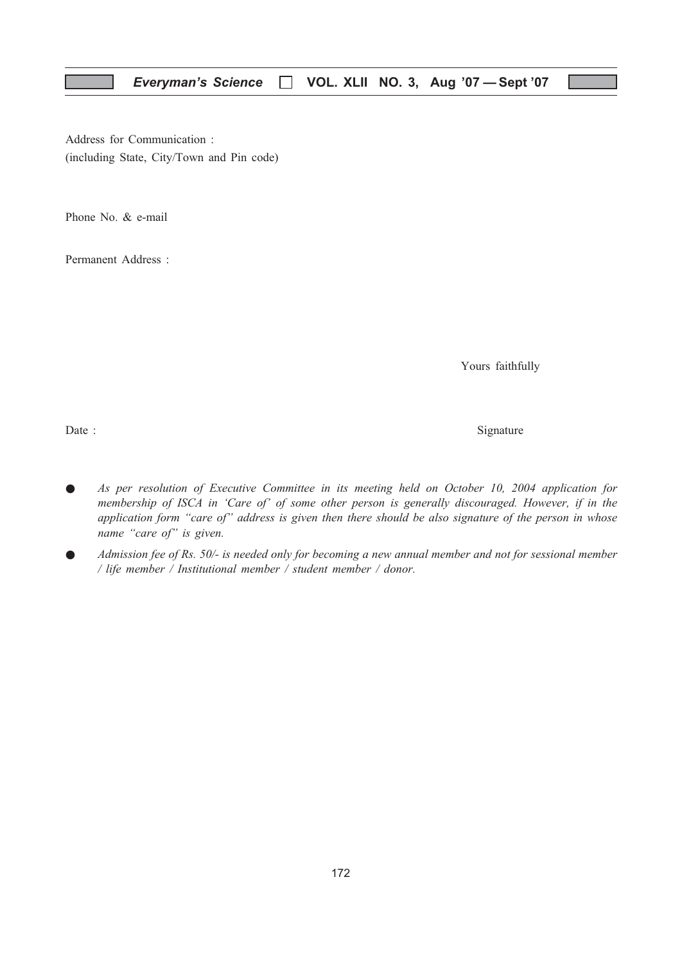Address for Communication : (including State, City/Town and Pin code)

Phone No. & e-mail

Permanent Address :

Yours faithfully

Date : Signature  $\sum_{n=1}^{\infty}$  Signature

- As per resolution of Executive Committee in its meeting held on October 10, 2004 application for membership of ISCA in 'Care of' of some other person is generally discouraged. However, if in the application form "care of" address is given then there should be also signature of the person in whose name "care of" is given.
- Admission fee of Rs.  $50/$  is needed only for becoming a new annual member and not for sessional member / life member / Institutional member / student member / donor.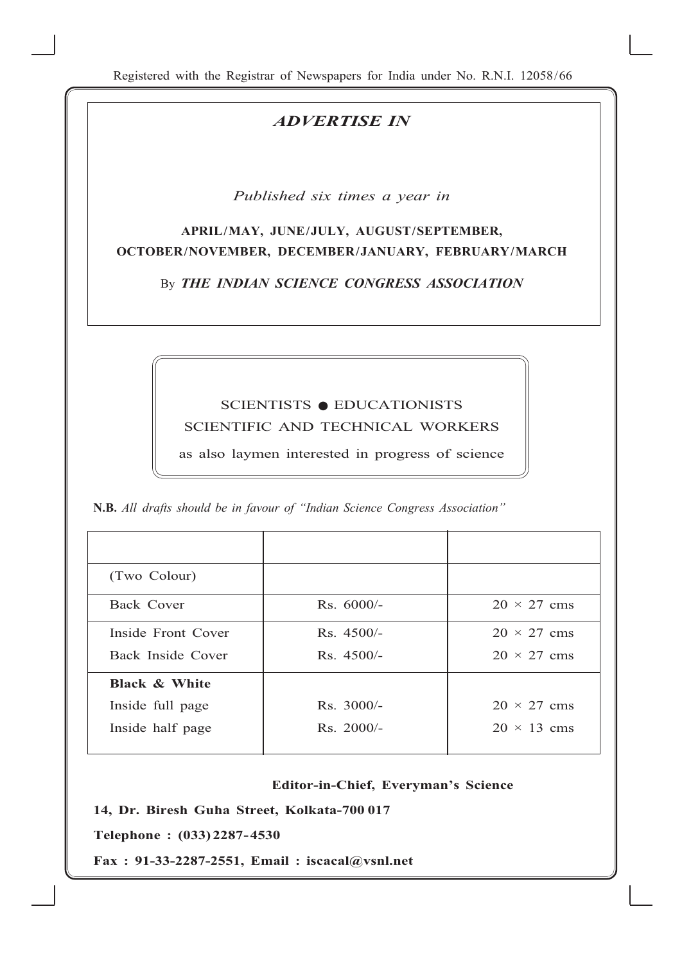Registered with the Registrar of Newspapers for India under No. R.N.I. 12058/66

## ADVERTISE IN

Published six times a year in

## APRIL/MAY, JUNE/JULY, AUGUST/SEPTEMBER, OCTOBER/NOVEMBER, DECEMBER/JANUARY, FEBRUARY/MARCH

By THE INDIAN SCIENCE CONGRESS ASSOCIATION

## SCIENTISTS ● EDUCATIONISTS SCIENTIFIC AND TECHNICAL WORKERS

as also laymen interested in progress of science

N.B. All drafts should be in favour of "Indian Science Congress Association"

| (Two Colour)             |              |                    |
|--------------------------|--------------|--------------------|
| Back Cover               | $Rs. 6000/-$ | $20 \times 27$ cms |
| Inside Front Cover       | $Rs.4500/-$  | $20 \times 27$ cms |
| Back Inside Cover        | $Rs.4500/-$  | $20 \times 27$ cms |
| <b>Black &amp; White</b> |              |                    |
| Inside full page         | $Rs. 3000/-$ | $20 \times 27$ cms |
| Inside half page         | $Rs. 2000/-$ | $20 \times 13$ cms |

173

#### Editor-in-Chief, Everyman's Science

14, Dr. Biresh Guha Street, Kolkata-700 017

Telephone : (033) 2287-4530

Fax : 91-33-2287-2551, Email : iscacal@vsnl.net